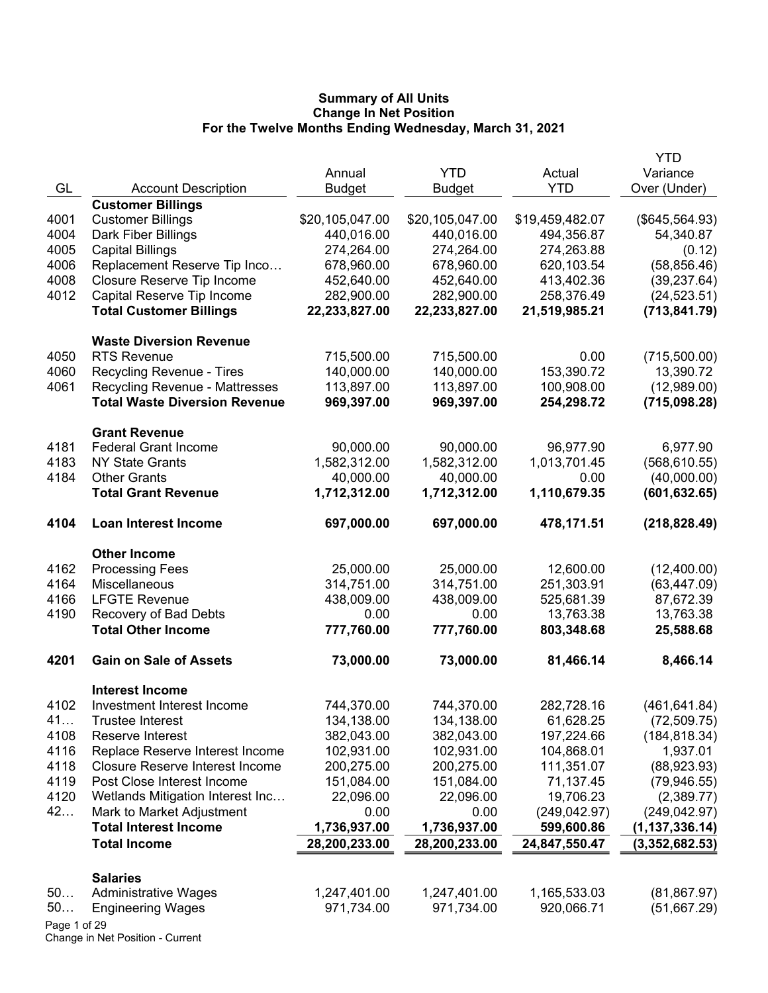|              |                                        |                 |                 |                 | <b>YTD</b>       |
|--------------|----------------------------------------|-----------------|-----------------|-----------------|------------------|
|              |                                        | Annual          | <b>YTD</b>      | Actual          | Variance         |
| GL           | <b>Account Description</b>             | <b>Budget</b>   | <b>Budget</b>   | <b>YTD</b>      | Over (Under)     |
|              | <b>Customer Billings</b>               |                 |                 |                 |                  |
| 4001         | <b>Customer Billings</b>               | \$20,105,047.00 | \$20,105,047.00 | \$19,459,482.07 | (\$645,564.93)   |
| 4004         | Dark Fiber Billings                    | 440,016.00      | 440,016.00      | 494,356.87      | 54,340.87        |
| 4005         | <b>Capital Billings</b>                | 274,264.00      | 274,264.00      | 274,263.88      | (0.12)           |
| 4006         | Replacement Reserve Tip Inco           | 678,960.00      | 678,960.00      | 620,103.54      | (58, 856.46)     |
| 4008         | Closure Reserve Tip Income             | 452,640.00      | 452,640.00      | 413,402.36      | (39, 237.64)     |
| 4012         | Capital Reserve Tip Income             | 282,900.00      | 282,900.00      | 258,376.49      | (24, 523.51)     |
|              | <b>Total Customer Billings</b>         | 22,233,827.00   | 22,233,827.00   | 21,519,985.21   | (713, 841.79)    |
|              | <b>Waste Diversion Revenue</b>         |                 |                 |                 |                  |
| 4050         | <b>RTS Revenue</b>                     | 715,500.00      | 715,500.00      | 0.00            | (715,500.00)     |
| 4060         | Recycling Revenue - Tires              | 140,000.00      | 140,000.00      | 153,390.72      | 13,390.72        |
| 4061         | <b>Recycling Revenue - Mattresses</b>  | 113,897.00      | 113,897.00      | 100,908.00      | (12,989.00)      |
|              | <b>Total Waste Diversion Revenue</b>   | 969,397.00      | 969,397.00      | 254,298.72      | (715,098.28)     |
|              | <b>Grant Revenue</b>                   |                 |                 |                 |                  |
| 4181         | <b>Federal Grant Income</b>            | 90,000.00       | 90,000.00       | 96,977.90       | 6,977.90         |
| 4183         | <b>NY State Grants</b>                 | 1,582,312.00    | 1,582,312.00    | 1,013,701.45    | (568, 610.55)    |
| 4184         | <b>Other Grants</b>                    | 40,000.00       | 40,000.00       | 0.00            | (40,000.00)      |
|              | <b>Total Grant Revenue</b>             | 1,712,312.00    | 1,712,312.00    | 1,110,679.35    | (601, 632.65)    |
| 4104         | <b>Loan Interest Income</b>            | 697,000.00      | 697,000.00      | 478,171.51      | (218, 828.49)    |
|              | <b>Other Income</b>                    |                 |                 |                 |                  |
| 4162         | <b>Processing Fees</b>                 | 25,000.00       | 25,000.00       | 12,600.00       | (12,400.00)      |
| 4164         | Miscellaneous                          | 314,751.00      | 314,751.00      | 251,303.91      | (63, 447.09)     |
| 4166         | <b>LFGTE Revenue</b>                   | 438,009.00      | 438,009.00      | 525,681.39      | 87,672.39        |
| 4190         | Recovery of Bad Debts                  | 0.00            | 0.00            | 13,763.38       | 13,763.38        |
|              | <b>Total Other Income</b>              | 777,760.00      | 777,760.00      | 803,348.68      | 25,588.68        |
| 4201         | <b>Gain on Sale of Assets</b>          | 73,000.00       | 73,000.00       | 81,466.14       | 8,466.14         |
|              | <b>Interest Income</b>                 |                 |                 |                 |                  |
| 4102         | Investment Interest Income             | 744,370.00      | 744,370.00      | 282,728.16      | (461, 641.84)    |
| 41           | <b>Trustee Interest</b>                | 134,138.00      | 134,138.00      | 61,628.25       | (72, 509.75)     |
| 4108         | Reserve Interest                       | 382,043.00      | 382,043.00      | 197,224.66      | (184, 818.34)    |
| 4116         | Replace Reserve Interest Income        | 102,931.00      | 102,931.00      | 104,868.01      | 1,937.01         |
| 4118         | <b>Closure Reserve Interest Income</b> | 200,275.00      | 200,275.00      | 111,351.07      | (88,923.93)      |
| 4119         | Post Close Interest Income             | 151,084.00      | 151,084.00      | 71,137.45       | (79, 946.55)     |
| 4120         | Wetlands Mitigation Interest Inc       | 22,096.00       | 22,096.00       | 19,706.23       | (2,389.77)       |
| 42           | Mark to Market Adjustment              | 0.00            | 0.00            | (249, 042.97)   | (249, 042.97)    |
|              | <b>Total Interest Income</b>           | 1,736,937.00    | 1,736,937.00    | 599,600.86      | (1, 137, 336.14) |
|              | <b>Total Income</b>                    | 28,200,233.00   | 28,200,233.00   | 24,847,550.47   | (3,352,682.53)   |
|              | <b>Salaries</b>                        |                 |                 |                 |                  |
| 50           | <b>Administrative Wages</b>            | 1,247,401.00    | 1,247,401.00    | 1,165,533.03    | (81, 867.97)     |
| 50           | <b>Engineering Wages</b>               | 971,734.00      | 971,734.00      | 920,066.71      | (51,667.29)      |
| Page 1 of 29 |                                        |                 |                 |                 |                  |
|              |                                        |                 |                 |                 |                  |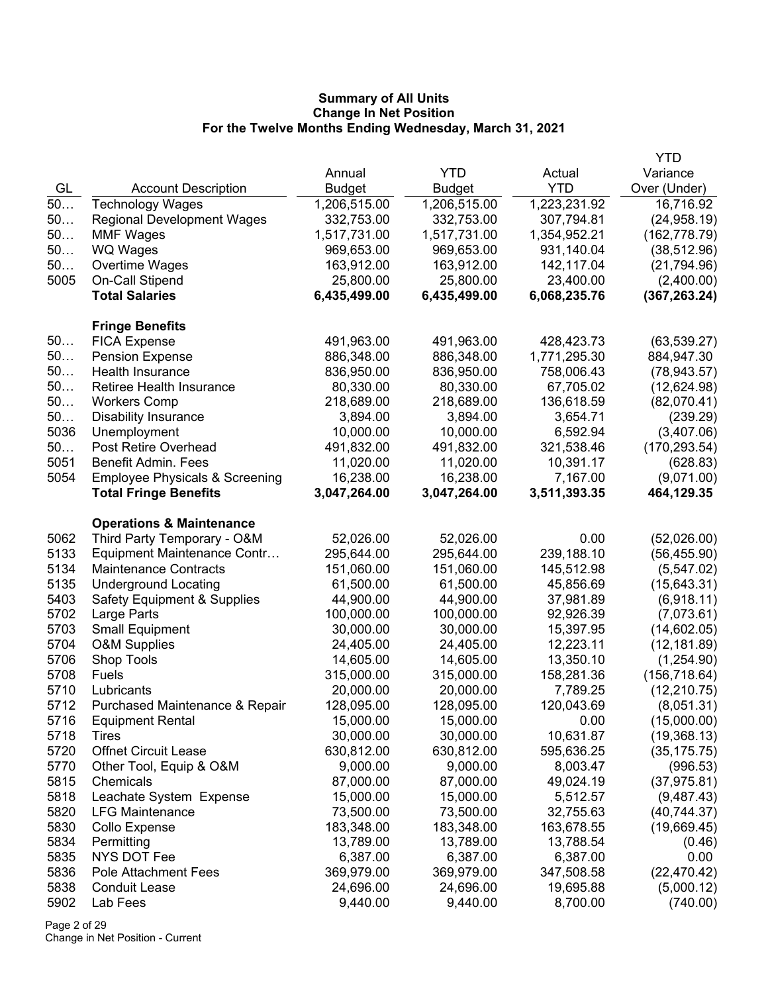|      |                                           |              |              |              | <b>YTD</b>    |
|------|-------------------------------------------|--------------|--------------|--------------|---------------|
|      |                                           | Annual       | <b>YTD</b>   | Actual       | Variance      |
| GL   | <b>Account Description</b>                | Budget       | Budget       | <b>YTD</b>   | Over (Under)  |
| 50   | <b>Technology Wages</b>                   | 1,206,515.00 | 1,206,515.00 | 1,223,231.92 | 16,716.92     |
| 50   | <b>Regional Development Wages</b>         | 332,753.00   | 332,753.00   | 307,794.81   | (24, 958.19)  |
| 50   | <b>MMF Wages</b>                          | 1,517,731.00 | 1,517,731.00 | 1,354,952.21 | (162, 778.79) |
| 50   | WQ Wages                                  | 969,653.00   | 969,653.00   | 931,140.04   | (38, 512.96)  |
| 50   | Overtime Wages                            | 163,912.00   | 163,912.00   | 142,117.04   | (21, 794.96)  |
| 5005 | On-Call Stipend                           | 25,800.00    | 25,800.00    | 23,400.00    | (2,400.00)    |
|      | <b>Total Salaries</b>                     | 6,435,499.00 | 6,435,499.00 | 6,068,235.76 | (367, 263.24) |
|      | <b>Fringe Benefits</b>                    |              |              |              |               |
| 50   | <b>FICA Expense</b>                       | 491,963.00   | 491,963.00   | 428,423.73   | (63, 539.27)  |
| 50   | <b>Pension Expense</b>                    | 886,348.00   | 886,348.00   | 1,771,295.30 | 884,947.30    |
| 50   | Health Insurance                          | 836,950.00   | 836,950.00   | 758,006.43   | (78, 943.57)  |
| 50   | Retiree Health Insurance                  | 80,330.00    | 80,330.00    | 67,705.02    | (12,624.98)   |
| 50   | <b>Workers Comp</b>                       | 218,689.00   | 218,689.00   | 136,618.59   | (82,070.41)   |
| 50   | <b>Disability Insurance</b>               | 3,894.00     | 3,894.00     | 3,654.71     | (239.29)      |
| 5036 | Unemployment                              | 10,000.00    | 10,000.00    | 6,592.94     | (3,407.06)    |
| 50   | Post Retire Overhead                      | 491,832.00   | 491,832.00   | 321,538.46   | (170, 293.54) |
| 5051 | <b>Benefit Admin. Fees</b>                | 11,020.00    | 11,020.00    | 10,391.17    | (628.83)      |
| 5054 | <b>Employee Physicals &amp; Screening</b> | 16,238.00    | 16,238.00    | 7,167.00     | (9,071.00)    |
|      | <b>Total Fringe Benefits</b>              | 3,047,264.00 | 3,047,264.00 | 3,511,393.35 | 464,129.35    |
|      | <b>Operations &amp; Maintenance</b>       |              |              |              |               |
| 5062 | Third Party Temporary - O&M               | 52,026.00    | 52,026.00    | 0.00         | (52,026.00)   |
| 5133 | Equipment Maintenance Contr               | 295,644.00   | 295,644.00   | 239,188.10   | (56, 455.90)  |
| 5134 | <b>Maintenance Contracts</b>              | 151,060.00   | 151,060.00   | 145,512.98   | (5,547.02)    |
| 5135 | <b>Underground Locating</b>               | 61,500.00    | 61,500.00    | 45,856.69    | (15, 643.31)  |
| 5403 | <b>Safety Equipment &amp; Supplies</b>    | 44,900.00    | 44,900.00    | 37,981.89    | (6,918.11)    |
| 5702 | Large Parts                               | 100,000.00   | 100,000.00   | 92,926.39    | (7,073.61)    |
| 5703 | <b>Small Equipment</b>                    | 30,000.00    | 30,000.00    | 15,397.95    | (14,602.05)   |
| 5704 | <b>O&amp;M Supplies</b>                   | 24,405.00    | 24,405.00    | 12,223.11    | (12, 181.89)  |
| 5706 | Shop Tools                                | 14,605.00    | 14,605.00    | 13,350.10    | (1,254.90)    |
| 5708 | Fuels                                     | 315,000.00   | 315,000.00   | 158,281.36   | (156, 718.64) |
| 5710 | Lubricants                                | 20,000.00    | 20,000.00    | 7,789.25     | (12, 210.75)  |
| 5712 | Purchased Maintenance & Repair            | 128,095.00   | 128,095.00   | 120,043.69   | (8,051.31)    |
| 5716 | <b>Equipment Rental</b>                   | 15,000.00    | 15,000.00    | 0.00         | (15,000.00)   |
| 5718 | <b>Tires</b>                              | 30,000.00    | 30,000.00    | 10,631.87    | (19,368.13)   |
| 5720 | <b>Offnet Circuit Lease</b>               | 630,812.00   | 630,812.00   | 595,636.25   | (35, 175.75)  |
| 5770 | Other Tool, Equip & O&M                   | 9,000.00     | 9,000.00     | 8,003.47     | (996.53)      |
| 5815 | Chemicals                                 | 87,000.00    | 87,000.00    | 49,024.19    | (37, 975.81)  |
| 5818 | Leachate System Expense                   | 15,000.00    | 15,000.00    | 5,512.57     | (9,487.43)    |
| 5820 | <b>LFG Maintenance</b>                    | 73,500.00    | 73,500.00    | 32,755.63    | (40, 744.37)  |
| 5830 | Collo Expense                             | 183,348.00   | 183,348.00   | 163,678.55   | (19,669.45)   |
| 5834 | Permitting                                | 13,789.00    | 13,789.00    | 13,788.54    | (0.46)        |
| 5835 | NYS DOT Fee                               | 6,387.00     | 6,387.00     | 6,387.00     | 0.00          |
| 5836 | <b>Pole Attachment Fees</b>               | 369,979.00   | 369,979.00   | 347,508.58   | (22, 470.42)  |
| 5838 | <b>Conduit Lease</b>                      | 24,696.00    | 24,696.00    | 19,695.88    | (5,000.12)    |
| 5902 | Lab Fees                                  | 9,440.00     | 9,440.00     | 8,700.00     | (740.00)      |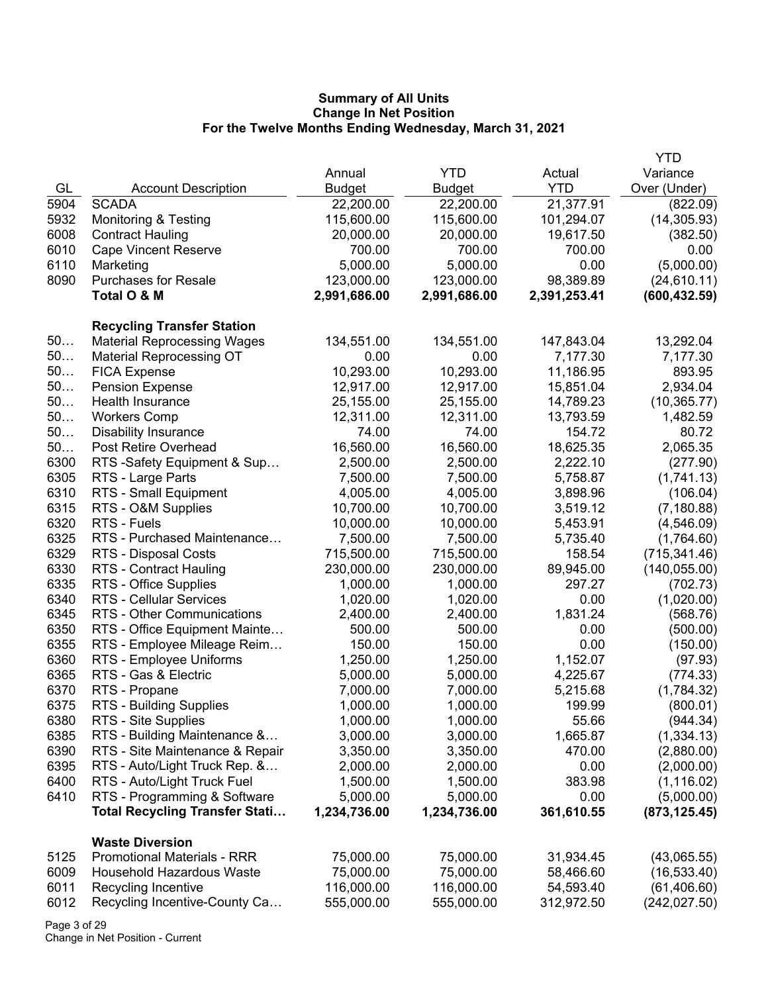|      |                                       |               |               |              | YTD           |
|------|---------------------------------------|---------------|---------------|--------------|---------------|
|      |                                       | Annual        | <b>YTD</b>    | Actual       | Variance      |
| GL   | <b>Account Description</b>            | <b>Budget</b> | <b>Budget</b> | <b>YTD</b>   | Over (Under)  |
| 5904 | <b>SCADA</b>                          | 22,200.00     | 22,200.00     | 21,377.91    | (822.09)      |
| 5932 | <b>Monitoring &amp; Testing</b>       | 115,600.00    | 115,600.00    | 101,294.07   | (14, 305.93)  |
| 6008 | <b>Contract Hauling</b>               | 20,000.00     | 20,000.00     | 19,617.50    | (382.50)      |
| 6010 | <b>Cape Vincent Reserve</b>           | 700.00        | 700.00        | 700.00       | 0.00          |
| 6110 | Marketing                             | 5,000.00      | 5,000.00      | 0.00         | (5,000.00)    |
| 8090 | <b>Purchases for Resale</b>           | 123,000.00    | 123,000.00    | 98,389.89    | (24, 610.11)  |
|      | Total O & M                           | 2,991,686.00  | 2,991,686.00  | 2,391,253.41 | (600, 432.59) |
|      |                                       |               |               |              |               |
|      | <b>Recycling Transfer Station</b>     |               |               |              |               |
| 50   | <b>Material Reprocessing Wages</b>    | 134,551.00    | 134,551.00    | 147,843.04   | 13,292.04     |
| 50   | <b>Material Reprocessing OT</b>       | 0.00          | 0.00          | 7,177.30     | 7,177.30      |
| 50   | <b>FICA Expense</b>                   | 10,293.00     | 10,293.00     | 11,186.95    | 893.95        |
| 50   | <b>Pension Expense</b>                | 12,917.00     | 12,917.00     | 15,851.04    | 2,934.04      |
| 50   | Health Insurance                      | 25,155.00     | 25,155.00     | 14,789.23    | (10, 365.77)  |
| 50   | <b>Workers Comp</b>                   | 12,311.00     | 12,311.00     | 13,793.59    | 1,482.59      |
| 50   | <b>Disability Insurance</b>           | 74.00         | 74.00         | 154.72       | 80.72         |
| 50   | Post Retire Overhead                  | 16,560.00     | 16,560.00     | 18,625.35    | 2,065.35      |
| 6300 | RTS -Safety Equipment & Sup           | 2,500.00      | 2,500.00      | 2,222.10     | (277.90)      |
| 6305 | RTS - Large Parts                     | 7,500.00      | 7,500.00      | 5,758.87     | (1,741.13)    |
| 6310 | RTS - Small Equipment                 | 4,005.00      | 4,005.00      | 3,898.96     | (106.04)      |
| 6315 | RTS - O&M Supplies                    | 10,700.00     | 10,700.00     | 3,519.12     | (7, 180.88)   |
| 6320 | RTS - Fuels                           | 10,000.00     | 10,000.00     | 5,453.91     | (4,546.09)    |
| 6325 | RTS - Purchased Maintenance           | 7,500.00      | 7,500.00      | 5,735.40     | (1,764.60)    |
| 6329 | RTS - Disposal Costs                  | 715,500.00    | 715,500.00    | 158.54       | (715, 341.46) |
| 6330 | RTS - Contract Hauling                | 230,000.00    | 230,000.00    | 89,945.00    | (140, 055.00) |
| 6335 | RTS - Office Supplies                 | 1,000.00      | 1,000.00      | 297.27       | (702.73)      |
| 6340 | <b>RTS - Cellular Services</b>        | 1,020.00      | 1,020.00      | 0.00         | (1,020.00)    |
| 6345 | RTS - Other Communications            | 2,400.00      | 2,400.00      | 1,831.24     | (568.76)      |
| 6350 | RTS - Office Equipment Mainte         | 500.00        | 500.00        | 0.00         | (500.00)      |
| 6355 | RTS - Employee Mileage Reim           | 150.00        | 150.00        | 0.00         | (150.00)      |
| 6360 | RTS - Employee Uniforms               | 1,250.00      | 1,250.00      | 1,152.07     | (97.93)       |
| 6365 | RTS - Gas & Electric                  | 5,000.00      | 5,000.00      | 4,225.67     | (774.33)      |
| 6370 | RTS - Propane                         | 7,000.00      | 7,000.00      | 5,215.68     | (1,784.32)    |
| 6375 | <b>RTS - Building Supplies</b>        | 1,000.00      | 1,000.00      | 199.99       | (800.01)      |
| 6380 | RTS - Site Supplies                   | 1,000.00      | 1,000.00      | 55.66        | (944.34)      |
| 6385 | RTS - Building Maintenance &          | 3,000.00      | 3,000.00      | 1,665.87     | (1, 334.13)   |
| 6390 | RTS - Site Maintenance & Repair       | 3,350.00      | 3,350.00      | 470.00       | (2,880.00)    |
| 6395 | RTS - Auto/Light Truck Rep. &         | 2,000.00      | 2,000.00      | 0.00         | (2,000.00)    |
| 6400 | RTS - Auto/Light Truck Fuel           | 1,500.00      | 1,500.00      | 383.98       | (1, 116.02)   |
| 6410 | RTS - Programming & Software          | 5,000.00      | 5,000.00      | 0.00         | (5,000.00)    |
|      | <b>Total Recycling Transfer Stati</b> | 1,234,736.00  | 1,234,736.00  | 361,610.55   | (873, 125.45) |
|      | <b>Waste Diversion</b>                |               |               |              |               |
| 5125 | <b>Promotional Materials - RRR</b>    | 75,000.00     | 75,000.00     | 31,934.45    | (43,065.55)   |
| 6009 | Household Hazardous Waste             | 75,000.00     | 75,000.00     | 58,466.60    | (16, 533.40)  |
| 6011 | Recycling Incentive                   | 116,000.00    | 116,000.00    | 54,593.40    | (61, 406.60)  |
| 6012 | Recycling Incentive-County Ca         | 555,000.00    | 555,000.00    | 312,972.50   | (242, 027.50) |
|      |                                       |               |               |              |               |

Page 3 of 29 Change in Net Position - Current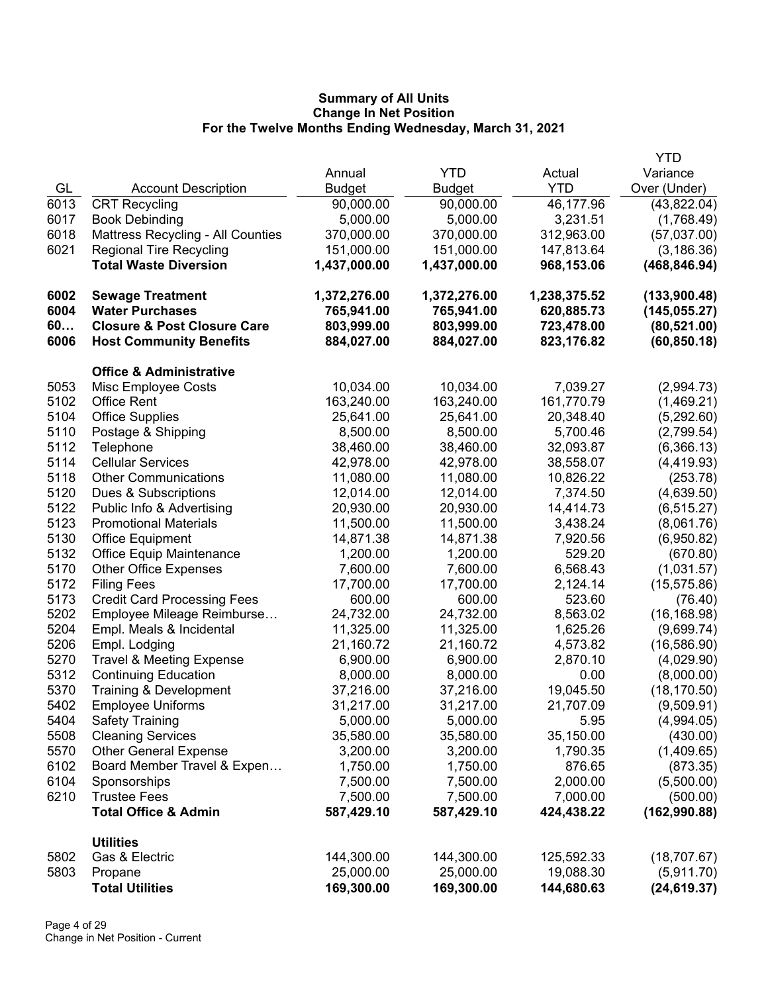|      |                                          |              |               |              | <b>YTD</b>    |
|------|------------------------------------------|--------------|---------------|--------------|---------------|
|      |                                          | Annual       | <b>YTD</b>    | Actual       | Variance      |
| GL   | <b>Account Description</b>               | Budget       | <b>Budget</b> | <b>YTD</b>   | Over (Under)  |
| 6013 | <b>CRT Recycling</b>                     | 90,000.00    | 90,000.00     | 46,177.96    | (43,822.04)   |
| 6017 | <b>Book Debinding</b>                    | 5,000.00     | 5,000.00      | 3,231.51     | (1,768.49)    |
| 6018 | <b>Mattress Recycling - All Counties</b> | 370,000.00   | 370,000.00    | 312,963.00   | (57,037.00)   |
| 6021 | <b>Regional Tire Recycling</b>           | 151,000.00   | 151,000.00    | 147,813.64   | (3, 186.36)   |
|      | <b>Total Waste Diversion</b>             | 1,437,000.00 | 1,437,000.00  | 968,153.06   | (468, 846.94) |
| 6002 | <b>Sewage Treatment</b>                  | 1,372,276.00 | 1,372,276.00  | 1,238,375.52 | (133,900.48)  |
| 6004 | <b>Water Purchases</b>                   | 765,941.00   | 765,941.00    | 620,885.73   | (145, 055.27) |
| 60   | <b>Closure &amp; Post Closure Care</b>   | 803,999.00   | 803,999.00    | 723,478.00   | (80, 521.00)  |
| 6006 | <b>Host Community Benefits</b>           | 884,027.00   | 884,027.00    | 823,176.82   | (60, 850.18)  |
|      | <b>Office &amp; Administrative</b>       |              |               |              |               |
| 5053 | Misc Employee Costs                      | 10,034.00    | 10,034.00     | 7,039.27     | (2,994.73)    |
| 5102 | <b>Office Rent</b>                       | 163,240.00   | 163,240.00    | 161,770.79   | (1,469.21)    |
| 5104 | <b>Office Supplies</b>                   | 25,641.00    | 25,641.00     | 20,348.40    | (5, 292.60)   |
| 5110 | Postage & Shipping                       | 8,500.00     | 8,500.00      | 5,700.46     | (2,799.54)    |
| 5112 | Telephone                                | 38,460.00    | 38,460.00     | 32,093.87    | (6,366.13)    |
| 5114 | <b>Cellular Services</b>                 | 42,978.00    | 42,978.00     | 38,558.07    | (4, 419.93)   |
| 5118 | <b>Other Communications</b>              | 11,080.00    | 11,080.00     | 10,826.22    | (253.78)      |
| 5120 | Dues & Subscriptions                     | 12,014.00    | 12,014.00     | 7,374.50     | (4,639.50)    |
| 5122 | Public Info & Advertising                | 20,930.00    | 20,930.00     | 14,414.73    | (6, 515.27)   |
| 5123 | <b>Promotional Materials</b>             | 11,500.00    | 11,500.00     | 3,438.24     | (8,061.76)    |
| 5130 | <b>Office Equipment</b>                  | 14,871.38    | 14,871.38     | 7,920.56     | (6,950.82)    |
| 5132 | <b>Office Equip Maintenance</b>          | 1,200.00     | 1,200.00      | 529.20       | (670.80)      |
| 5170 | <b>Other Office Expenses</b>             | 7,600.00     | 7,600.00      | 6,568.43     | (1,031.57)    |
| 5172 | <b>Filing Fees</b>                       | 17,700.00    | 17,700.00     | 2,124.14     | (15, 575.86)  |
| 5173 | <b>Credit Card Processing Fees</b>       | 600.00       | 600.00        | 523.60       | (76.40)       |
| 5202 | Employee Mileage Reimburse               | 24,732.00    | 24,732.00     | 8,563.02     | (16, 168.98)  |
| 5204 | Empl. Meals & Incidental                 | 11,325.00    | 11,325.00     | 1,625.26     | (9,699.74)    |
| 5206 | Empl. Lodging                            | 21,160.72    | 21,160.72     | 4,573.82     | (16, 586.90)  |
| 5270 | <b>Travel &amp; Meeting Expense</b>      | 6,900.00     | 6,900.00      | 2,870.10     | (4,029.90)    |
| 5312 | <b>Continuing Education</b>              | 8,000.00     | 8,000.00      | 0.00         | (8,000.00)    |
| 5370 | Training & Development                   | 37,216.00    | 37,216.00     | 19,045.50    | (18, 170.50)  |
| 5402 | <b>Employee Uniforms</b>                 | 31,217.00    | 31,217.00     | 21,707.09    | (9,509.91)    |
| 5404 | <b>Safety Training</b>                   | 5,000.00     | 5,000.00      | 5.95         | (4,994.05)    |
| 5508 | <b>Cleaning Services</b>                 | 35,580.00    | 35,580.00     | 35,150.00    | (430.00)      |
| 5570 | <b>Other General Expense</b>             | 3,200.00     | 3,200.00      | 1,790.35     | (1,409.65)    |
| 6102 | Board Member Travel & Expen              | 1,750.00     | 1,750.00      | 876.65       | (873.35)      |
| 6104 | Sponsorships                             | 7,500.00     | 7,500.00      | 2,000.00     | (5,500.00)    |
| 6210 | <b>Trustee Fees</b>                      | 7,500.00     | 7,500.00      | 7,000.00     | (500.00)      |
|      | <b>Total Office &amp; Admin</b>          | 587,429.10   | 587,429.10    | 424,438.22   | (162,990.88)  |
|      | <b>Utilities</b>                         |              |               |              |               |
| 5802 | Gas & Electric                           | 144,300.00   | 144,300.00    | 125,592.33   | (18,707.67)   |
| 5803 | Propane                                  | 25,000.00    | 25,000.00     | 19,088.30    | (5,911.70)    |
|      | <b>Total Utilities</b>                   | 169,300.00   | 169,300.00    | 144,680.63   | (24, 619.37)  |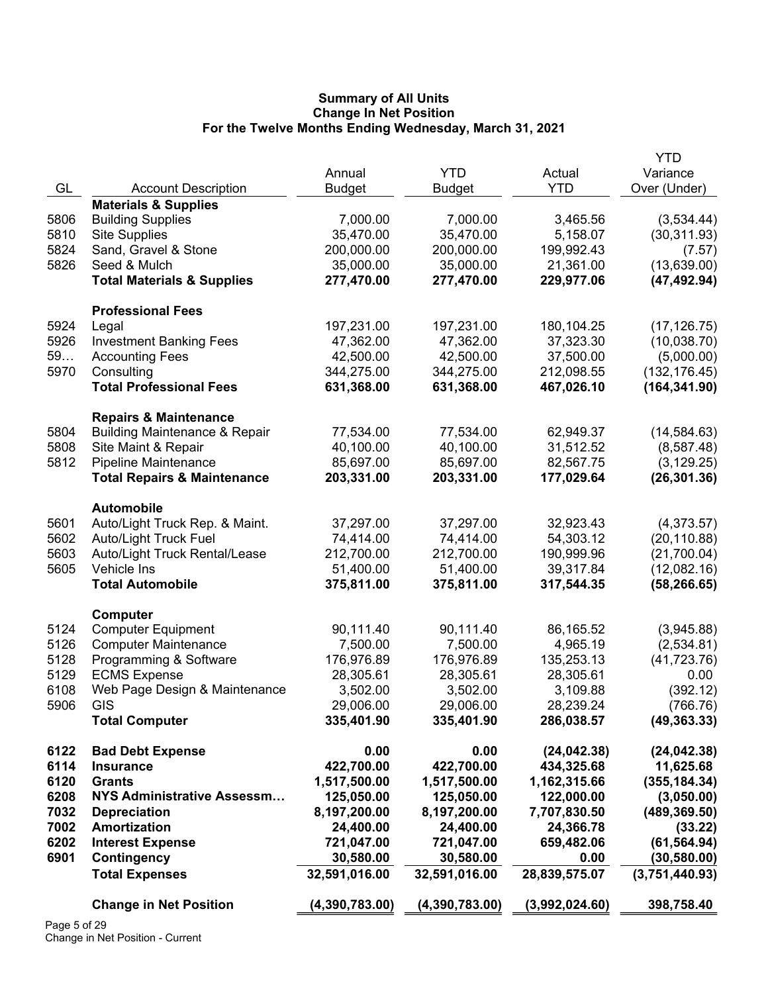|              |                                          |                            |                            |                        | <b>YTD</b>     |
|--------------|------------------------------------------|----------------------------|----------------------------|------------------------|----------------|
|              |                                          | Annual                     | <b>YTD</b>                 | Actual                 | Variance       |
| GL           | <b>Account Description</b>               | <b>Budget</b>              | <b>Budget</b>              | <b>YTD</b>             | Over (Under)   |
|              | <b>Materials &amp; Supplies</b>          |                            |                            |                        |                |
| 5806         | <b>Building Supplies</b>                 | 7,000.00                   | 7,000.00                   | 3,465.56               | (3,534.44)     |
| 5810         | <b>Site Supplies</b>                     | 35,470.00                  | 35,470.00                  | 5,158.07               | (30, 311.93)   |
| 5824         | Sand, Gravel & Stone                     | 200,000.00                 | 200,000.00                 | 199,992.43             | (7.57)         |
| 5826         | Seed & Mulch                             | 35,000.00                  | 35,000.00                  | 21,361.00              | (13,639.00)    |
|              | <b>Total Materials &amp; Supplies</b>    | 277,470.00                 | 277,470.00                 | 229,977.06             | (47, 492.94)   |
|              | <b>Professional Fees</b>                 |                            |                            |                        |                |
| 5924         | Legal                                    | 197,231.00                 | 197,231.00                 | 180,104.25             | (17, 126.75)   |
| 5926         | <b>Investment Banking Fees</b>           | 47,362.00                  | 47,362.00                  | 37,323.30              | (10,038.70)    |
| 59           | <b>Accounting Fees</b>                   | 42,500.00                  | 42,500.00                  | 37,500.00              | (5,000.00)     |
| 5970         | Consulting                               | 344,275.00                 | 344,275.00                 | 212,098.55             | (132, 176.45)  |
|              | <b>Total Professional Fees</b>           | 631,368.00                 | 631,368.00                 | 467,026.10             | (164, 341.90)  |
|              |                                          |                            |                            |                        |                |
| 5804         | <b>Repairs &amp; Maintenance</b>         |                            |                            |                        |                |
|              | <b>Building Maintenance &amp; Repair</b> | 77,534.00                  | 77,534.00                  | 62,949.37<br>31,512.52 | (14, 584.63)   |
| 5808         | Site Maint & Repair                      | 40,100.00                  | 40,100.00                  |                        | (8,587.48)     |
| 5812         | Pipeline Maintenance                     | 85,697.00                  | 85,697.00                  | 82,567.75              | (3, 129.25)    |
|              | <b>Total Repairs &amp; Maintenance</b>   | 203,331.00                 | 203,331.00                 | 177,029.64             | (26, 301.36)   |
|              | <b>Automobile</b>                        |                            |                            |                        |                |
| 5601         | Auto/Light Truck Rep. & Maint.           | 37,297.00                  | 37,297.00                  | 32,923.43              | (4,373.57)     |
| 5602         | <b>Auto/Light Truck Fuel</b>             | 74,414.00                  | 74,414.00                  | 54,303.12              | (20, 110.88)   |
| 5603         | Auto/Light Truck Rental/Lease            | 212,700.00                 | 212,700.00                 | 190,999.96             | (21,700.04)    |
| 5605         | Vehicle Ins                              | 51,400.00                  | 51,400.00                  | 39,317.84              | (12,082.16)    |
|              | <b>Total Automobile</b>                  | 375,811.00                 | 375,811.00                 | 317,544.35             | (58, 266.65)   |
|              | Computer                                 |                            |                            |                        |                |
| 5124         | <b>Computer Equipment</b>                | 90,111.40                  | 90,111.40                  | 86,165.52              | (3,945.88)     |
| 5126         | <b>Computer Maintenance</b>              | 7,500.00                   | 7,500.00                   | 4,965.19               | (2,534.81)     |
| 5128         | Programming & Software                   | 176,976.89                 | 176,976.89                 | 135,253.13             | (41, 723.76)   |
| 5129         | <b>ECMS Expense</b>                      | 28,305.61                  | 28,305.61                  | 28,305.61              | 0.00           |
| 6108         | Web Page Design & Maintenance            | 3,502.00                   | 3,502.00                   | 3,109.88               | (392.12)       |
| 5906         | GIS                                      | 29,006.00                  | 29,006.00                  | 28,239.24              | (766.76)       |
|              | <b>Total Computer</b>                    | 335,401.90                 | 335,401.90                 | 286,038.57             | (49, 363.33)   |
|              |                                          |                            |                            |                        |                |
| 6122         | <b>Bad Debt Expense</b>                  | 0.00                       | 0.00                       | (24, 042.38)           | (24, 042.38)   |
| 6114         | <b>Insurance</b>                         | 422,700.00                 | 422,700.00                 | 434,325.68             | 11,625.68      |
| 6120         | <b>Grants</b>                            | 1,517,500.00               | 1,517,500.00               | 1,162,315.66           | (355, 184.34)  |
| 6208         | <b>NYS Administrative Assessm</b>        | 125,050.00                 | 125,050.00                 | 122,000.00             | (3,050.00)     |
| 7032         | <b>Depreciation</b>                      | 8,197,200.00               | 8,197,200.00               | 7,707,830.50           | (489, 369.50)  |
| 7002         | <b>Amortization</b>                      | 24,400.00                  | 24,400.00                  | 24,366.78              | (33.22)        |
| 6202         | <b>Interest Expense</b>                  | 721,047.00                 | 721,047.00                 | 659,482.06             | (61, 564.94)   |
| 6901         | Contingency<br><b>Total Expenses</b>     | 30,580.00<br>32,591,016.00 | 30,580.00<br>32,591,016.00 | 0.00<br>28,839,575.07  | (30, 580.00)   |
|              |                                          |                            |                            |                        | (3,751,440.93) |
|              | <b>Change in Net Position</b>            | (4,390,783.00)             | (4,390,783.00)             | (3,992,024.60)         | 398,758.40     |
| Page 5 of 29 |                                          |                            |                            |                        |                |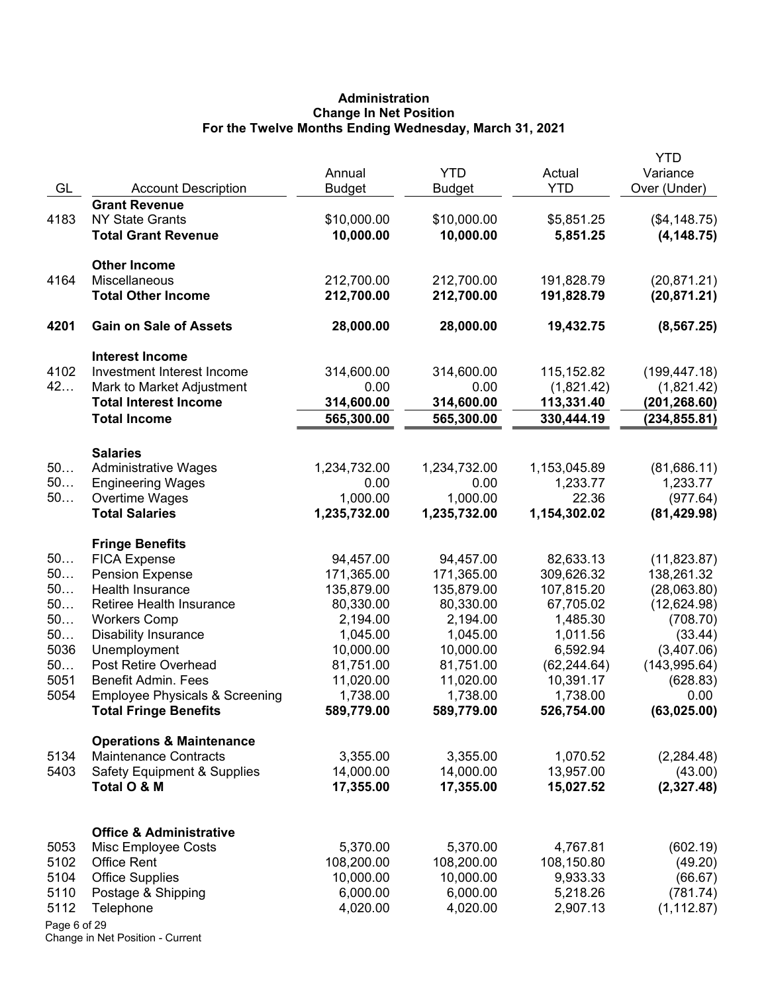# **Administration Change In Net Position For the Twelve Months Ending Wednesday, March 31, 2021**

| <b>Grant Revenue</b><br>\$10,000.00<br>4183<br><b>NY State Grants</b><br>\$10,000.00<br>\$5,851.25<br>(\$4,148.75)<br>10,000.00<br>10,000.00<br><b>Total Grant Revenue</b><br>5,851.25<br>(4, 148.75)<br><b>Other Income</b><br>212,700.00<br>4164<br>Miscellaneous<br>212,700.00<br>191,828.79<br>(20, 871.21)<br>212,700.00<br>212,700.00<br><b>Total Other Income</b><br>191,828.79<br>(20, 871.21)<br>4201<br><b>Gain on Sale of Assets</b><br>28,000.00<br>28,000.00<br>19,432.75<br>(8, 567.25)<br><b>Interest Income</b><br>4102<br>Investment Interest Income<br>314,600.00<br>115,152.82<br>(199, 447.18)<br>314,600.00<br>42<br>0.00<br>Mark to Market Adjustment<br>0.00<br>(1,821.42)<br>(1,821.42)<br><b>Total Interest Income</b><br>314,600.00<br>314,600.00<br>113,331.40<br>(201,268.60)<br><b>Total Income</b><br>565,300.00<br>565,300.00<br>330,444.19<br>(234, 855.81)<br><b>Salaries</b><br>50<br><b>Administrative Wages</b><br>1,234,732.00<br>1,234,732.00<br>1,153,045.89<br>(81,686.11)<br>50<br><b>Engineering Wages</b><br>1,233.77<br>1,233.77<br>0.00<br>0.00<br>50<br>1,000.00<br>1,000.00<br>22.36<br>(977.64)<br>Overtime Wages<br><b>Total Salaries</b><br>1,235,732.00<br>1,235,732.00<br>1,154,302.02<br>(81, 429.98)<br><b>Fringe Benefits</b><br>50<br><b>FICA Expense</b><br>94,457.00<br>94,457.00<br>82,633.13<br>(11, 823.87)<br>50<br><b>Pension Expense</b><br>171,365.00<br>171,365.00<br>309,626.32<br>138,261.32<br>50<br>Health Insurance<br>135,879.00<br>135,879.00<br>107,815.20<br>(28,063.80)<br>50<br>Retiree Health Insurance<br>80,330.00<br>80,330.00<br>67,705.02<br>(12,624.98)<br>50<br><b>Workers Comp</b><br>2,194.00<br>2,194.00<br>1,485.30<br>(708.70)<br>50<br><b>Disability Insurance</b><br>1,045.00<br>1,011.56<br>1,045.00<br>(33.44)<br>5036<br>Unemployment<br>10,000.00<br>6,592.94<br>(3,407.06)<br>10,000.00<br>50<br>Post Retire Overhead<br>81,751.00<br>81,751.00<br>(62, 244.64)<br>(143, 995.64)<br>5051<br>Benefit Admin. Fees<br>11,020.00<br>11,020.00<br>10,391.17<br>(628.83)<br>5054<br><b>Employee Physicals &amp; Screening</b><br>1,738.00<br>1,738.00<br>1,738.00<br>0.00<br>(63,025.00)<br>589,779.00<br>526,754.00<br><b>Total Fringe Benefits</b><br>589,779.00<br><b>Operations &amp; Maintenance</b><br><b>Maintenance Contracts</b><br>5134<br>3,355.00<br>3,355.00<br>1,070.52<br>(2, 284.48)<br>5403<br><b>Safety Equipment &amp; Supplies</b><br>14,000.00<br>14,000.00<br>13,957.00<br>(43.00)<br>Total O & M<br>17,355.00<br>17,355.00<br>15,027.52<br><b>Office &amp; Administrative</b><br>5,370.00<br>5,370.00<br>(602.19)<br>5053<br>Misc Employee Costs<br>4,767.81<br>5102<br><b>Office Rent</b><br>108,200.00<br>108,200.00<br>108,150.80<br>(49.20)<br>5104<br>10,000.00<br>10,000.00<br>9,933.33<br><b>Office Supplies</b><br>(66.67)<br>5110<br>Postage & Shipping<br>6,000.00<br>6,000.00<br>5,218.26<br>(781.74)<br>5112<br>4,020.00<br>4,020.00<br>2,907.13<br>(1, 112.87)<br>Telephone<br>Page 6 of 29 | GL | <b>Account Description</b> | Annual<br><b>Budget</b> | <b>YTD</b><br><b>Budget</b> | Actual<br><b>YTD</b> | <b>YTD</b><br>Variance<br>Over (Under) |
|----------------------------------------------------------------------------------------------------------------------------------------------------------------------------------------------------------------------------------------------------------------------------------------------------------------------------------------------------------------------------------------------------------------------------------------------------------------------------------------------------------------------------------------------------------------------------------------------------------------------------------------------------------------------------------------------------------------------------------------------------------------------------------------------------------------------------------------------------------------------------------------------------------------------------------------------------------------------------------------------------------------------------------------------------------------------------------------------------------------------------------------------------------------------------------------------------------------------------------------------------------------------------------------------------------------------------------------------------------------------------------------------------------------------------------------------------------------------------------------------------------------------------------------------------------------------------------------------------------------------------------------------------------------------------------------------------------------------------------------------------------------------------------------------------------------------------------------------------------------------------------------------------------------------------------------------------------------------------------------------------------------------------------------------------------------------------------------------------------------------------------------------------------------------------------------------------------------------------------------------------------------------------------------------------------------------------------------------------------------------------------------------------------------------------------------------------------------------------------------------------------------------------------------------------------------------------------------------------------------------------------------------------------------------------------------------------------------------------------------------------------------------------------------------------------------------------------------------------------------------------------------------------------------------------------------------------------------------------------------------------------------------------|----|----------------------------|-------------------------|-----------------------------|----------------------|----------------------------------------|
|                                                                                                                                                                                                                                                                                                                                                                                                                                                                                                                                                                                                                                                                                                                                                                                                                                                                                                                                                                                                                                                                                                                                                                                                                                                                                                                                                                                                                                                                                                                                                                                                                                                                                                                                                                                                                                                                                                                                                                                                                                                                                                                                                                                                                                                                                                                                                                                                                                                                                                                                                                                                                                                                                                                                                                                                                                                                                                                                                                                                                            |    |                            |                         |                             |                      |                                        |
|                                                                                                                                                                                                                                                                                                                                                                                                                                                                                                                                                                                                                                                                                                                                                                                                                                                                                                                                                                                                                                                                                                                                                                                                                                                                                                                                                                                                                                                                                                                                                                                                                                                                                                                                                                                                                                                                                                                                                                                                                                                                                                                                                                                                                                                                                                                                                                                                                                                                                                                                                                                                                                                                                                                                                                                                                                                                                                                                                                                                                            |    |                            |                         |                             |                      |                                        |
|                                                                                                                                                                                                                                                                                                                                                                                                                                                                                                                                                                                                                                                                                                                                                                                                                                                                                                                                                                                                                                                                                                                                                                                                                                                                                                                                                                                                                                                                                                                                                                                                                                                                                                                                                                                                                                                                                                                                                                                                                                                                                                                                                                                                                                                                                                                                                                                                                                                                                                                                                                                                                                                                                                                                                                                                                                                                                                                                                                                                                            |    |                            |                         |                             |                      |                                        |
|                                                                                                                                                                                                                                                                                                                                                                                                                                                                                                                                                                                                                                                                                                                                                                                                                                                                                                                                                                                                                                                                                                                                                                                                                                                                                                                                                                                                                                                                                                                                                                                                                                                                                                                                                                                                                                                                                                                                                                                                                                                                                                                                                                                                                                                                                                                                                                                                                                                                                                                                                                                                                                                                                                                                                                                                                                                                                                                                                                                                                            |    |                            |                         |                             |                      |                                        |
|                                                                                                                                                                                                                                                                                                                                                                                                                                                                                                                                                                                                                                                                                                                                                                                                                                                                                                                                                                                                                                                                                                                                                                                                                                                                                                                                                                                                                                                                                                                                                                                                                                                                                                                                                                                                                                                                                                                                                                                                                                                                                                                                                                                                                                                                                                                                                                                                                                                                                                                                                                                                                                                                                                                                                                                                                                                                                                                                                                                                                            |    |                            |                         |                             |                      |                                        |
|                                                                                                                                                                                                                                                                                                                                                                                                                                                                                                                                                                                                                                                                                                                                                                                                                                                                                                                                                                                                                                                                                                                                                                                                                                                                                                                                                                                                                                                                                                                                                                                                                                                                                                                                                                                                                                                                                                                                                                                                                                                                                                                                                                                                                                                                                                                                                                                                                                                                                                                                                                                                                                                                                                                                                                                                                                                                                                                                                                                                                            |    |                            |                         |                             |                      |                                        |
|                                                                                                                                                                                                                                                                                                                                                                                                                                                                                                                                                                                                                                                                                                                                                                                                                                                                                                                                                                                                                                                                                                                                                                                                                                                                                                                                                                                                                                                                                                                                                                                                                                                                                                                                                                                                                                                                                                                                                                                                                                                                                                                                                                                                                                                                                                                                                                                                                                                                                                                                                                                                                                                                                                                                                                                                                                                                                                                                                                                                                            |    |                            |                         |                             |                      |                                        |
|                                                                                                                                                                                                                                                                                                                                                                                                                                                                                                                                                                                                                                                                                                                                                                                                                                                                                                                                                                                                                                                                                                                                                                                                                                                                                                                                                                                                                                                                                                                                                                                                                                                                                                                                                                                                                                                                                                                                                                                                                                                                                                                                                                                                                                                                                                                                                                                                                                                                                                                                                                                                                                                                                                                                                                                                                                                                                                                                                                                                                            |    |                            |                         |                             |                      |                                        |
|                                                                                                                                                                                                                                                                                                                                                                                                                                                                                                                                                                                                                                                                                                                                                                                                                                                                                                                                                                                                                                                                                                                                                                                                                                                                                                                                                                                                                                                                                                                                                                                                                                                                                                                                                                                                                                                                                                                                                                                                                                                                                                                                                                                                                                                                                                                                                                                                                                                                                                                                                                                                                                                                                                                                                                                                                                                                                                                                                                                                                            |    |                            |                         |                             |                      |                                        |
|                                                                                                                                                                                                                                                                                                                                                                                                                                                                                                                                                                                                                                                                                                                                                                                                                                                                                                                                                                                                                                                                                                                                                                                                                                                                                                                                                                                                                                                                                                                                                                                                                                                                                                                                                                                                                                                                                                                                                                                                                                                                                                                                                                                                                                                                                                                                                                                                                                                                                                                                                                                                                                                                                                                                                                                                                                                                                                                                                                                                                            |    |                            |                         |                             |                      |                                        |
|                                                                                                                                                                                                                                                                                                                                                                                                                                                                                                                                                                                                                                                                                                                                                                                                                                                                                                                                                                                                                                                                                                                                                                                                                                                                                                                                                                                                                                                                                                                                                                                                                                                                                                                                                                                                                                                                                                                                                                                                                                                                                                                                                                                                                                                                                                                                                                                                                                                                                                                                                                                                                                                                                                                                                                                                                                                                                                                                                                                                                            |    |                            |                         |                             |                      |                                        |
|                                                                                                                                                                                                                                                                                                                                                                                                                                                                                                                                                                                                                                                                                                                                                                                                                                                                                                                                                                                                                                                                                                                                                                                                                                                                                                                                                                                                                                                                                                                                                                                                                                                                                                                                                                                                                                                                                                                                                                                                                                                                                                                                                                                                                                                                                                                                                                                                                                                                                                                                                                                                                                                                                                                                                                                                                                                                                                                                                                                                                            |    |                            |                         |                             |                      |                                        |
|                                                                                                                                                                                                                                                                                                                                                                                                                                                                                                                                                                                                                                                                                                                                                                                                                                                                                                                                                                                                                                                                                                                                                                                                                                                                                                                                                                                                                                                                                                                                                                                                                                                                                                                                                                                                                                                                                                                                                                                                                                                                                                                                                                                                                                                                                                                                                                                                                                                                                                                                                                                                                                                                                                                                                                                                                                                                                                                                                                                                                            |    |                            |                         |                             |                      |                                        |
|                                                                                                                                                                                                                                                                                                                                                                                                                                                                                                                                                                                                                                                                                                                                                                                                                                                                                                                                                                                                                                                                                                                                                                                                                                                                                                                                                                                                                                                                                                                                                                                                                                                                                                                                                                                                                                                                                                                                                                                                                                                                                                                                                                                                                                                                                                                                                                                                                                                                                                                                                                                                                                                                                                                                                                                                                                                                                                                                                                                                                            |    |                            |                         |                             |                      |                                        |
|                                                                                                                                                                                                                                                                                                                                                                                                                                                                                                                                                                                                                                                                                                                                                                                                                                                                                                                                                                                                                                                                                                                                                                                                                                                                                                                                                                                                                                                                                                                                                                                                                                                                                                                                                                                                                                                                                                                                                                                                                                                                                                                                                                                                                                                                                                                                                                                                                                                                                                                                                                                                                                                                                                                                                                                                                                                                                                                                                                                                                            |    |                            |                         |                             |                      |                                        |
|                                                                                                                                                                                                                                                                                                                                                                                                                                                                                                                                                                                                                                                                                                                                                                                                                                                                                                                                                                                                                                                                                                                                                                                                                                                                                                                                                                                                                                                                                                                                                                                                                                                                                                                                                                                                                                                                                                                                                                                                                                                                                                                                                                                                                                                                                                                                                                                                                                                                                                                                                                                                                                                                                                                                                                                                                                                                                                                                                                                                                            |    |                            |                         |                             |                      |                                        |
|                                                                                                                                                                                                                                                                                                                                                                                                                                                                                                                                                                                                                                                                                                                                                                                                                                                                                                                                                                                                                                                                                                                                                                                                                                                                                                                                                                                                                                                                                                                                                                                                                                                                                                                                                                                                                                                                                                                                                                                                                                                                                                                                                                                                                                                                                                                                                                                                                                                                                                                                                                                                                                                                                                                                                                                                                                                                                                                                                                                                                            |    |                            |                         |                             |                      |                                        |
|                                                                                                                                                                                                                                                                                                                                                                                                                                                                                                                                                                                                                                                                                                                                                                                                                                                                                                                                                                                                                                                                                                                                                                                                                                                                                                                                                                                                                                                                                                                                                                                                                                                                                                                                                                                                                                                                                                                                                                                                                                                                                                                                                                                                                                                                                                                                                                                                                                                                                                                                                                                                                                                                                                                                                                                                                                                                                                                                                                                                                            |    |                            |                         |                             |                      |                                        |
|                                                                                                                                                                                                                                                                                                                                                                                                                                                                                                                                                                                                                                                                                                                                                                                                                                                                                                                                                                                                                                                                                                                                                                                                                                                                                                                                                                                                                                                                                                                                                                                                                                                                                                                                                                                                                                                                                                                                                                                                                                                                                                                                                                                                                                                                                                                                                                                                                                                                                                                                                                                                                                                                                                                                                                                                                                                                                                                                                                                                                            |    |                            |                         |                             |                      |                                        |
|                                                                                                                                                                                                                                                                                                                                                                                                                                                                                                                                                                                                                                                                                                                                                                                                                                                                                                                                                                                                                                                                                                                                                                                                                                                                                                                                                                                                                                                                                                                                                                                                                                                                                                                                                                                                                                                                                                                                                                                                                                                                                                                                                                                                                                                                                                                                                                                                                                                                                                                                                                                                                                                                                                                                                                                                                                                                                                                                                                                                                            |    |                            |                         |                             |                      |                                        |
|                                                                                                                                                                                                                                                                                                                                                                                                                                                                                                                                                                                                                                                                                                                                                                                                                                                                                                                                                                                                                                                                                                                                                                                                                                                                                                                                                                                                                                                                                                                                                                                                                                                                                                                                                                                                                                                                                                                                                                                                                                                                                                                                                                                                                                                                                                                                                                                                                                                                                                                                                                                                                                                                                                                                                                                                                                                                                                                                                                                                                            |    |                            |                         |                             |                      |                                        |
|                                                                                                                                                                                                                                                                                                                                                                                                                                                                                                                                                                                                                                                                                                                                                                                                                                                                                                                                                                                                                                                                                                                                                                                                                                                                                                                                                                                                                                                                                                                                                                                                                                                                                                                                                                                                                                                                                                                                                                                                                                                                                                                                                                                                                                                                                                                                                                                                                                                                                                                                                                                                                                                                                                                                                                                                                                                                                                                                                                                                                            |    |                            |                         |                             |                      |                                        |
|                                                                                                                                                                                                                                                                                                                                                                                                                                                                                                                                                                                                                                                                                                                                                                                                                                                                                                                                                                                                                                                                                                                                                                                                                                                                                                                                                                                                                                                                                                                                                                                                                                                                                                                                                                                                                                                                                                                                                                                                                                                                                                                                                                                                                                                                                                                                                                                                                                                                                                                                                                                                                                                                                                                                                                                                                                                                                                                                                                                                                            |    |                            |                         |                             |                      |                                        |
|                                                                                                                                                                                                                                                                                                                                                                                                                                                                                                                                                                                                                                                                                                                                                                                                                                                                                                                                                                                                                                                                                                                                                                                                                                                                                                                                                                                                                                                                                                                                                                                                                                                                                                                                                                                                                                                                                                                                                                                                                                                                                                                                                                                                                                                                                                                                                                                                                                                                                                                                                                                                                                                                                                                                                                                                                                                                                                                                                                                                                            |    |                            |                         |                             |                      |                                        |
|                                                                                                                                                                                                                                                                                                                                                                                                                                                                                                                                                                                                                                                                                                                                                                                                                                                                                                                                                                                                                                                                                                                                                                                                                                                                                                                                                                                                                                                                                                                                                                                                                                                                                                                                                                                                                                                                                                                                                                                                                                                                                                                                                                                                                                                                                                                                                                                                                                                                                                                                                                                                                                                                                                                                                                                                                                                                                                                                                                                                                            |    |                            |                         |                             |                      |                                        |
|                                                                                                                                                                                                                                                                                                                                                                                                                                                                                                                                                                                                                                                                                                                                                                                                                                                                                                                                                                                                                                                                                                                                                                                                                                                                                                                                                                                                                                                                                                                                                                                                                                                                                                                                                                                                                                                                                                                                                                                                                                                                                                                                                                                                                                                                                                                                                                                                                                                                                                                                                                                                                                                                                                                                                                                                                                                                                                                                                                                                                            |    |                            |                         |                             |                      |                                        |
|                                                                                                                                                                                                                                                                                                                                                                                                                                                                                                                                                                                                                                                                                                                                                                                                                                                                                                                                                                                                                                                                                                                                                                                                                                                                                                                                                                                                                                                                                                                                                                                                                                                                                                                                                                                                                                                                                                                                                                                                                                                                                                                                                                                                                                                                                                                                                                                                                                                                                                                                                                                                                                                                                                                                                                                                                                                                                                                                                                                                                            |    |                            |                         |                             |                      |                                        |
|                                                                                                                                                                                                                                                                                                                                                                                                                                                                                                                                                                                                                                                                                                                                                                                                                                                                                                                                                                                                                                                                                                                                                                                                                                                                                                                                                                                                                                                                                                                                                                                                                                                                                                                                                                                                                                                                                                                                                                                                                                                                                                                                                                                                                                                                                                                                                                                                                                                                                                                                                                                                                                                                                                                                                                                                                                                                                                                                                                                                                            |    |                            |                         |                             |                      |                                        |
|                                                                                                                                                                                                                                                                                                                                                                                                                                                                                                                                                                                                                                                                                                                                                                                                                                                                                                                                                                                                                                                                                                                                                                                                                                                                                                                                                                                                                                                                                                                                                                                                                                                                                                                                                                                                                                                                                                                                                                                                                                                                                                                                                                                                                                                                                                                                                                                                                                                                                                                                                                                                                                                                                                                                                                                                                                                                                                                                                                                                                            |    |                            |                         |                             |                      |                                        |
|                                                                                                                                                                                                                                                                                                                                                                                                                                                                                                                                                                                                                                                                                                                                                                                                                                                                                                                                                                                                                                                                                                                                                                                                                                                                                                                                                                                                                                                                                                                                                                                                                                                                                                                                                                                                                                                                                                                                                                                                                                                                                                                                                                                                                                                                                                                                                                                                                                                                                                                                                                                                                                                                                                                                                                                                                                                                                                                                                                                                                            |    |                            |                         |                             |                      |                                        |
|                                                                                                                                                                                                                                                                                                                                                                                                                                                                                                                                                                                                                                                                                                                                                                                                                                                                                                                                                                                                                                                                                                                                                                                                                                                                                                                                                                                                                                                                                                                                                                                                                                                                                                                                                                                                                                                                                                                                                                                                                                                                                                                                                                                                                                                                                                                                                                                                                                                                                                                                                                                                                                                                                                                                                                                                                                                                                                                                                                                                                            |    |                            |                         |                             |                      |                                        |
|                                                                                                                                                                                                                                                                                                                                                                                                                                                                                                                                                                                                                                                                                                                                                                                                                                                                                                                                                                                                                                                                                                                                                                                                                                                                                                                                                                                                                                                                                                                                                                                                                                                                                                                                                                                                                                                                                                                                                                                                                                                                                                                                                                                                                                                                                                                                                                                                                                                                                                                                                                                                                                                                                                                                                                                                                                                                                                                                                                                                                            |    |                            |                         |                             |                      | (2,327.48)                             |
|                                                                                                                                                                                                                                                                                                                                                                                                                                                                                                                                                                                                                                                                                                                                                                                                                                                                                                                                                                                                                                                                                                                                                                                                                                                                                                                                                                                                                                                                                                                                                                                                                                                                                                                                                                                                                                                                                                                                                                                                                                                                                                                                                                                                                                                                                                                                                                                                                                                                                                                                                                                                                                                                                                                                                                                                                                                                                                                                                                                                                            |    |                            |                         |                             |                      |                                        |
|                                                                                                                                                                                                                                                                                                                                                                                                                                                                                                                                                                                                                                                                                                                                                                                                                                                                                                                                                                                                                                                                                                                                                                                                                                                                                                                                                                                                                                                                                                                                                                                                                                                                                                                                                                                                                                                                                                                                                                                                                                                                                                                                                                                                                                                                                                                                                                                                                                                                                                                                                                                                                                                                                                                                                                                                                                                                                                                                                                                                                            |    |                            |                         |                             |                      |                                        |
|                                                                                                                                                                                                                                                                                                                                                                                                                                                                                                                                                                                                                                                                                                                                                                                                                                                                                                                                                                                                                                                                                                                                                                                                                                                                                                                                                                                                                                                                                                                                                                                                                                                                                                                                                                                                                                                                                                                                                                                                                                                                                                                                                                                                                                                                                                                                                                                                                                                                                                                                                                                                                                                                                                                                                                                                                                                                                                                                                                                                                            |    |                            |                         |                             |                      |                                        |
|                                                                                                                                                                                                                                                                                                                                                                                                                                                                                                                                                                                                                                                                                                                                                                                                                                                                                                                                                                                                                                                                                                                                                                                                                                                                                                                                                                                                                                                                                                                                                                                                                                                                                                                                                                                                                                                                                                                                                                                                                                                                                                                                                                                                                                                                                                                                                                                                                                                                                                                                                                                                                                                                                                                                                                                                                                                                                                                                                                                                                            |    |                            |                         |                             |                      |                                        |
|                                                                                                                                                                                                                                                                                                                                                                                                                                                                                                                                                                                                                                                                                                                                                                                                                                                                                                                                                                                                                                                                                                                                                                                                                                                                                                                                                                                                                                                                                                                                                                                                                                                                                                                                                                                                                                                                                                                                                                                                                                                                                                                                                                                                                                                                                                                                                                                                                                                                                                                                                                                                                                                                                                                                                                                                                                                                                                                                                                                                                            |    |                            |                         |                             |                      |                                        |
|                                                                                                                                                                                                                                                                                                                                                                                                                                                                                                                                                                                                                                                                                                                                                                                                                                                                                                                                                                                                                                                                                                                                                                                                                                                                                                                                                                                                                                                                                                                                                                                                                                                                                                                                                                                                                                                                                                                                                                                                                                                                                                                                                                                                                                                                                                                                                                                                                                                                                                                                                                                                                                                                                                                                                                                                                                                                                                                                                                                                                            |    |                            |                         |                             |                      |                                        |
|                                                                                                                                                                                                                                                                                                                                                                                                                                                                                                                                                                                                                                                                                                                                                                                                                                                                                                                                                                                                                                                                                                                                                                                                                                                                                                                                                                                                                                                                                                                                                                                                                                                                                                                                                                                                                                                                                                                                                                                                                                                                                                                                                                                                                                                                                                                                                                                                                                                                                                                                                                                                                                                                                                                                                                                                                                                                                                                                                                                                                            |    |                            |                         |                             |                      |                                        |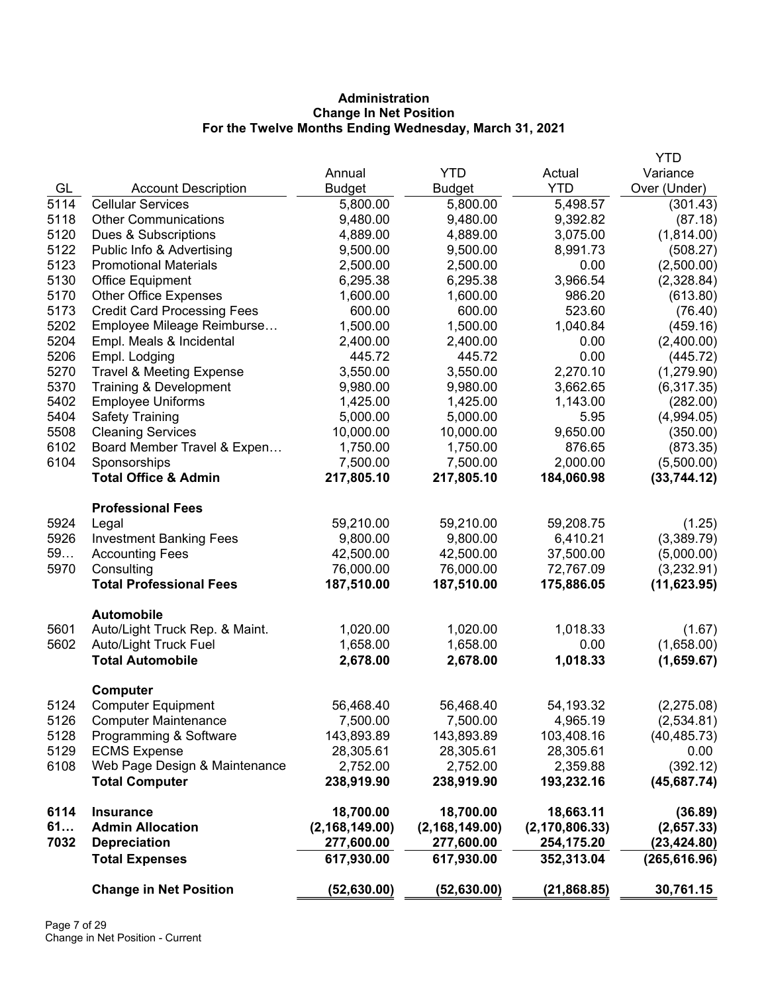# **Administration Change In Net Position For the Twelve Months Ending Wednesday, March 31, 2021**

|      |                                     |                  |                  |                  | <b>YTD</b>    |
|------|-------------------------------------|------------------|------------------|------------------|---------------|
|      |                                     | Annual           | <b>YTD</b>       | Actual           | Variance      |
| GL   | <b>Account Description</b>          | <b>Budget</b>    | <b>Budget</b>    | <b>YTD</b>       | Over (Under)  |
| 5114 | <b>Cellular Services</b>            | 5,800.00         | 5,800.00         | 5,498.57         | (301.43)      |
| 5118 | <b>Other Communications</b>         | 9,480.00         | 9,480.00         | 9,392.82         | (87.18)       |
| 5120 | Dues & Subscriptions                | 4,889.00         | 4,889.00         | 3,075.00         | (1,814.00)    |
| 5122 | Public Info & Advertising           | 9,500.00         | 9,500.00         | 8,991.73         | (508.27)      |
| 5123 | <b>Promotional Materials</b>        | 2,500.00         | 2,500.00         | 0.00             | (2,500.00)    |
| 5130 | Office Equipment                    | 6,295.38         | 6,295.38         | 3,966.54         | (2,328.84)    |
| 5170 | <b>Other Office Expenses</b>        | 1,600.00         | 1,600.00         | 986.20           | (613.80)      |
| 5173 | <b>Credit Card Processing Fees</b>  | 600.00           | 600.00           | 523.60           | (76.40)       |
| 5202 | Employee Mileage Reimburse          | 1,500.00         | 1,500.00         | 1,040.84         | (459.16)      |
| 5204 | Empl. Meals & Incidental            | 2,400.00         | 2,400.00         | 0.00             | (2,400.00)    |
| 5206 | Empl. Lodging                       | 445.72           | 445.72           | 0.00             | (445.72)      |
| 5270 | <b>Travel &amp; Meeting Expense</b> | 3,550.00         | 3,550.00         | 2,270.10         | (1,279.90)    |
| 5370 | Training & Development              | 9,980.00         | 9,980.00         | 3,662.65         | (6,317.35)    |
| 5402 | <b>Employee Uniforms</b>            | 1,425.00         | 1,425.00         | 1,143.00         | (282.00)      |
| 5404 | <b>Safety Training</b>              | 5,000.00         | 5,000.00         | 5.95             | (4,994.05)    |
| 5508 | <b>Cleaning Services</b>            | 10,000.00        | 10,000.00        | 9,650.00         | (350.00)      |
| 6102 | Board Member Travel & Expen         | 1,750.00         | 1,750.00         | 876.65           | (873.35)      |
| 6104 | Sponsorships                        | 7,500.00         | 7,500.00         | 2,000.00         | (5,500.00)    |
|      | <b>Total Office &amp; Admin</b>     | 217,805.10       | 217,805.10       | 184,060.98       | (33,744.12)   |
|      | <b>Professional Fees</b>            |                  |                  |                  |               |
| 5924 | Legal                               | 59,210.00        | 59,210.00        | 59,208.75        | (1.25)        |
| 5926 | <b>Investment Banking Fees</b>      | 9,800.00         | 9,800.00         | 6,410.21         | (3,389.79)    |
| 59   | <b>Accounting Fees</b>              | 42,500.00        | 42,500.00        | 37,500.00        | (5,000.00)    |
| 5970 | Consulting                          | 76,000.00        | 76,000.00        | 72,767.09        | (3,232.91)    |
|      | <b>Total Professional Fees</b>      | 187,510.00       | 187,510.00       | 175,886.05       | (11,623.95)   |
|      | <b>Automobile</b>                   |                  |                  |                  |               |
| 5601 | Auto/Light Truck Rep. & Maint.      | 1,020.00         | 1,020.00         | 1,018.33         | (1.67)        |
| 5602 | Auto/Light Truck Fuel               | 1,658.00         | 1,658.00         | 0.00             | (1,658.00)    |
|      | <b>Total Automobile</b>             | 2,678.00         | 2,678.00         | 1,018.33         | (1,659.67)    |
|      | Computer                            |                  |                  |                  |               |
| 5124 | <b>Computer Equipment</b>           | 56,468.40        | 56,468.40        | 54,193.32        | (2,275.08)    |
| 5126 | <b>Computer Maintenance</b>         | 7,500.00         | 7,500.00         | 4,965.19         | (2,534.81)    |
| 5128 | Programming & Software              | 143,893.89       | 143,893.89       | 103,408.16       | (40, 485.73)  |
| 5129 | <b>ECMS Expense</b>                 | 28,305.61        | 28,305.61        | 28,305.61        | 0.00          |
| 6108 | Web Page Design & Maintenance       | 2,752.00         | 2,752.00         | 2,359.88         | (392.12)      |
|      | <b>Total Computer</b>               | 238,919.90       | 238,919.90       | 193,232.16       | (45, 687.74)  |
| 6114 | <b>Insurance</b>                    | 18,700.00        | 18,700.00        | 18,663.11        | (36.89)       |
| 61   | <b>Admin Allocation</b>             | (2, 168, 149.00) | (2, 168, 149.00) | (2, 170, 806.33) | (2,657.33)    |
| 7032 | <b>Depreciation</b>                 | 277,600.00       | 277,600.00       | 254,175.20       | (23, 424.80)  |
|      | <b>Total Expenses</b>               | 617,930.00       | 617,930.00       | 352,313.04       | (265, 616.96) |
|      | <b>Change in Net Position</b>       | (52, 630.00)     | (52, 630.00)     | (21, 868.85)     | 30,761.15     |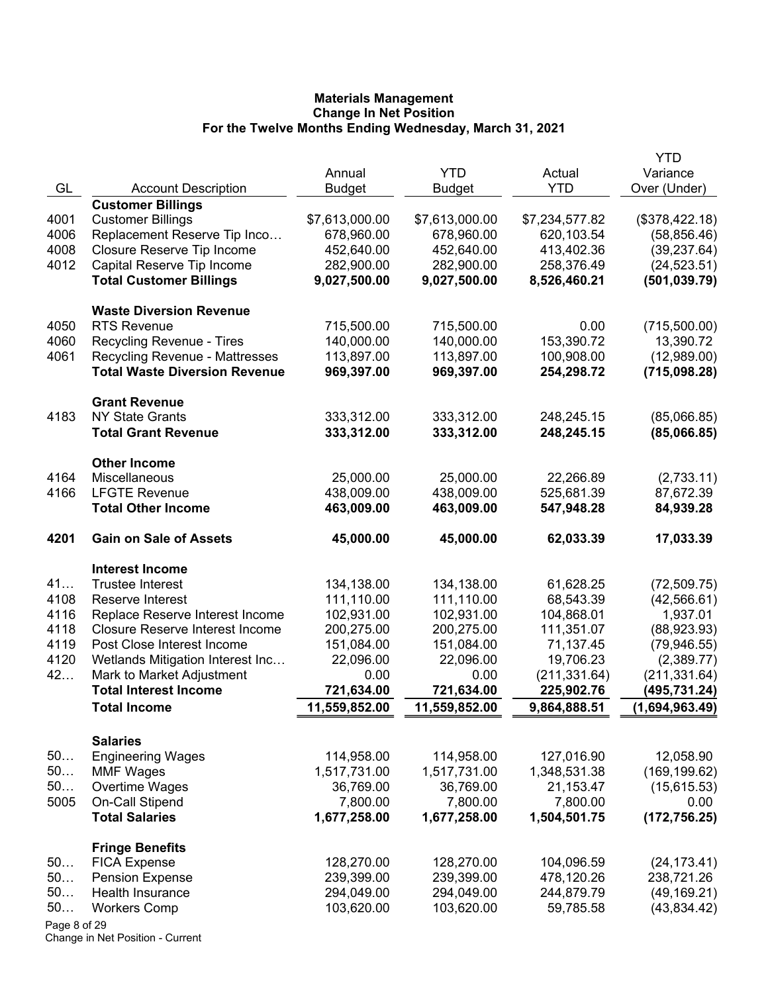|              |                                        |                |                |                | YTD            |
|--------------|----------------------------------------|----------------|----------------|----------------|----------------|
|              |                                        | Annual         | <b>YTD</b>     | Actual         | Variance       |
| GL           | <b>Account Description</b>             | <b>Budget</b>  | Budget         | <b>YTD</b>     | Over (Under)   |
|              | <b>Customer Billings</b>               |                |                |                |                |
| 4001         | <b>Customer Billings</b>               | \$7,613,000.00 | \$7,613,000.00 | \$7,234,577.82 | (\$378,422.18) |
| 4006         | Replacement Reserve Tip Inco           | 678,960.00     | 678,960.00     | 620,103.54     | (58, 856.46)   |
| 4008         | Closure Reserve Tip Income             | 452,640.00     | 452,640.00     | 413,402.36     | (39, 237.64)   |
| 4012         | Capital Reserve Tip Income             | 282,900.00     | 282,900.00     | 258,376.49     | (24, 523.51)   |
|              | <b>Total Customer Billings</b>         | 9,027,500.00   | 9,027,500.00   | 8,526,460.21   | (501, 039.79)  |
|              | <b>Waste Diversion Revenue</b>         |                |                |                |                |
| 4050         | <b>RTS Revenue</b>                     | 715,500.00     | 715,500.00     | 0.00           | (715,500.00)   |
| 4060         | Recycling Revenue - Tires              | 140,000.00     | 140,000.00     | 153,390.72     | 13,390.72      |
| 4061         | <b>Recycling Revenue - Mattresses</b>  | 113,897.00     | 113,897.00     | 100,908.00     | (12,989.00)    |
|              | <b>Total Waste Diversion Revenue</b>   | 969,397.00     | 969,397.00     | 254,298.72     | (715,098.28)   |
|              | <b>Grant Revenue</b>                   |                |                |                |                |
| 4183         | <b>NY State Grants</b>                 | 333,312.00     | 333,312.00     | 248,245.15     | (85,066.85)    |
|              | <b>Total Grant Revenue</b>             | 333,312.00     | 333,312.00     | 248,245.15     | (85,066.85)    |
|              | <b>Other Income</b>                    |                |                |                |                |
| 4164         | Miscellaneous                          | 25,000.00      | 25,000.00      | 22,266.89      | (2,733.11)     |
| 4166         | <b>LFGTE Revenue</b>                   | 438,009.00     | 438,009.00     | 525,681.39     | 87,672.39      |
|              | <b>Total Other Income</b>              | 463,009.00     | 463,009.00     | 547,948.28     | 84,939.28      |
|              |                                        |                |                |                |                |
| 4201         | <b>Gain on Sale of Assets</b>          | 45,000.00      | 45,000.00      | 62,033.39      | 17,033.39      |
|              | <b>Interest Income</b>                 |                |                |                |                |
| 41           | <b>Trustee Interest</b>                | 134,138.00     | 134,138.00     | 61,628.25      | (72, 509.75)   |
| 4108         | Reserve Interest                       | 111,110.00     | 111,110.00     | 68,543.39      | (42, 566.61)   |
| 4116         | Replace Reserve Interest Income        | 102,931.00     | 102,931.00     | 104,868.01     | 1,937.01       |
| 4118         | <b>Closure Reserve Interest Income</b> | 200,275.00     | 200,275.00     | 111,351.07     | (88,923.93)    |
| 4119         | Post Close Interest Income             | 151,084.00     | 151,084.00     | 71,137.45      | (79, 946.55)   |
| 4120         | Wetlands Mitigation Interest Inc       | 22,096.00      | 22,096.00      | 19,706.23      | (2,389.77)     |
| 42           | Mark to Market Adjustment              | 0.00           | 0.00           | (211, 331.64)  | (211, 331.64)  |
|              | <b>Total Interest Income</b>           | 721,634.00     | 721,634.00     | 225,902.76     | (495,731.24)   |
|              | <b>Total Income</b>                    | 11,559,852.00  | 11,559,852.00  | 9,864,888.51   | (1,694,963.49) |
|              | <b>Salaries</b>                        |                |                |                |                |
| 50           | <b>Engineering Wages</b>               | 114,958.00     | 114,958.00     | 127,016.90     | 12,058.90      |
| 50           | <b>MMF Wages</b>                       | 1,517,731.00   | 1,517,731.00   | 1,348,531.38   | (169, 199.62)  |
| 50           | Overtime Wages                         | 36,769.00      | 36,769.00      | 21,153.47      | (15,615.53)    |
| 5005         | On-Call Stipend                        | 7,800.00       | 7,800.00       | 7,800.00       | 0.00           |
|              | <b>Total Salaries</b>                  | 1,677,258.00   | 1,677,258.00   | 1,504,501.75   | (172, 756.25)  |
|              |                                        |                |                |                |                |
|              | <b>Fringe Benefits</b>                 |                |                |                |                |
| 50           | <b>FICA Expense</b>                    | 128,270.00     | 128,270.00     | 104,096.59     | (24, 173.41)   |
| 50           | <b>Pension Expense</b>                 | 239,399.00     | 239,399.00     | 478,120.26     | 238,721.26     |
| 50<br>50     | <b>Health Insurance</b>                | 294,049.00     | 294,049.00     | 244,879.79     | (49, 169.21)   |
|              | <b>Workers Comp</b>                    | 103,620.00     | 103,620.00     | 59,785.58      | (43,834.42)    |
| Page 8 of 29 |                                        |                |                |                |                |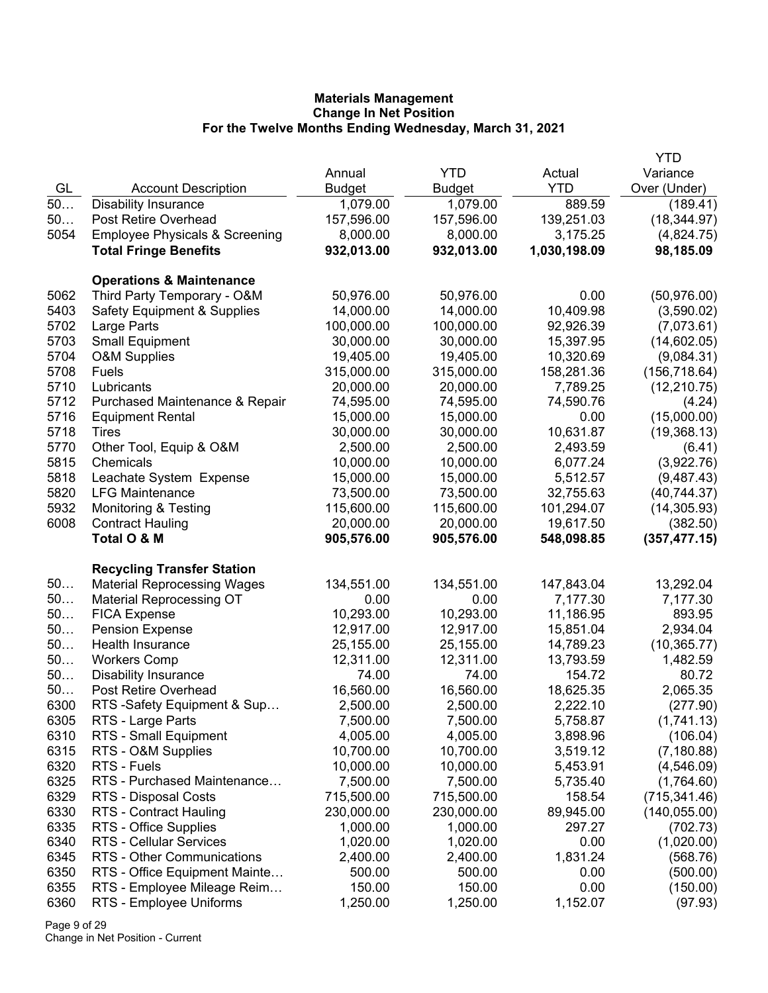|      |                                           |               |               |              | <b>YTD</b>    |
|------|-------------------------------------------|---------------|---------------|--------------|---------------|
|      |                                           | Annual        | <b>YTD</b>    | Actual       | Variance      |
| GL   | <b>Account Description</b>                | <b>Budget</b> | <b>Budget</b> | <b>YTD</b>   | Over (Under)  |
| 50   | <b>Disability Insurance</b>               | 1,079.00      | 1,079.00      | 889.59       | (189.41)      |
| 50   | Post Retire Overhead                      | 157,596.00    | 157,596.00    | 139,251.03   | (18, 344.97)  |
| 5054 | <b>Employee Physicals &amp; Screening</b> | 8,000.00      | 8,000.00      | 3,175.25     | (4,824.75)    |
|      | <b>Total Fringe Benefits</b>              | 932,013.00    | 932,013.00    | 1,030,198.09 | 98,185.09     |
|      | <b>Operations &amp; Maintenance</b>       |               |               |              |               |
| 5062 | Third Party Temporary - O&M               | 50,976.00     | 50,976.00     | 0.00         | (50, 976.00)  |
| 5403 | <b>Safety Equipment &amp; Supplies</b>    | 14,000.00     | 14,000.00     | 10,409.98    | (3,590.02)    |
| 5702 | Large Parts                               | 100,000.00    | 100,000.00    | 92,926.39    | (7,073.61)    |
| 5703 | <b>Small Equipment</b>                    | 30,000.00     | 30,000.00     | 15,397.95    | (14,602.05)   |
| 5704 | <b>O&amp;M Supplies</b>                   | 19,405.00     | 19,405.00     | 10,320.69    | (9,084.31)    |
| 5708 | <b>Fuels</b>                              | 315,000.00    | 315,000.00    | 158,281.36   | (156, 718.64) |
| 5710 | Lubricants                                | 20,000.00     | 20,000.00     | 7,789.25     | (12, 210.75)  |
| 5712 | Purchased Maintenance & Repair            | 74,595.00     | 74,595.00     | 74,590.76    | (4.24)        |
| 5716 | <b>Equipment Rental</b>                   | 15,000.00     | 15,000.00     | 0.00         | (15,000.00)   |
| 5718 | Tires                                     | 30,000.00     | 30,000.00     | 10,631.87    | (19,368.13)   |
| 5770 | Other Tool, Equip & O&M                   | 2,500.00      | 2,500.00      | 2,493.59     | (6.41)        |
| 5815 | Chemicals                                 | 10,000.00     | 10,000.00     | 6,077.24     |               |
| 5818 | Leachate System Expense                   | 15,000.00     | 15,000.00     | 5,512.57     | (3,922.76)    |
| 5820 | <b>LFG Maintenance</b>                    |               | 73,500.00     |              | (9,487.43)    |
|      |                                           | 73,500.00     |               | 32,755.63    | (40, 744.37)  |
| 5932 | <b>Monitoring &amp; Testing</b>           | 115,600.00    | 115,600.00    | 101,294.07   | (14, 305.93)  |
| 6008 | <b>Contract Hauling</b>                   | 20,000.00     | 20,000.00     | 19,617.50    | (382.50)      |
|      | Total O & M                               | 905,576.00    | 905,576.00    | 548,098.85   | (357, 477.15) |
|      | <b>Recycling Transfer Station</b>         |               |               |              |               |
| 50   | <b>Material Reprocessing Wages</b>        | 134,551.00    | 134,551.00    | 147,843.04   | 13,292.04     |
| 50   | <b>Material Reprocessing OT</b>           | 0.00          | 0.00          | 7,177.30     | 7,177.30      |
| 50   | <b>FICA Expense</b>                       | 10,293.00     | 10,293.00     | 11,186.95    | 893.95        |
| 50   | <b>Pension Expense</b>                    | 12,917.00     | 12,917.00     | 15,851.04    | 2,934.04      |
| 50   | Health Insurance                          | 25,155.00     | 25,155.00     | 14,789.23    | (10, 365.77)  |
| 50   | <b>Workers Comp</b>                       | 12,311.00     | 12,311.00     | 13,793.59    | 1,482.59      |
| 50   | <b>Disability Insurance</b>               | 74.00         | 74.00         | 154.72       | 80.72         |
| 50   | Post Retire Overhead                      | 16,560.00     | 16,560.00     | 18,625.35    | 2,065.35      |
| 6300 | RTS -Safety Equipment & Sup               | 2,500.00      | 2,500.00      | 2,222.10     | (277.90)      |
| 6305 | RTS - Large Parts                         | 7,500.00      | 7,500.00      | 5,758.87     | (1,741.13)    |
| 6310 | RTS - Small Equipment                     | 4,005.00      | 4,005.00      | 3,898.96     | (106.04)      |
| 6315 | RTS - O&M Supplies                        | 10,700.00     | 10,700.00     | 3,519.12     | (7, 180.88)   |
| 6320 | RTS - Fuels                               | 10,000.00     | 10,000.00     | 5,453.91     | (4,546.09)    |
| 6325 | RTS - Purchased Maintenance               | 7,500.00      | 7,500.00      | 5,735.40     | (1,764.60)    |
| 6329 | RTS - Disposal Costs                      | 715,500.00    | 715,500.00    | 158.54       | (715, 341.46) |
| 6330 | RTS - Contract Hauling                    | 230,000.00    | 230,000.00    | 89,945.00    | (140, 055.00) |
| 6335 | RTS - Office Supplies                     | 1,000.00      | 1,000.00      | 297.27       | (702.73)      |
| 6340 | <b>RTS - Cellular Services</b>            | 1,020.00      | 1,020.00      | 0.00         | (1,020.00)    |
| 6345 | RTS - Other Communications                | 2,400.00      | 2,400.00      | 1,831.24     | (568.76)      |
| 6350 | RTS - Office Equipment Mainte             | 500.00        | 500.00        | 0.00         | (500.00)      |
| 6355 | RTS - Employee Mileage Reim               | 150.00        | 150.00        | 0.00         | (150.00)      |
| 6360 | RTS - Employee Uniforms                   | 1,250.00      | 1,250.00      | 1,152.07     | (97.93)       |
|      |                                           |               |               |              |               |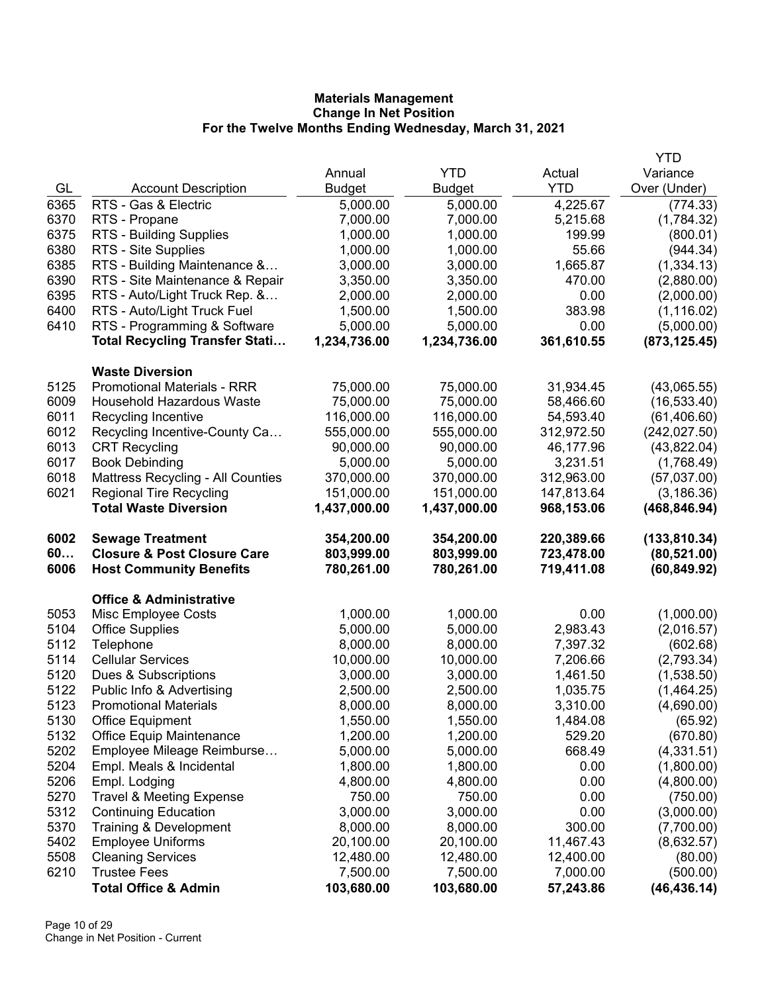|      |                                                        |                        |                        |                       | <b>YTD</b>               |
|------|--------------------------------------------------------|------------------------|------------------------|-----------------------|--------------------------|
|      |                                                        | Annual                 | <b>YTD</b>             | Actual                | Variance                 |
| GL   | <b>Account Description</b>                             | <b>Budget</b>          | <b>Budget</b>          | <b>YTD</b>            | Over (Under)             |
| 6365 | RTS - Gas & Electric                                   | 5,000.00               | 5,000.00               | 4,225.67              | (774.33)                 |
| 6370 | RTS - Propane                                          | 7,000.00               | 7,000.00               | 5,215.68              | (1,784.32)               |
| 6375 | <b>RTS - Building Supplies</b>                         | 1,000.00               | 1,000.00               | 199.99                | (800.01)                 |
| 6380 | RTS - Site Supplies                                    | 1,000.00               | 1,000.00               | 55.66                 | (944.34)                 |
| 6385 | RTS - Building Maintenance &                           | 3,000.00               | 3,000.00               | 1,665.87              | (1, 334.13)              |
| 6390 | RTS - Site Maintenance & Repair                        | 3,350.00               | 3,350.00               | 470.00                | (2,880.00)               |
| 6395 | RTS - Auto/Light Truck Rep. &                          | 2,000.00               | 2,000.00               | 0.00                  | (2,000.00)               |
| 6400 | RTS - Auto/Light Truck Fuel                            | 1,500.00               | 1,500.00               | 383.98                | (1, 116.02)              |
| 6410 | RTS - Programming & Software                           | 5,000.00               | 5,000.00               | 0.00                  | (5,000.00)               |
|      | <b>Total Recycling Transfer Stati</b>                  | 1,234,736.00           | 1,234,736.00           | 361,610.55            | (873, 125.45)            |
|      | <b>Waste Diversion</b>                                 |                        |                        |                       |                          |
| 5125 | <b>Promotional Materials - RRR</b>                     | 75,000.00              | 75,000.00              | 31,934.45             | (43,065.55)              |
| 6009 | <b>Household Hazardous Waste</b>                       | 75,000.00              | 75,000.00              | 58,466.60             | (16, 533.40)             |
| 6011 | Recycling Incentive                                    | 116,000.00             | 116,000.00             | 54,593.40             | (61, 406.60)             |
| 6012 | Recycling Incentive-County Ca                          | 555,000.00             | 555,000.00             | 312,972.50            | (242, 027.50)            |
| 6013 | <b>CRT Recycling</b>                                   | 90,000.00              | 90,000.00              | 46,177.96             | (43,822.04)              |
| 6017 | <b>Book Debinding</b>                                  | 5,000.00               | 5,000.00               | 3,231.51              | (1,768.49)               |
| 6018 | Mattress Recycling - All Counties                      | 370,000.00             | 370,000.00             | 312,963.00            | (57,037.00)              |
| 6021 | <b>Regional Tire Recycling</b>                         | 151,000.00             | 151,000.00             | 147,813.64            | (3, 186.36)              |
|      | <b>Total Waste Diversion</b>                           | 1,437,000.00           | 1,437,000.00           | 968,153.06            | (468, 846.94)            |
| 6002 | <b>Sewage Treatment</b>                                | 354,200.00             | 354,200.00             | 220,389.66            | (133, 810.34)            |
|      |                                                        | 803,999.00             | 803,999.00             | 723,478.00            | (80, 521.00)             |
| 60   | <b>Closure &amp; Post Closure Care</b>                 |                        |                        |                       |                          |
| 6006 | <b>Host Community Benefits</b>                         | 780,261.00             | 780,261.00             | 719,411.08            | (60, 849.92)             |
|      | <b>Office &amp; Administrative</b>                     |                        |                        |                       |                          |
| 5053 | Misc Employee Costs                                    | 1,000.00               | 1,000.00               | 0.00                  | (1,000.00)               |
| 5104 | <b>Office Supplies</b>                                 | 5,000.00               | 5,000.00               | 2,983.43              | (2,016.57)               |
| 5112 | Telephone                                              | 8,000.00               | 8,000.00               | 7,397.32              | (602.68)                 |
| 5114 | <b>Cellular Services</b>                               | 10,000.00              | 10,000.00              | 7,206.66              | (2,793.34)               |
| 5120 | Dues & Subscriptions                                   | 3,000.00               | 3,000.00               | 1,461.50              | (1,538.50)               |
| 5122 | Public Info & Advertising                              | 2,500.00               | 2,500.00               | 1,035.75              | (1,464.25)               |
| 5123 | <b>Promotional Materials</b>                           | 8,000.00               | 8,000.00               | 3,310.00              | (4,690.00)               |
| 5130 | <b>Office Equipment</b>                                | 1,550.00               | 1,550.00               | 1,484.08              | (65.92)                  |
| 5132 | <b>Office Equip Maintenance</b>                        | 1,200.00               | 1,200.00               | 529.20                | (670.80)                 |
| 5202 | Employee Mileage Reimburse                             | 5,000.00               | 5,000.00               | 668.49                | (4,331.51)               |
| 5204 | Empl. Meals & Incidental                               | 1,800.00               | 1,800.00               | 0.00                  | (1,800.00)               |
| 5206 | Empl. Lodging                                          | 4,800.00               | 4,800.00               | 0.00                  | (4,800.00)               |
| 5270 | <b>Travel &amp; Meeting Expense</b>                    | 750.00                 | 750.00                 | 0.00                  | (750.00)                 |
| 5312 | <b>Continuing Education</b>                            | 3,000.00               | 3,000.00               | 0.00                  | (3,000.00)               |
| 5370 | Training & Development                                 | 8,000.00               | 8,000.00               | 300.00                | (7,700.00)               |
| 5402 | <b>Employee Uniforms</b>                               | 20,100.00              | 20,100.00              | 11,467.43             | (8,632.57)               |
| 5508 | <b>Cleaning Services</b>                               | 12,480.00              | 12,480.00              | 12,400.00             | (80.00)                  |
| 6210 | <b>Trustee Fees</b><br><b>Total Office &amp; Admin</b> | 7,500.00<br>103,680.00 | 7,500.00<br>103,680.00 | 7,000.00<br>57,243.86 | (500.00)<br>(46, 436.14) |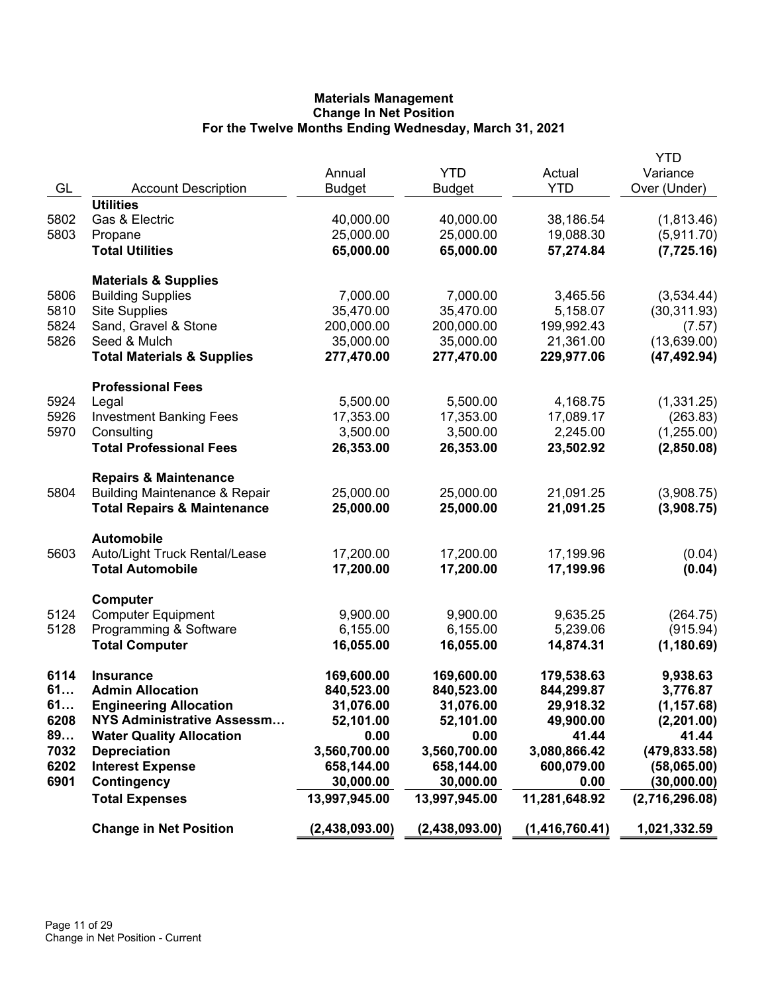| GL   | <b>Account Description</b>               | Annual<br><b>Budget</b> | <b>YTD</b><br><b>Budget</b> | Actual<br><b>YTD</b> | <b>YTD</b><br>Variance<br>Over (Under) |
|------|------------------------------------------|-------------------------|-----------------------------|----------------------|----------------------------------------|
|      | <b>Utilities</b>                         |                         |                             |                      |                                        |
| 5802 | Gas & Electric                           | 40,000.00               | 40,000.00                   | 38,186.54            | (1,813.46)                             |
| 5803 | Propane                                  | 25,000.00               | 25,000.00                   | 19,088.30            | (5,911.70)                             |
|      | <b>Total Utilities</b>                   | 65,000.00               | 65,000.00                   | 57,274.84            | (7, 725.16)                            |
|      | <b>Materials &amp; Supplies</b>          |                         |                             |                      |                                        |
| 5806 | <b>Building Supplies</b>                 | 7,000.00                | 7,000.00                    | 3,465.56             | (3,534.44)                             |
| 5810 | <b>Site Supplies</b>                     | 35,470.00               | 35,470.00                   | 5,158.07             | (30, 311.93)                           |
| 5824 | Sand, Gravel & Stone                     | 200,000.00              | 200,000.00                  | 199,992.43           | (7.57)                                 |
| 5826 | Seed & Mulch                             | 35,000.00               | 35,000.00                   | 21,361.00            | (13,639.00)                            |
|      | <b>Total Materials &amp; Supplies</b>    | 277,470.00              | 277,470.00                  | 229,977.06           | (47, 492.94)                           |
|      | <b>Professional Fees</b>                 |                         |                             |                      |                                        |
| 5924 | Legal                                    | 5,500.00                | 5,500.00                    | 4,168.75             | (1,331.25)                             |
| 5926 | <b>Investment Banking Fees</b>           | 17,353.00               | 17,353.00                   | 17,089.17            | (263.83)                               |
| 5970 | Consulting                               | 3,500.00                | 3,500.00                    | 2,245.00             | (1,255.00)                             |
|      | <b>Total Professional Fees</b>           | 26,353.00               | 26,353.00                   | 23,502.92            | (2,850.08)                             |
|      | <b>Repairs &amp; Maintenance</b>         |                         |                             |                      |                                        |
| 5804 | <b>Building Maintenance &amp; Repair</b> | 25,000.00               | 25,000.00                   | 21,091.25            | (3,908.75)                             |
|      | <b>Total Repairs &amp; Maintenance</b>   | 25,000.00               | 25,000.00                   | 21,091.25            | (3,908.75)                             |
|      | <b>Automobile</b>                        |                         |                             |                      |                                        |
| 5603 | Auto/Light Truck Rental/Lease            | 17,200.00               | 17,200.00                   | 17,199.96            | (0.04)                                 |
|      | <b>Total Automobile</b>                  | 17,200.00               | 17,200.00                   | 17,199.96            | (0.04)                                 |
|      | Computer                                 |                         |                             |                      |                                        |
| 5124 | <b>Computer Equipment</b>                | 9,900.00                | 9,900.00                    | 9,635.25             | (264.75)                               |
| 5128 | Programming & Software                   | 6,155.00                | 6,155.00                    | 5,239.06             | (915.94)                               |
|      | <b>Total Computer</b>                    | 16,055.00               | 16,055.00                   | 14,874.31            | (1, 180.69)                            |
| 6114 | <b>Insurance</b>                         | 169,600.00              | 169,600.00                  | 179,538.63           | 9,938.63                               |
| 61   | <b>Admin Allocation</b>                  | 840,523.00              | 840,523.00                  | 844,299.87           | 3,776.87                               |
| 61   | <b>Engineering Allocation</b>            | 31,076.00               | 31,076.00                   | 29,918.32            | (1, 157.68)                            |
| 6208 | NYS Administrative Assessm               | 52,101.00               | 52,101.00                   | 49,900.00            | (2, 201.00)                            |
| 89   | <b>Water Quality Allocation</b>          | 0.00                    | 0.00                        | 41.44                | 41.44                                  |
| 7032 | <b>Depreciation</b>                      | 3,560,700.00            | 3,560,700.00                | 3,080,866.42         | (479, 833.58)                          |
| 6202 | <b>Interest Expense</b>                  | 658,144.00              | 658,144.00                  | 600,079.00           | (58,065.00)                            |
| 6901 | Contingency                              | 30,000.00               | 30,000.00                   | 0.00                 | (30,000.00)                            |
|      | <b>Total Expenses</b>                    | 13,997,945.00           | 13,997,945.00               | 11,281,648.92        | (2,716,296.08)                         |
|      | <b>Change in Net Position</b>            | (2,438,093.00)          | (2,438,093.00)              | (1,416,760.41)       | 1,021,332.59                           |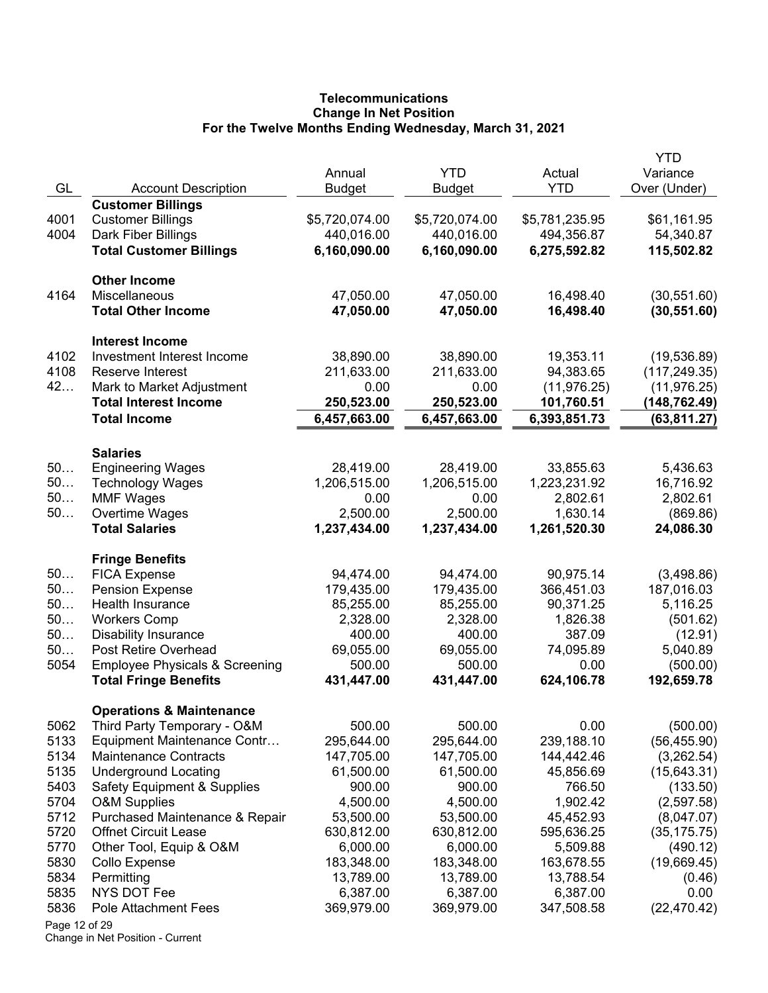# **Telecommunications Change In Net Position For the Twelve Months Ending Wednesday, March 31, 2021**

|               |                                                                           | Annual               | <b>YTD</b>           | Actual             | YTD<br>Variance        |
|---------------|---------------------------------------------------------------------------|----------------------|----------------------|--------------------|------------------------|
| GL            | <b>Account Description</b>                                                | <b>Budget</b>        | <b>Budget</b>        | <b>YTD</b>         | Over (Under)           |
|               | <b>Customer Billings</b>                                                  |                      |                      |                    |                        |
| 4001          | <b>Customer Billings</b>                                                  | \$5,720,074.00       | \$5,720,074.00       | \$5,781,235.95     | \$61,161.95            |
| 4004          | Dark Fiber Billings                                                       | 440,016.00           | 440,016.00           | 494,356.87         | 54,340.87              |
|               | <b>Total Customer Billings</b>                                            | 6,160,090.00         | 6,160,090.00         | 6,275,592.82       | 115,502.82             |
|               | <b>Other Income</b>                                                       |                      |                      |                    |                        |
| 4164          | Miscellaneous                                                             | 47,050.00            | 47,050.00            | 16,498.40          | (30, 551.60)           |
|               | <b>Total Other Income</b>                                                 | 47,050.00            | 47,050.00            | 16,498.40          | (30, 551.60)           |
|               | <b>Interest Income</b>                                                    |                      |                      |                    |                        |
| 4102          | Investment Interest Income                                                | 38,890.00            | 38,890.00            | 19,353.11          | (19, 536.89)           |
| 4108          | Reserve Interest                                                          | 211,633.00           | 211,633.00           | 94,383.65          | (117, 249.35)          |
| 42            | Mark to Market Adjustment                                                 | 0.00                 | 0.00                 | (11, 976.25)       | (11, 976.25)           |
|               | <b>Total Interest Income</b>                                              | 250,523.00           | 250,523.00           | 101,760.51         | (148,762.49)           |
|               | <b>Total Income</b>                                                       | 6,457,663.00         | 6,457,663.00         | 6,393,851.73       | (63, 811.27)           |
|               | <b>Salaries</b>                                                           |                      |                      |                    |                        |
| 50            | <b>Engineering Wages</b>                                                  | 28,419.00            | 28,419.00            | 33,855.63          | 5,436.63               |
| 50            | <b>Technology Wages</b>                                                   | 1,206,515.00         | 1,206,515.00         | 1,223,231.92       | 16,716.92              |
| 50            | <b>MMF Wages</b>                                                          | 0.00                 | 0.00                 | 2,802.61           | 2,802.61               |
| 50            | Overtime Wages                                                            | 2,500.00             | 2,500.00             | 1,630.14           | (869.86)               |
|               | <b>Total Salaries</b>                                                     | 1,237,434.00         | 1,237,434.00         | 1,261,520.30       | 24,086.30              |
|               | <b>Fringe Benefits</b>                                                    |                      |                      |                    |                        |
| 50            | <b>FICA Expense</b>                                                       | 94,474.00            | 94,474.00            | 90,975.14          | (3,498.86)             |
| 50            | <b>Pension Expense</b>                                                    | 179,435.00           | 179,435.00           | 366,451.03         | 187,016.03             |
| 50            | Health Insurance                                                          | 85,255.00            | 85,255.00            | 90,371.25          | 5,116.25               |
| 50            | <b>Workers Comp</b>                                                       | 2,328.00             | 2,328.00             | 1,826.38           | (501.62)               |
| 50            | <b>Disability Insurance</b>                                               | 400.00               | 400.00               | 387.09             | (12.91)                |
| 50            | Post Retire Overhead                                                      | 69,055.00            | 69,055.00            | 74,095.89          | 5,040.89               |
| 5054          | <b>Employee Physicals &amp; Screening</b><br><b>Total Fringe Benefits</b> | 500.00<br>431,447.00 | 500.00<br>431,447.00 | 0.00<br>624,106.78 | (500.00)<br>192,659.78 |
|               |                                                                           |                      |                      |                    |                        |
| 5062          | <b>Operations &amp; Maintenance</b><br>Third Party Temporary - O&M        | 500.00               | 500.00               | 0.00               | (500.00)               |
| 5133          | Equipment Maintenance Contr                                               | 295,644.00           | 295,644.00           | 239,188.10         | (56, 455.90)           |
| 5134          | <b>Maintenance Contracts</b>                                              | 147,705.00           | 147,705.00           | 144,442.46         | (3,262.54)             |
| 5135          | <b>Underground Locating</b>                                               | 61,500.00            | 61,500.00            | 45,856.69          | (15, 643.31)           |
| 5403          | <b>Safety Equipment &amp; Supplies</b>                                    | 900.00               | 900.00               | 766.50             | (133.50)               |
| 5704          | <b>O&amp;M Supplies</b>                                                   | 4,500.00             | 4,500.00             | 1,902.42           | (2,597.58)             |
| 5712          | Purchased Maintenance & Repair                                            | 53,500.00            | 53,500.00            | 45,452.93          | (8,047.07)             |
| 5720          | <b>Offnet Circuit Lease</b>                                               | 630,812.00           | 630,812.00           | 595,636.25         | (35, 175.75)           |
| 5770          | Other Tool, Equip & O&M                                                   | 6,000.00             | 6,000.00             | 5,509.88           | (490.12)               |
| 5830          | Collo Expense                                                             | 183,348.00           | 183,348.00           | 163,678.55         | (19,669.45)            |
| 5834          | Permitting                                                                | 13,789.00            | 13,789.00            | 13,788.54          | (0.46)                 |
| 5835          | NYS DOT Fee                                                               | 6,387.00             | 6,387.00             | 6,387.00           | 0.00                   |
| 5836          | Pole Attachment Fees                                                      | 369,979.00           | 369,979.00           | 347,508.58         | (22, 470.42)           |
| Page 12 of 29 |                                                                           |                      |                      |                    |                        |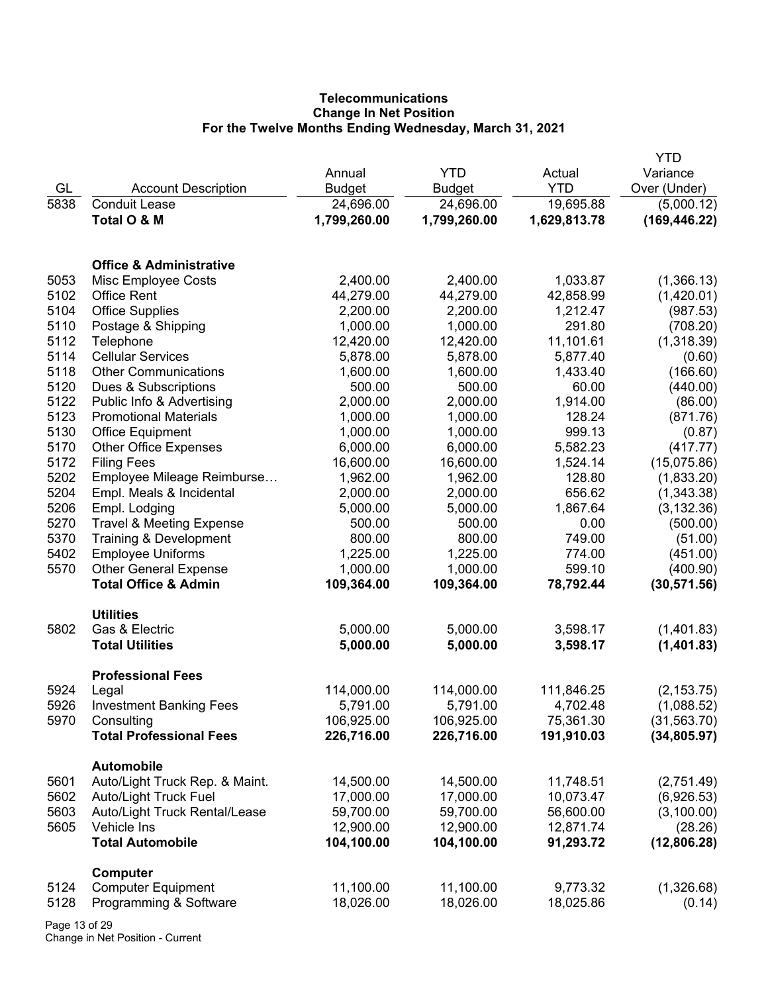# **Telecommunications Change In Net Position For the Twelve Months Ending Wednesday, March 31, 2021**

|      |                                     |               |               |              | <b>YTD</b>    |
|------|-------------------------------------|---------------|---------------|--------------|---------------|
|      |                                     | Annual        | <b>YTD</b>    | Actual       | Variance      |
| GL   | <b>Account Description</b>          | <b>Budget</b> | <b>Budget</b> | <b>YTD</b>   | Over (Under)  |
| 5838 | <b>Conduit Lease</b>                | 24,696.00     | 24,696.00     | 19,695.88    | (5,000.12)    |
|      | Total O & M                         | 1,799,260.00  | 1,799,260.00  | 1,629,813.78 | (169, 446.22) |
|      |                                     |               |               |              |               |
|      |                                     |               |               |              |               |
|      | <b>Office &amp; Administrative</b>  |               |               |              |               |
| 5053 | Misc Employee Costs                 | 2,400.00      | 2,400.00      | 1,033.87     | (1,366.13)    |
| 5102 | <b>Office Rent</b>                  | 44,279.00     | 44,279.00     | 42,858.99    | (1,420.01)    |
| 5104 | <b>Office Supplies</b>              | 2,200.00      | 2,200.00      | 1,212.47     | (987.53)      |
| 5110 | Postage & Shipping                  | 1,000.00      | 1,000.00      | 291.80       | (708.20)      |
| 5112 | Telephone                           | 12,420.00     | 12,420.00     | 11,101.61    | (1,318.39)    |
| 5114 | <b>Cellular Services</b>            | 5,878.00      | 5,878.00      | 5,877.40     | (0.60)        |
| 5118 | <b>Other Communications</b>         | 1,600.00      | 1,600.00      | 1,433.40     | (166.60)      |
| 5120 | Dues & Subscriptions                | 500.00        | 500.00        | 60.00        | (440.00)      |
| 5122 | Public Info & Advertising           | 2,000.00      | 2,000.00      | 1,914.00     | (86.00)       |
| 5123 | <b>Promotional Materials</b>        | 1,000.00      | 1,000.00      | 128.24       | (871.76)      |
| 5130 | <b>Office Equipment</b>             | 1,000.00      | 1,000.00      | 999.13       | (0.87)        |
| 5170 | <b>Other Office Expenses</b>        | 6,000.00      | 6,000.00      | 5,582.23     | (417.77)      |
| 5172 | <b>Filing Fees</b>                  | 16,600.00     | 16,600.00     | 1,524.14     | (15,075.86)   |
| 5202 | Employee Mileage Reimburse          | 1,962.00      | 1,962.00      | 128.80       | (1,833.20)    |
| 5204 | Empl. Meals & Incidental            | 2,000.00      | 2,000.00      | 656.62       |               |
|      |                                     |               |               |              | (1,343.38)    |
| 5206 | Empl. Lodging                       | 5,000.00      | 5,000.00      | 1,867.64     | (3, 132.36)   |
| 5270 | <b>Travel &amp; Meeting Expense</b> | 500.00        | 500.00        | 0.00         | (500.00)      |
| 5370 | Training & Development              | 800.00        | 800.00        | 749.00       | (51.00)       |
| 5402 | <b>Employee Uniforms</b>            | 1,225.00      | 1,225.00      | 774.00       | (451.00)      |
| 5570 | <b>Other General Expense</b>        | 1,000.00      | 1,000.00      | 599.10       | (400.90)      |
|      | <b>Total Office &amp; Admin</b>     | 109,364.00    | 109,364.00    | 78,792.44    | (30, 571.56)  |
|      | <b>Utilities</b>                    |               |               |              |               |
| 5802 | Gas & Electric                      | 5,000.00      | 5,000.00      | 3,598.17     | (1,401.83)    |
|      | <b>Total Utilities</b>              | 5,000.00      | 5,000.00      |              | (1,401.83)    |
|      |                                     |               |               | 3,598.17     |               |
|      | <b>Professional Fees</b>            |               |               |              |               |
| 5924 | Legal                               | 114,000.00    | 114,000.00    | 111,846.25   | (2, 153.75)   |
| 5926 | <b>Investment Banking Fees</b>      | 5,791.00      | 5,791.00      | 4,702.48     | (1,088.52)    |
| 5970 | Consulting                          | 106,925.00    | 106,925.00    | 75,361.30    | (31, 563.70)  |
|      | <b>Total Professional Fees</b>      | 226,716.00    | 226,716.00    | 191,910.03   | (34, 805.97)  |
|      |                                     |               |               |              |               |
|      | <b>Automobile</b>                   |               |               |              |               |
| 5601 | Auto/Light Truck Rep. & Maint.      | 14,500.00     | 14,500.00     | 11,748.51    | (2,751.49)    |
| 5602 | Auto/Light Truck Fuel               | 17,000.00     | 17,000.00     | 10,073.47    | (6,926.53)    |
| 5603 | Auto/Light Truck Rental/Lease       | 59,700.00     | 59,700.00     | 56,600.00    | (3,100.00)    |
| 5605 | Vehicle Ins                         | 12,900.00     | 12,900.00     | 12,871.74    | (28.26)       |
|      | <b>Total Automobile</b>             | 104,100.00    | 104,100.00    | 91,293.72    | (12,806.28)   |
|      |                                     |               |               |              |               |
|      | <b>Computer</b>                     |               |               |              |               |
| 5124 | <b>Computer Equipment</b>           | 11,100.00     | 11,100.00     | 9,773.32     | (1,326.68)    |
| 5128 | Programming & Software              | 18,026.00     | 18,026.00     | 18,025.86    | (0.14)        |
|      |                                     |               |               |              |               |

Page 13 of 29 Change in Net Position - Current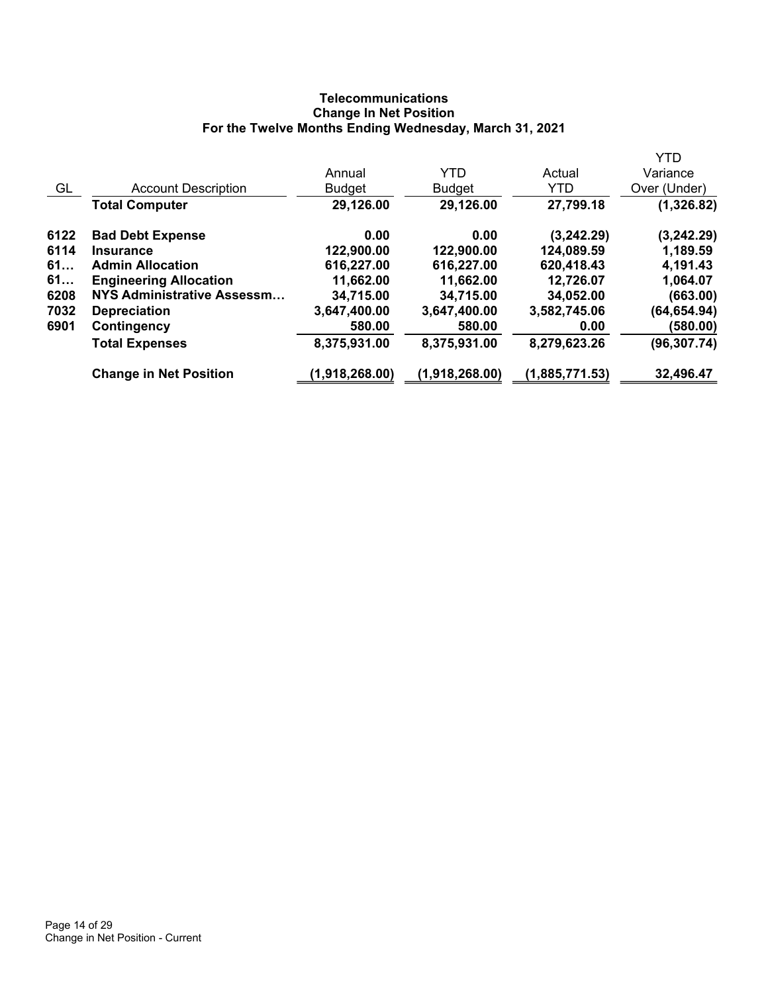## **Telecommunications Change In Net Position For the Twelve Months Ending Wednesday, March 31, 2021**

|      |                               |                |                |                | <b>YTD</b>   |
|------|-------------------------------|----------------|----------------|----------------|--------------|
|      |                               | Annual         | <b>YTD</b>     | Actual         | Variance     |
| GL   | <b>Account Description</b>    | <b>Budget</b>  | <b>Budget</b>  | <b>YTD</b>     | Over (Under) |
|      | <b>Total Computer</b>         | 29,126.00      | 29,126.00      | 27,799.18      | (1,326.82)   |
| 6122 | <b>Bad Debt Expense</b>       | 0.00           | 0.00           | (3,242.29)     | (3, 242.29)  |
| 6114 | <b>Insurance</b>              | 122,900.00     | 122,900.00     | 124,089.59     | 1,189.59     |
| 61   | <b>Admin Allocation</b>       | 616,227.00     | 616,227.00     | 620,418.43     | 4,191.43     |
| 61   | <b>Engineering Allocation</b> | 11,662.00      | 11,662.00      | 12,726.07      | 1,064.07     |
| 6208 | NYS Administrative Assessm    | 34,715.00      | 34,715.00      | 34,052.00      | (663.00)     |
| 7032 | <b>Depreciation</b>           | 3,647,400.00   | 3,647,400.00   | 3,582,745.06   | (64, 654.94) |
| 6901 | Contingency                   | 580.00         | 580.00         | 0.00           | (580.00)     |
|      | <b>Total Expenses</b>         | 8,375,931.00   | 8,375,931.00   | 8,279,623.26   | (96, 307.74) |
|      | <b>Change in Net Position</b> | (1,918,268.00) | (1,918,268.00) | (1,885,771.53) | 32,496.47    |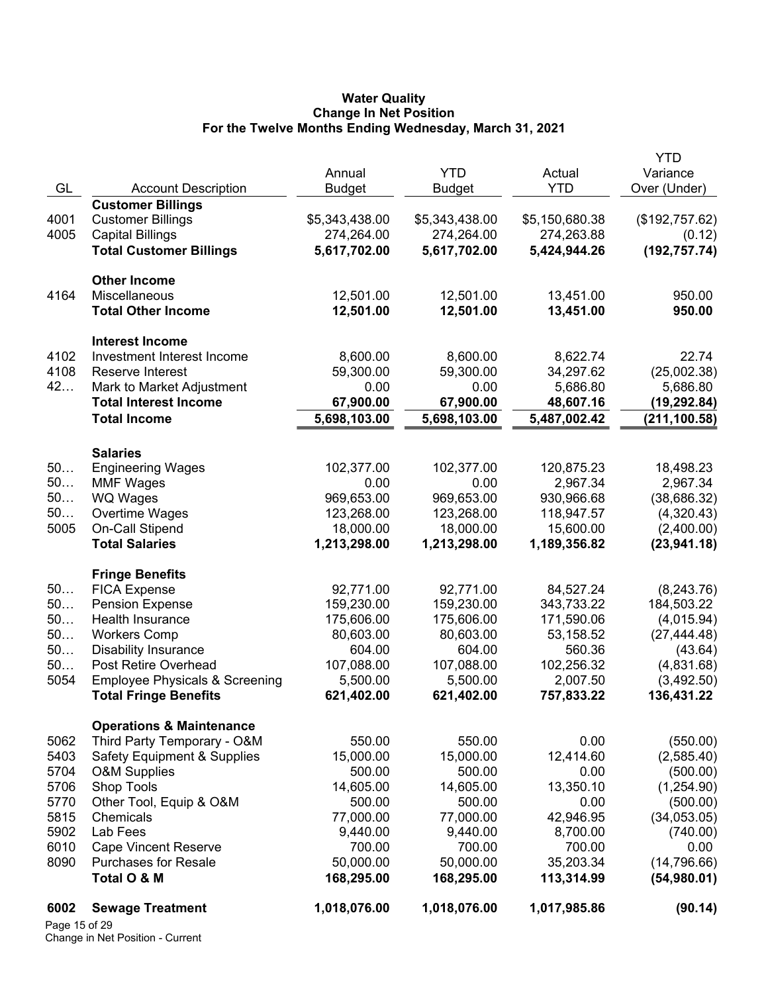#### **Water Quality Change In Net Position For the Twelve Months Ending Wednesday, March 31, 2021**

|               |                                                     |                |                |                | YTD            |
|---------------|-----------------------------------------------------|----------------|----------------|----------------|----------------|
|               |                                                     | Annual         | <b>YTD</b>     | Actual         | Variance       |
| GL            | <b>Account Description</b>                          | <b>Budget</b>  | <b>Budget</b>  | <b>YTD</b>     | Over (Under)   |
|               | <b>Customer Billings</b>                            | \$5,343,438.00 | \$5,343,438.00 |                |                |
| 4001<br>4005  | <b>Customer Billings</b><br><b>Capital Billings</b> |                | 274,264.00     | \$5,150,680.38 | (\$192,757.62) |
|               |                                                     | 274,264.00     |                | 274,263.88     | (0.12)         |
|               | <b>Total Customer Billings</b>                      | 5,617,702.00   | 5,617,702.00   | 5,424,944.26   | (192, 757.74)  |
|               | <b>Other Income</b>                                 |                |                |                |                |
| 4164          | Miscellaneous                                       | 12,501.00      | 12,501.00      | 13,451.00      | 950.00         |
|               | <b>Total Other Income</b>                           | 12,501.00      | 12,501.00      | 13,451.00      | 950.00         |
|               | <b>Interest Income</b>                              |                |                |                |                |
| 4102          | Investment Interest Income                          | 8,600.00       | 8,600.00       | 8,622.74       | 22.74          |
| 4108          | Reserve Interest                                    | 59,300.00      | 59,300.00      | 34,297.62      | (25,002.38)    |
| 42            | Mark to Market Adjustment                           | 0.00           | 0.00           | 5,686.80       | 5,686.80       |
|               | <b>Total Interest Income</b>                        | 67,900.00      | 67,900.00      | 48,607.16      | (19,292.84)    |
|               | <b>Total Income</b>                                 | 5,698,103.00   | 5,698,103.00   | 5,487,002.42   | (211, 100.58)  |
|               |                                                     |                |                |                |                |
| 50            | <b>Salaries</b><br><b>Engineering Wages</b>         | 102,377.00     | 102,377.00     | 120,875.23     | 18,498.23      |
| 50            | <b>MMF Wages</b>                                    | 0.00           | 0.00           | 2,967.34       | 2,967.34       |
| 50            | <b>WQ Wages</b>                                     | 969,653.00     | 969,653.00     | 930,966.68     | (38, 686.32)   |
| 50            | Overtime Wages                                      | 123,268.00     | 123,268.00     | 118,947.57     | (4,320.43)     |
| 5005          | On-Call Stipend                                     | 18,000.00      | 18,000.00      | 15,600.00      | (2,400.00)     |
|               | <b>Total Salaries</b>                               | 1,213,298.00   | 1,213,298.00   | 1,189,356.82   | (23, 941.18)   |
|               |                                                     |                |                |                |                |
|               | <b>Fringe Benefits</b>                              |                |                |                |                |
| 50            | <b>FICA Expense</b>                                 | 92,771.00      | 92,771.00      | 84,527.24      | (8, 243.76)    |
| 50            | <b>Pension Expense</b>                              | 159,230.00     | 159,230.00     | 343,733.22     | 184,503.22     |
| 50            | Health Insurance                                    | 175,606.00     | 175,606.00     | 171,590.06     | (4,015.94)     |
| 50            | <b>Workers Comp</b>                                 | 80,603.00      | 80,603.00      | 53,158.52      | (27, 444.48)   |
| 50            | <b>Disability Insurance</b>                         | 604.00         | 604.00         | 560.36         | (43.64)        |
| 50            | Post Retire Overhead                                | 107,088.00     | 107,088.00     | 102,256.32     | (4,831.68)     |
| 5054          | <b>Employee Physicals &amp; Screening</b>           | 5,500.00       | 5,500.00       | 2,007.50       | (3,492.50)     |
|               | <b>Total Fringe Benefits</b>                        | 621,402.00     | 621,402.00     | 757,833.22     | 136,431.22     |
|               | <b>Operations &amp; Maintenance</b>                 |                |                |                |                |
| 5062          | Third Party Temporary - O&M                         | 550.00         | 550.00         | 0.00           | (550.00)       |
| 5403          | <b>Safety Equipment &amp; Supplies</b>              | 15,000.00      | 15,000.00      | 12,414.60      | (2,585.40)     |
| 5704          | <b>O&amp;M Supplies</b>                             | 500.00         | 500.00         | 0.00           | (500.00)       |
| 5706          | Shop Tools                                          | 14,605.00      | 14,605.00      | 13,350.10      | (1,254.90)     |
| 5770          | Other Tool, Equip & O&M                             | 500.00         | 500.00         | 0.00           | (500.00)       |
| 5815          | Chemicals                                           | 77,000.00      | 77,000.00      | 42,946.95      | (34,053.05)    |
| 5902          | Lab Fees                                            | 9,440.00       | 9,440.00       | 8,700.00       | (740.00)       |
| 6010          | <b>Cape Vincent Reserve</b>                         | 700.00         | 700.00         | 700.00         | 0.00           |
| 8090          | <b>Purchases for Resale</b>                         | 50,000.00      | 50,000.00      | 35,203.34      | (14, 796.66)   |
|               | Total O & M                                         | 168,295.00     | 168,295.00     | 113,314.99     | (54,980.01)    |
| 6002          | <b>Sewage Treatment</b>                             | 1,018,076.00   | 1,018,076.00   | 1,017,985.86   | (90.14)        |
| Page 15 of 29 |                                                     |                |                |                |                |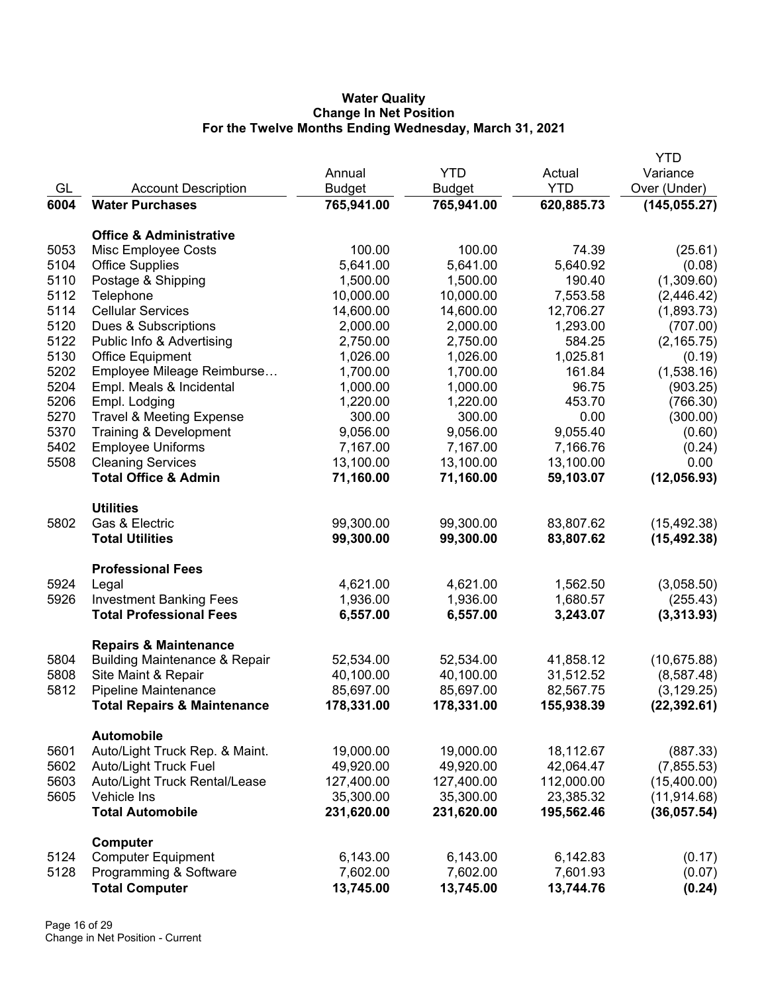### **Water Quality Change In Net Position For the Twelve Months Ending Wednesday, March 31, 2021**

|      |                                          |               |               |            | <b>YTD</b>    |
|------|------------------------------------------|---------------|---------------|------------|---------------|
|      |                                          | Annual        | <b>YTD</b>    | Actual     | Variance      |
| GL   | <b>Account Description</b>               | <b>Budget</b> | <b>Budget</b> | <b>YTD</b> | Over (Under)  |
| 6004 | <b>Water Purchases</b>                   | 765,941.00    | 765,941.00    | 620,885.73 | (145, 055.27) |
|      | <b>Office &amp; Administrative</b>       |               |               |            |               |
| 5053 | Misc Employee Costs                      | 100.00        | 100.00        | 74.39      | (25.61)       |
| 5104 | <b>Office Supplies</b>                   | 5,641.00      | 5,641.00      | 5,640.92   | (0.08)        |
| 5110 | Postage & Shipping                       | 1,500.00      | 1,500.00      | 190.40     | (1,309.60)    |
| 5112 | Telephone                                | 10,000.00     | 10,000.00     | 7,553.58   | (2,446.42)    |
| 5114 | <b>Cellular Services</b>                 | 14,600.00     | 14,600.00     | 12,706.27  | (1,893.73)    |
| 5120 | Dues & Subscriptions                     | 2,000.00      | 2,000.00      | 1,293.00   | (707.00)      |
| 5122 | Public Info & Advertising                | 2,750.00      | 2,750.00      | 584.25     | (2, 165.75)   |
| 5130 | <b>Office Equipment</b>                  | 1,026.00      | 1,026.00      | 1,025.81   | (0.19)        |
| 5202 | Employee Mileage Reimburse               | 1,700.00      | 1,700.00      | 161.84     | (1,538.16)    |
| 5204 | Empl. Meals & Incidental                 | 1,000.00      | 1,000.00      | 96.75      | (903.25)      |
| 5206 | Empl. Lodging                            | 1,220.00      | 1,220.00      | 453.70     | (766.30)      |
| 5270 | <b>Travel &amp; Meeting Expense</b>      | 300.00        | 300.00        | 0.00       | (300.00)      |
| 5370 | Training & Development                   | 9,056.00      | 9,056.00      | 9,055.40   | (0.60)        |
| 5402 | <b>Employee Uniforms</b>                 | 7,167.00      | 7,167.00      | 7,166.76   | (0.24)        |
| 5508 | <b>Cleaning Services</b>                 | 13,100.00     | 13,100.00     | 13,100.00  | 0.00          |
|      | <b>Total Office &amp; Admin</b>          | 71,160.00     | 71,160.00     | 59,103.07  | (12,056.93)   |
|      | <b>Utilities</b>                         |               |               |            |               |
| 5802 | Gas & Electric                           | 99,300.00     | 99,300.00     | 83,807.62  | (15, 492.38)  |
|      | <b>Total Utilities</b>                   | 99,300.00     | 99,300.00     | 83,807.62  | (15, 492.38)  |
|      | <b>Professional Fees</b>                 |               |               |            |               |
| 5924 | Legal                                    | 4,621.00      | 4,621.00      | 1,562.50   | (3,058.50)    |
| 5926 | <b>Investment Banking Fees</b>           | 1,936.00      | 1,936.00      | 1,680.57   | (255.43)      |
|      | <b>Total Professional Fees</b>           | 6,557.00      | 6,557.00      | 3,243.07   | (3,313.93)    |
|      | <b>Repairs &amp; Maintenance</b>         |               |               |            |               |
| 5804 | <b>Building Maintenance &amp; Repair</b> | 52,534.00     | 52,534.00     | 41,858.12  | (10,675.88)   |
| 5808 | Site Maint & Repair                      | 40,100.00     | 40,100.00     | 31,512.52  | (8,587.48)    |
| 5812 | Pipeline Maintenance                     | 85,697.00     | 85,697.00     | 82,567.75  | (3, 129.25)   |
|      | <b>Total Repairs &amp; Maintenance</b>   | 178,331.00    | 178,331.00    | 155,938.39 | (22, 392.61)  |
|      | <b>Automobile</b>                        |               |               |            |               |
| 5601 | Auto/Light Truck Rep. & Maint.           | 19,000.00     | 19,000.00     | 18,112.67  | (887.33)      |
| 5602 | <b>Auto/Light Truck Fuel</b>             | 49,920.00     | 49,920.00     | 42,064.47  | (7,855.53)    |
| 5603 | Auto/Light Truck Rental/Lease            | 127,400.00    | 127,400.00    | 112,000.00 | (15,400.00)   |
| 5605 | Vehicle Ins                              | 35,300.00     | 35,300.00     | 23,385.32  | (11, 914.68)  |
|      | <b>Total Automobile</b>                  | 231,620.00    | 231,620.00    | 195,562.46 | (36,057.54)   |
|      | Computer                                 |               |               |            |               |
| 5124 | <b>Computer Equipment</b>                | 6,143.00      | 6,143.00      | 6,142.83   | (0.17)        |
| 5128 | Programming & Software                   | 7,602.00      | 7,602.00      | 7,601.93   | (0.07)        |
|      | <b>Total Computer</b>                    | 13,745.00     | 13,745.00     | 13,744.76  | (0.24)        |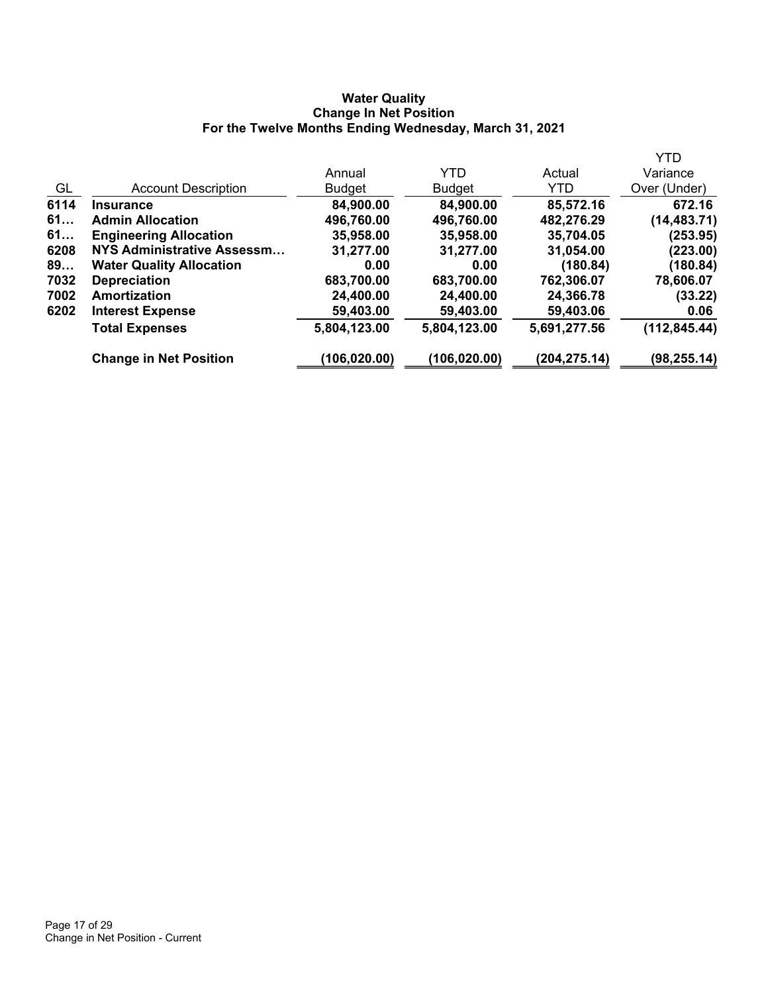### **Water Quality Change In Net Position For the Twelve Months Ending Wednesday, March 31, 2021**

| <b>YTD</b>    |               |               |               |                                 |      |
|---------------|---------------|---------------|---------------|---------------------------------|------|
| Variance      | Actual        | <b>YTD</b>    | Annual        |                                 |      |
| Over (Under)  | YTD.          | <b>Budget</b> | <b>Budget</b> | <b>Account Description</b>      | GL   |
| 672.16        | 85,572.16     | 84,900.00     | 84,900.00     | <b>Insurance</b>                | 6114 |
| (14, 483.71)  | 482,276.29    | 496,760.00    | 496,760.00    | <b>Admin Allocation</b>         | 61   |
| (253.95)      | 35,704.05     | 35,958.00     | 35,958.00     | <b>Engineering Allocation</b>   | 61   |
| (223.00)      | 31,054.00     | 31,277.00     | 31,277.00     | NYS Administrative Assessm      | 6208 |
| (180.84)      | (180.84)      | 0.00          | 0.00          | <b>Water Quality Allocation</b> | 89   |
| 78,606.07     | 762,306.07    | 683,700.00    | 683,700.00    | <b>Depreciation</b>             | 7032 |
| (33.22)       | 24,366.78     | 24,400.00     | 24,400.00     | Amortization                    | 7002 |
| 0.06          | 59,403.06     | 59,403.00     | 59,403.00     | <b>Interest Expense</b>         | 6202 |
| (112, 845.44) | 5,691,277.56  | 5,804,123.00  | 5,804,123.00  | <b>Total Expenses</b>           |      |
| (98, 255.14)  | (204, 275.14) | (106,020.00)  | (106, 020.00) | <b>Change in Net Position</b>   |      |
|               |               |               |               |                                 |      |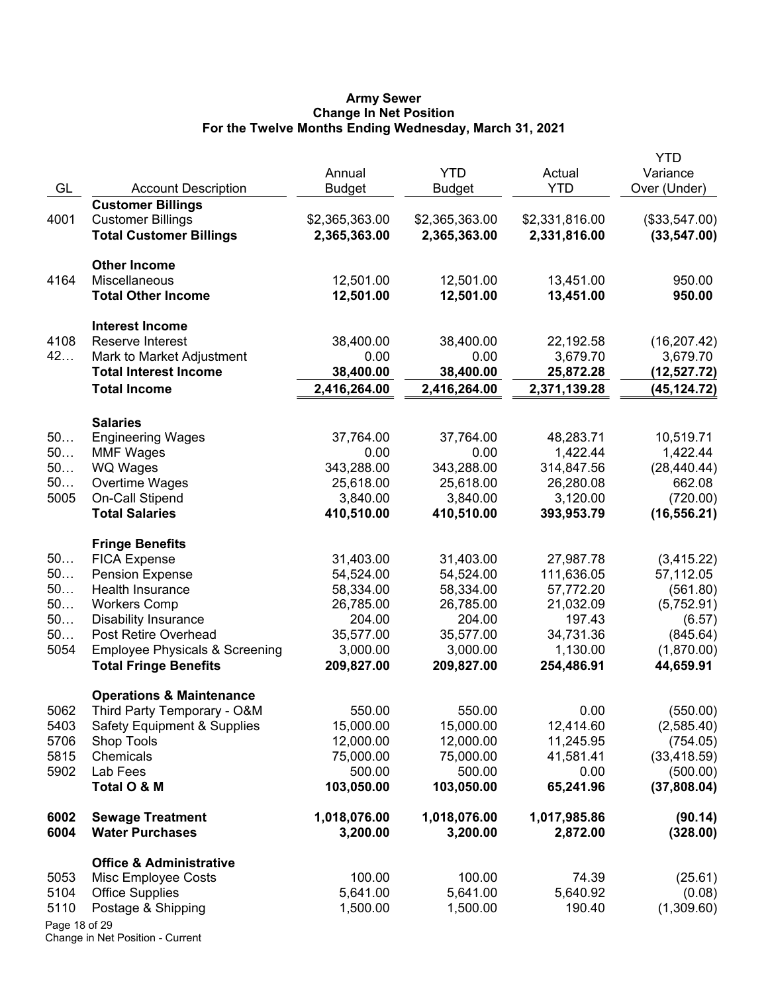#### **Army Sewer Change In Net Position For the Twelve Months Ending Wednesday, March 31, 2021**

| GL            | <b>Account Description</b>                                                | Annual<br><b>Budget</b>  | <b>YTD</b><br><b>Budget</b> | Actual<br><b>YTD</b>     | <b>YTD</b><br>Variance<br>Over (Under) |
|---------------|---------------------------------------------------------------------------|--------------------------|-----------------------------|--------------------------|----------------------------------------|
|               | <b>Customer Billings</b>                                                  |                          |                             |                          |                                        |
| 4001          | <b>Customer Billings</b>                                                  | \$2,365,363.00           | \$2,365,363.00              | \$2,331,816.00           | (\$33,547.00)                          |
|               | <b>Total Customer Billings</b>                                            | 2,365,363.00             | 2,365,363.00                | 2,331,816.00             | (33, 547.00)                           |
|               | <b>Other Income</b>                                                       |                          |                             |                          |                                        |
| 4164          | Miscellaneous                                                             | 12,501.00                | 12,501.00                   | 13,451.00                | 950.00                                 |
|               | <b>Total Other Income</b>                                                 | 12,501.00                | 12,501.00                   | 13,451.00                | 950.00                                 |
|               | <b>Interest Income</b>                                                    |                          |                             |                          |                                        |
| 4108          | Reserve Interest                                                          | 38,400.00                | 38,400.00                   | 22,192.58                | (16, 207.42)                           |
| 42            | Mark to Market Adjustment                                                 | 0.00                     | 0.00                        | 3,679.70                 | 3,679.70                               |
|               | <b>Total Interest Income</b>                                              | 38,400.00                | 38,400.00                   | 25,872.28                | (12,527.72)                            |
|               | <b>Total Income</b>                                                       | 2,416,264.00             | 2,416,264.00                | 2,371,139.28             | (45, 124.72)                           |
|               | <b>Salaries</b>                                                           |                          |                             |                          |                                        |
| 50            | <b>Engineering Wages</b>                                                  | 37,764.00                | 37,764.00                   | 48,283.71                | 10,519.71                              |
| 50            | <b>MMF Wages</b>                                                          | 0.00                     | 0.00                        | 1,422.44                 | 1,422.44                               |
| 50            | <b>WQ Wages</b>                                                           | 343,288.00               | 343,288.00                  | 314,847.56               | (28, 440.44)                           |
| 50            | Overtime Wages                                                            | 25,618.00                | 25,618.00                   | 26,280.08                | 662.08                                 |
| 5005          | On-Call Stipend                                                           | 3,840.00                 | 3,840.00                    | 3,120.00                 | (720.00)                               |
|               | <b>Total Salaries</b>                                                     | 410,510.00               | 410,510.00                  | 393,953.79               | (16, 556.21)                           |
|               | <b>Fringe Benefits</b>                                                    |                          |                             |                          |                                        |
| 50            | <b>FICA Expense</b>                                                       | 31,403.00                | 31,403.00                   | 27,987.78                | (3,415.22)                             |
| 50            | <b>Pension Expense</b>                                                    | 54,524.00                | 54,524.00                   | 111,636.05               | 57,112.05                              |
| 50            | Health Insurance                                                          | 58,334.00                | 58,334.00                   | 57,772.20                | (561.80)                               |
| 50            | <b>Workers Comp</b>                                                       | 26,785.00                | 26,785.00                   | 21,032.09                | (5,752.91)                             |
| 50            | <b>Disability Insurance</b>                                               | 204.00                   | 204.00                      | 197.43                   | (6.57)                                 |
| 50            | Post Retire Overhead                                                      | 35,577.00                | 35,577.00                   | 34,731.36                | (845.64)                               |
| 5054          | <b>Employee Physicals &amp; Screening</b><br><b>Total Fringe Benefits</b> | 3,000.00<br>209,827.00   | 3,000.00<br>209,827.00      | 1,130.00<br>254,486.91   | (1,870.00)<br>44,659.91                |
|               |                                                                           |                          |                             |                          |                                        |
| 5062          | <b>Operations &amp; Maintenance</b>                                       | 550.00                   | 550.00                      | 0.00                     | (550.00)                               |
| 5403          | Third Party Temporary - O&M<br><b>Safety Equipment &amp; Supplies</b>     | 15,000.00                | 15,000.00                   | 12,414.60                | (2,585.40)                             |
| 5706          | Shop Tools                                                                | 12,000.00                | 12,000.00                   | 11,245.95                | (754.05)                               |
| 5815          | Chemicals                                                                 | 75,000.00                | 75,000.00                   | 41,581.41                | (33, 418.59)                           |
| 5902          | Lab Fees                                                                  | 500.00                   | 500.00                      | 0.00                     | (500.00)                               |
|               | Total O & M                                                               | 103,050.00               | 103,050.00                  | 65,241.96                | (37,808.04)                            |
| 6002<br>6004  | <b>Sewage Treatment</b><br><b>Water Purchases</b>                         | 1,018,076.00<br>3,200.00 | 1,018,076.00<br>3,200.00    | 1,017,985.86<br>2,872.00 | (90.14)<br>(328.00)                    |
|               | <b>Office &amp; Administrative</b>                                        |                          |                             |                          |                                        |
| 5053          | Misc Employee Costs                                                       | 100.00                   | 100.00                      | 74.39                    | (25.61)                                |
| 5104          | <b>Office Supplies</b>                                                    | 5,641.00                 | 5,641.00                    | 5,640.92                 | (0.08)                                 |
| 5110          | Postage & Shipping                                                        | 1,500.00                 | 1,500.00                    | 190.40                   | (1,309.60)                             |
| Page 18 of 29 |                                                                           |                          |                             |                          |                                        |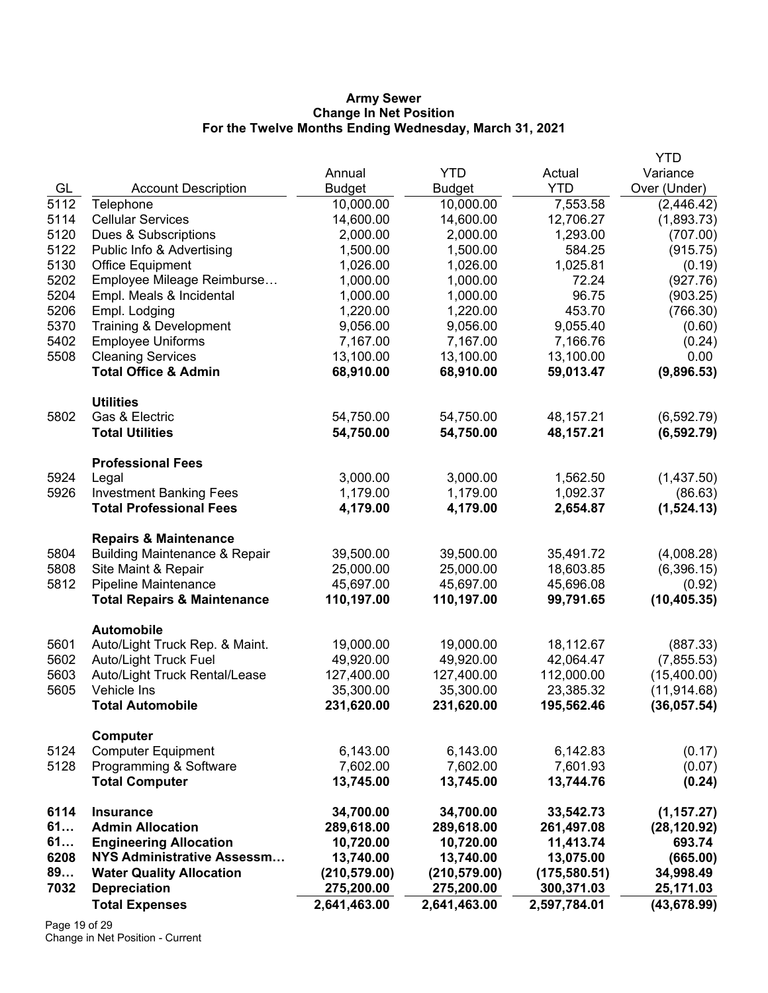#### **Army Sewer Change In Net Position For the Twelve Months Ending Wednesday, March 31, 2021**

|            |                                                                    |                             |                             |                             | <b>YTD</b>   |
|------------|--------------------------------------------------------------------|-----------------------------|-----------------------------|-----------------------------|--------------|
|            |                                                                    | Annual                      | <b>YTD</b>                  | Actual                      | Variance     |
| GL         | <b>Account Description</b>                                         | <b>Budget</b>               | <b>Budget</b>               | <b>YTD</b>                  | Over (Under) |
| 5112       | Telephone                                                          | 10,000.00                   | 10,000.00                   | 7,553.58                    | (2, 446.42)  |
| 5114       | <b>Cellular Services</b>                                           | 14,600.00                   | 14,600.00                   | 12,706.27                   | (1,893.73)   |
| 5120       | Dues & Subscriptions                                               | 2,000.00                    | 2,000.00                    | 1,293.00                    | (707.00)     |
| 5122       | Public Info & Advertising                                          | 1,500.00                    | 1,500.00                    | 584.25                      | (915.75)     |
| 5130       | <b>Office Equipment</b>                                            | 1,026.00                    | 1,026.00                    | 1,025.81                    | (0.19)       |
| 5202       | Employee Mileage Reimburse                                         | 1,000.00                    | 1,000.00                    | 72.24                       | (927.76)     |
| 5204       | Empl. Meals & Incidental                                           | 1,000.00                    | 1,000.00                    | 96.75                       | (903.25)     |
| 5206       | Empl. Lodging                                                      | 1,220.00                    | 1,220.00                    | 453.70                      | (766.30)     |
| 5370       | Training & Development                                             | 9,056.00                    | 9,056.00                    | 9,055.40                    | (0.60)       |
| 5402       | <b>Employee Uniforms</b>                                           | 7,167.00                    | 7,167.00                    | 7,166.76                    | (0.24)       |
| 5508       | <b>Cleaning Services</b>                                           | 13,100.00                   | 13,100.00                   | 13,100.00                   | 0.00         |
|            | <b>Total Office &amp; Admin</b>                                    | 68,910.00                   | 68,910.00                   | 59,013.47                   | (9,896.53)   |
|            | <b>Utilities</b>                                                   |                             |                             |                             |              |
| 5802       | Gas & Electric                                                     | 54,750.00                   | 54,750.00                   | 48,157.21                   | (6, 592.79)  |
|            | <b>Total Utilities</b>                                             | 54,750.00                   | 54,750.00                   | 48,157.21                   | (6, 592.79)  |
|            | <b>Professional Fees</b>                                           |                             |                             |                             |              |
| 5924       | Legal                                                              | 3,000.00                    | 3,000.00                    | 1,562.50                    | (1,437.50)   |
| 5926       | <b>Investment Banking Fees</b>                                     | 1,179.00                    | 1,179.00                    | 1,092.37                    | (86.63)      |
|            | <b>Total Professional Fees</b>                                     | 4,179.00                    | 4,179.00                    | 2,654.87                    | (1,524.13)   |
|            | <b>Repairs &amp; Maintenance</b>                                   |                             |                             |                             |              |
| 5804       | <b>Building Maintenance &amp; Repair</b>                           | 39,500.00                   | 39,500.00                   | 35,491.72                   | (4,008.28)   |
| 5808       | Site Maint & Repair                                                | 25,000.00                   | 25,000.00                   | 18,603.85                   | (6,396.15)   |
| 5812       | <b>Pipeline Maintenance</b>                                        | 45,697.00                   | 45,697.00                   | 45,696.08                   | (0.92)       |
|            | <b>Total Repairs &amp; Maintenance</b>                             | 110,197.00                  | 110,197.00                  | 99,791.65                   | (10, 405.35) |
|            |                                                                    |                             |                             |                             |              |
| 5601       | <b>Automobile</b><br>Auto/Light Truck Rep. & Maint.                | 19,000.00                   | 19,000.00                   | 18,112.67                   | (887.33)     |
| 5602       | <b>Auto/Light Truck Fuel</b>                                       | 49,920.00                   | 49,920.00                   | 42,064.47                   | (7,855.53)   |
| 5603       | Auto/Light Truck Rental/Lease                                      | 127,400.00                  | 127,400.00                  | 112,000.00                  | (15,400.00)  |
| 5605       | Vehicle Ins                                                        | 35,300.00                   | 35,300.00                   | 23,385.32                   | (11, 914.68) |
|            | <b>Total Automobile</b>                                            | 231,620.00                  | 231,620.00                  | 195,562.46                  | (36, 057.54) |
|            |                                                                    |                             |                             |                             |              |
| 5124       | Computer<br><b>Computer Equipment</b>                              | 6,143.00                    | 6,143.00                    | 6,142.83                    | (0.17)       |
| 5128       | Programming & Software                                             | 7,602.00                    | 7,602.00                    | 7,601.93                    | (0.07)       |
|            | <b>Total Computer</b>                                              | 13,745.00                   | 13,745.00                   | 13,744.76                   | (0.24)       |
|            |                                                                    |                             |                             |                             |              |
| 6114       | <b>Insurance</b>                                                   | 34,700.00                   | 34,700.00                   | 33,542.73                   | (1, 157.27)  |
| 61         | <b>Admin Allocation</b>                                            | 289,618.00                  | 289,618.00                  | 261,497.08                  | (28, 120.92) |
| 61         | <b>Engineering Allocation</b><br><b>NYS Administrative Assessm</b> | 10,720.00                   | 10,720.00                   | 11,413.74                   | 693.74       |
| 6208<br>89 |                                                                    | 13,740.00                   | 13,740.00                   | 13,075.00                   | (665.00)     |
| 7032       | <b>Water Quality Allocation</b><br><b>Depreciation</b>             | (210, 579.00)<br>275,200.00 | (210, 579.00)<br>275,200.00 | (175, 580.51)<br>300,371.03 | 34,998.49    |
|            |                                                                    |                             |                             |                             | 25,171.03    |
|            | <b>Total Expenses</b>                                              | 2,641,463.00                | 2,641,463.00                | 2,597,784.01                | (43, 678.99) |

Page 19 of 29 Change in Net Position - Current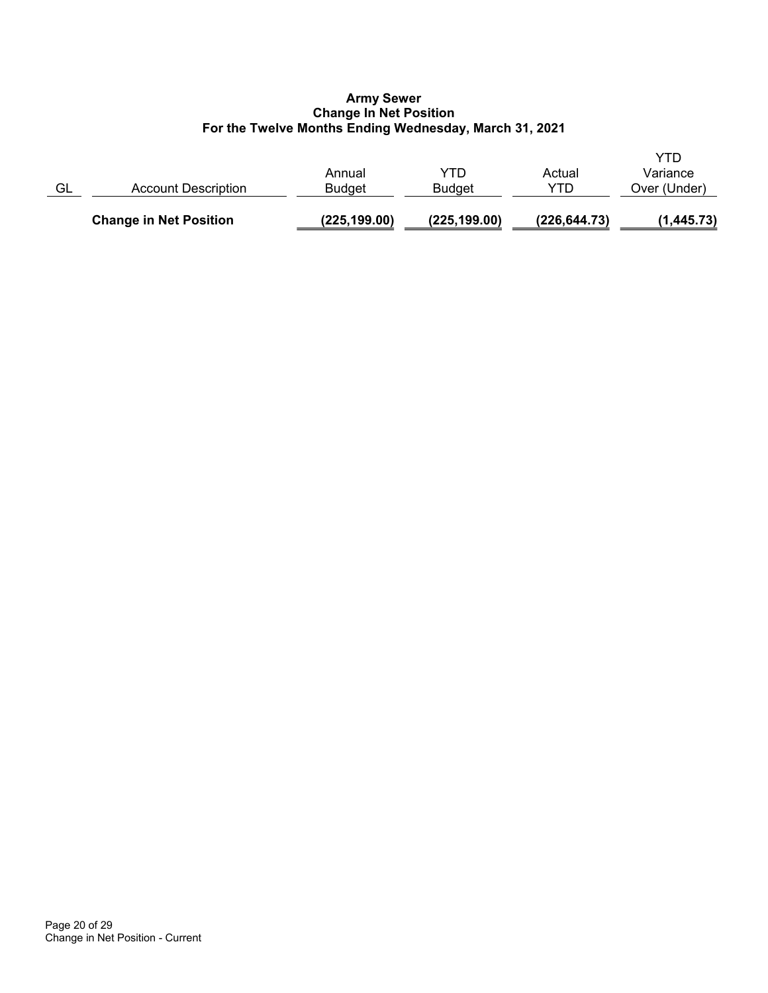### **Army Sewer Change In Net Position For the Twelve Months Ending Wednesday, March 31, 2021**

|    | <b>Change in Net Position</b> | (225, 199.00)    | (225, 199.00)        | (226, 644.73) | (1,445.73)               |
|----|-------------------------------|------------------|----------------------|---------------|--------------------------|
| GL | Account Description           | Annual<br>Budaet | YTD<br><b>Budget</b> | Actual<br>YTD | Variance<br>Over (Under) |
|    |                               |                  |                      |               | YTD                      |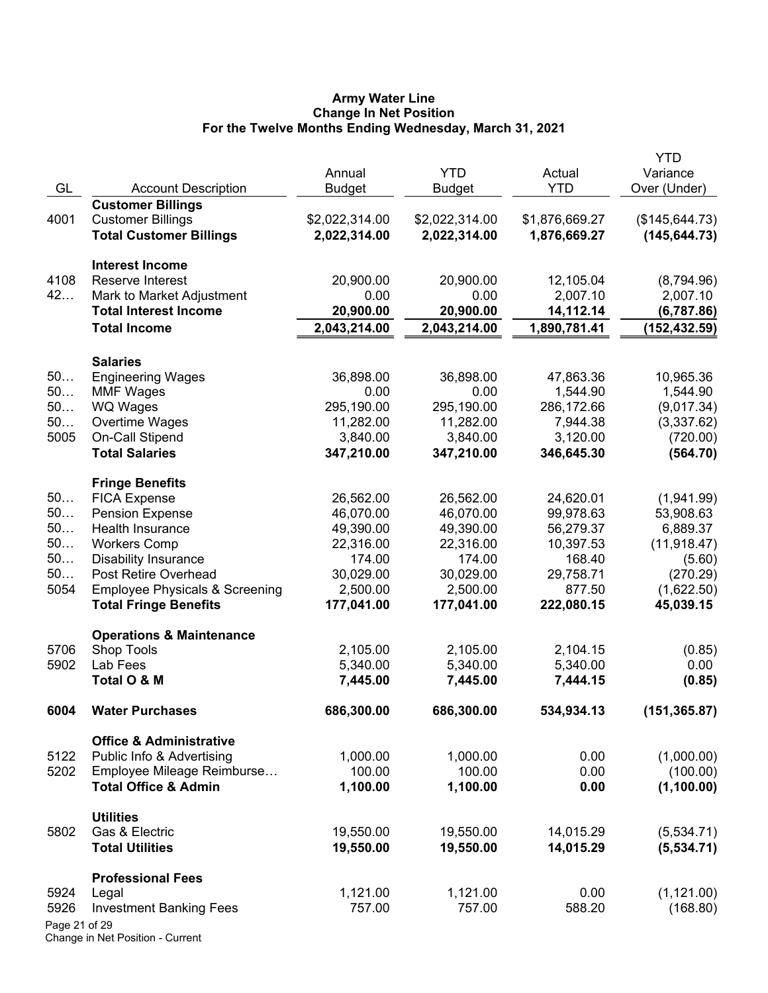### **Army Water Line Change In Net Position For the Twelve Months Ending Wednesday, March 31, 2021**

|               |                                           |                |                |                | YTD             |
|---------------|-------------------------------------------|----------------|----------------|----------------|-----------------|
|               |                                           | Annual         | <b>YTD</b>     | Actual         | Variance        |
| GL            | <b>Account Description</b>                | <b>Budget</b>  | <b>Budget</b>  | <b>YTD</b>     | Over (Under)    |
|               | <b>Customer Billings</b>                  |                |                |                |                 |
| 4001          | <b>Customer Billings</b>                  | \$2,022,314.00 | \$2,022,314.00 | \$1,876,669.27 | (\$145, 644.73) |
|               | <b>Total Customer Billings</b>            | 2,022,314.00   | 2,022,314.00   | 1,876,669.27   | (145, 644.73)   |
|               | <b>Interest Income</b>                    |                |                |                |                 |
| 4108          | Reserve Interest                          | 20,900.00      | 20,900.00      | 12,105.04      | (8,794.96)      |
| 42            | Mark to Market Adjustment                 | 0.00           | 0.00           | 2,007.10       | 2,007.10        |
|               | <b>Total Interest Income</b>              | 20,900.00      | 20,900.00      | 14,112.14      | (6,787.86)      |
|               | <b>Total Income</b>                       | 2,043,214.00   | 2,043,214.00   | 1,890,781.41   | (152, 432.59)   |
|               | <b>Salaries</b>                           |                |                |                |                 |
| 50            | <b>Engineering Wages</b>                  | 36,898.00      | 36,898.00      | 47,863.36      | 10,965.36       |
| 50            | <b>MMF Wages</b>                          | 0.00           | 0.00           | 1,544.90       | 1,544.90        |
| 50            | WQ Wages                                  | 295,190.00     | 295,190.00     | 286,172.66     | (9,017.34)      |
| 50            | Overtime Wages                            | 11,282.00      | 11,282.00      | 7,944.38       | (3,337.62)      |
| 5005          | On-Call Stipend                           | 3,840.00       | 3,840.00       | 3,120.00       | (720.00)        |
|               | <b>Total Salaries</b>                     | 347,210.00     | 347,210.00     | 346,645.30     | (564.70)        |
|               | <b>Fringe Benefits</b>                    |                |                |                |                 |
| 50            | <b>FICA Expense</b>                       | 26,562.00      | 26,562.00      | 24,620.01      | (1,941.99)      |
| 50            | <b>Pension Expense</b>                    | 46,070.00      | 46,070.00      | 99,978.63      | 53,908.63       |
| 50            | Health Insurance                          | 49,390.00      | 49,390.00      | 56,279.37      | 6,889.37        |
| 50            | <b>Workers Comp</b>                       | 22,316.00      | 22,316.00      | 10,397.53      | (11, 918.47)    |
| 50            | <b>Disability Insurance</b>               | 174.00         | 174.00         | 168.40         | (5.60)          |
| 50            | Post Retire Overhead                      | 30,029.00      | 30,029.00      | 29,758.71      | (270.29)        |
| 5054          | <b>Employee Physicals &amp; Screening</b> | 2,500.00       | 2,500.00       | 877.50         | (1,622.50)      |
|               | <b>Total Fringe Benefits</b>              | 177,041.00     | 177,041.00     | 222,080.15     | 45,039.15       |
|               |                                           |                |                |                |                 |
|               | <b>Operations &amp; Maintenance</b>       |                |                |                |                 |
| 5706          | <b>Shop Tools</b>                         | 2,105.00       | 2,105.00       | 2,104.15       | (0.85)          |
| 5902          | Lab Fees<br>Total O & M                   | 5,340.00       | 5,340.00       | 5,340.00       | 0.00            |
|               |                                           | 7,445.00       | 7,445.00       | 7,444.15       | (0.85)          |
| 6004          | <b>Water Purchases</b>                    | 686,300.00     | 686,300.00     | 534,934.13     | (151, 365.87)   |
|               | <b>Office &amp; Administrative</b>        |                |                |                |                 |
| 5122          | Public Info & Advertising                 | 1,000.00       | 1,000.00       | 0.00           | (1,000.00)      |
| 5202          | Employee Mileage Reimburse                | 100.00         | 100.00         | 0.00           | (100.00)        |
|               | <b>Total Office &amp; Admin</b>           | 1,100.00       | 1,100.00       | 0.00           | (1,100.00)      |
|               | <b>Utilities</b>                          |                |                |                |                 |
| 5802          | Gas & Electric                            | 19,550.00      | 19,550.00      | 14,015.29      | (5,534.71)      |
|               | <b>Total Utilities</b>                    | 19,550.00      | 19,550.00      | 14,015.29      | (5,534.71)      |
|               | <b>Professional Fees</b>                  |                |                |                |                 |
| 5924          | Legal                                     | 1,121.00       | 1,121.00       | 0.00           | (1, 121.00)     |
| 5926          | <b>Investment Banking Fees</b>            | 757.00         | 757.00         | 588.20         | (168.80)        |
| Page 21 of 29 |                                           |                |                |                |                 |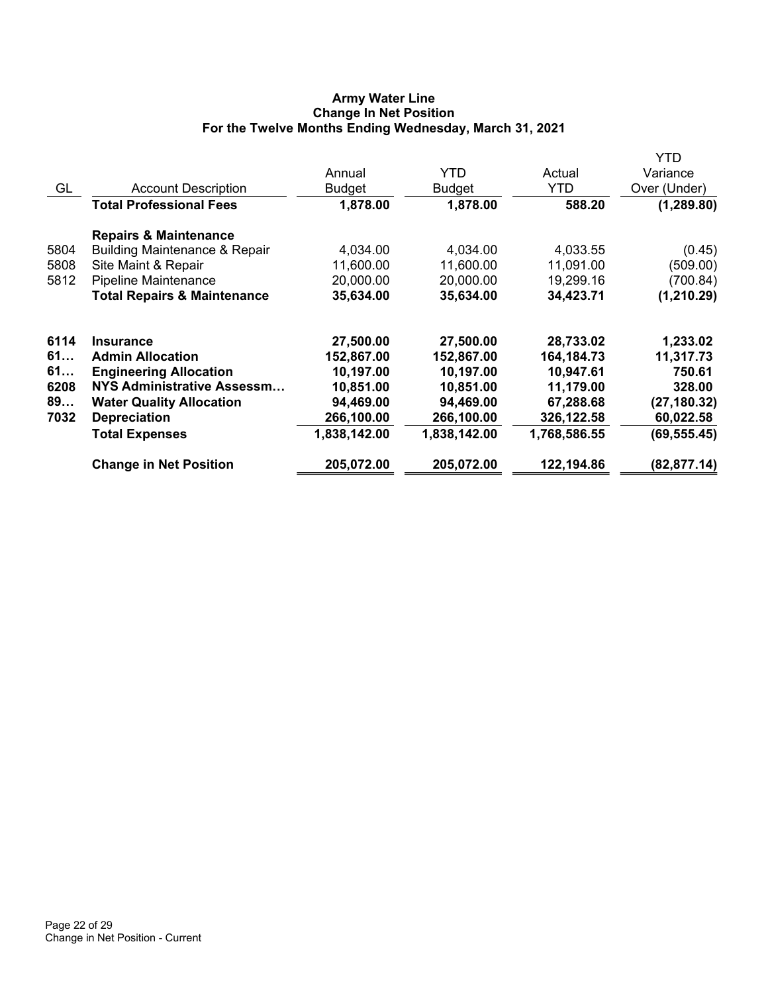## **Army Water Line Change In Net Position For the Twelve Months Ending Wednesday, March 31, 2021**

|      |                                          |               |              |              | YTD          |
|------|------------------------------------------|---------------|--------------|--------------|--------------|
|      |                                          | Annual        | YTD.         | Actual       | Variance     |
| GL   | <b>Account Description</b>               | <b>Budget</b> | Budget       | <b>YTD</b>   | Over (Under) |
|      | <b>Total Professional Fees</b>           | 1,878.00      | 1,878.00     | 588.20       | (1, 289.80)  |
|      | <b>Repairs &amp; Maintenance</b>         |               |              |              |              |
| 5804 | <b>Building Maintenance &amp; Repair</b> | 4,034.00      | 4,034.00     | 4,033.55     | (0.45)       |
| 5808 | Site Maint & Repair                      | 11,600.00     | 11,600.00    | 11,091.00    | (509.00)     |
| 5812 | Pipeline Maintenance                     | 20,000.00     | 20,000.00    | 19,299.16    | (700.84)     |
|      | <b>Total Repairs &amp; Maintenance</b>   | 35,634.00     | 35,634.00    | 34,423.71    | (1, 210.29)  |
| 6114 | <b>Insurance</b>                         | 27,500.00     | 27,500.00    | 28,733.02    | 1,233.02     |
| 61   | <b>Admin Allocation</b>                  | 152,867.00    | 152,867.00   | 164,184.73   | 11,317.73    |
| 61   | <b>Engineering Allocation</b>            | 10,197.00     | 10,197.00    | 10,947.61    | 750.61       |
| 6208 | NYS Administrative Assessm               | 10,851.00     | 10,851.00    | 11,179.00    | 328.00       |
| 89   | <b>Water Quality Allocation</b>          | 94,469.00     | 94,469.00    | 67,288.68    | (27, 180.32) |
| 7032 | <b>Depreciation</b>                      | 266,100.00    | 266,100.00   | 326,122.58   | 60,022.58    |
|      | <b>Total Expenses</b>                    | 1,838,142.00  | 1,838,142.00 | 1,768,586.55 | (69, 555.45) |
|      | <b>Change in Net Position</b>            | 205,072.00    | 205,072.00   | 122,194.86   | (82,877.14)  |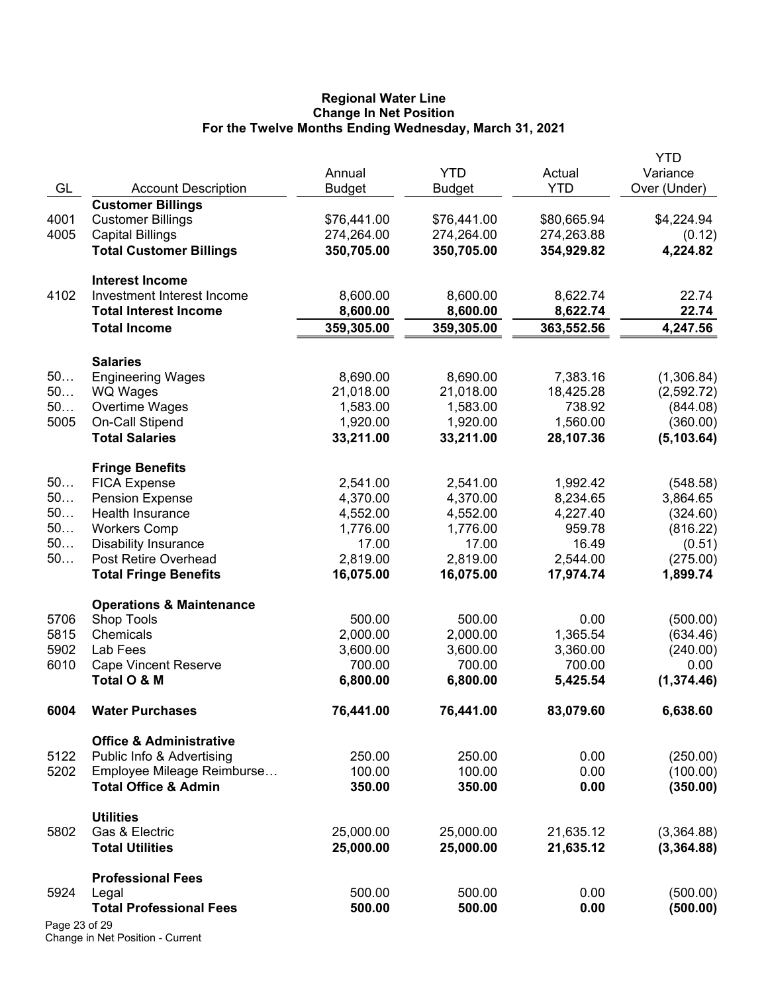#### **Regional Water Line Change In Net Position For the Twelve Months Ending Wednesday, March 31, 2021**

|               |                                     |               |               |             | YTD          |
|---------------|-------------------------------------|---------------|---------------|-------------|--------------|
|               |                                     | Annual        | <b>YTD</b>    | Actual      | Variance     |
| GL            | <b>Account Description</b>          | <b>Budget</b> | <b>Budget</b> | <b>YTD</b>  | Over (Under) |
|               | <b>Customer Billings</b>            |               |               |             |              |
| 4001          | <b>Customer Billings</b>            | \$76,441.00   | \$76,441.00   | \$80,665.94 | \$4,224.94   |
| 4005          | <b>Capital Billings</b>             | 274,264.00    | 274,264.00    | 274,263.88  | (0.12)       |
|               | <b>Total Customer Billings</b>      | 350,705.00    | 350,705.00    | 354,929.82  | 4,224.82     |
|               | <b>Interest Income</b>              |               |               |             |              |
| 4102          | Investment Interest Income          | 8,600.00      | 8,600.00      | 8,622.74    | 22.74        |
|               | <b>Total Interest Income</b>        | 8,600.00      | 8,600.00      | 8,622.74    | 22.74        |
|               | <b>Total Income</b>                 | 359,305.00    | 359,305.00    | 363,552.56  | 4,247.56     |
|               |                                     |               |               |             |              |
|               | <b>Salaries</b>                     |               |               |             |              |
| 50            | <b>Engineering Wages</b>            | 8,690.00      | 8,690.00      | 7,383.16    | (1,306.84)   |
| 50            | <b>WQ Wages</b>                     | 21,018.00     | 21,018.00     | 18,425.28   | (2,592.72)   |
| 50            | Overtime Wages                      | 1,583.00      | 1,583.00      | 738.92      | (844.08)     |
| 5005          | On-Call Stipend                     | 1,920.00      | 1,920.00      | 1,560.00    | (360.00)     |
|               | <b>Total Salaries</b>               | 33,211.00     | 33,211.00     | 28,107.36   | (5, 103.64)  |
|               | <b>Fringe Benefits</b>              |               |               |             |              |
| 50            | <b>FICA Expense</b>                 | 2,541.00      | 2,541.00      | 1,992.42    | (548.58)     |
| 50            | <b>Pension Expense</b>              | 4,370.00      | 4,370.00      | 8,234.65    | 3,864.65     |
| 50            | Health Insurance                    | 4,552.00      | 4,552.00      | 4,227.40    | (324.60)     |
| 50            | <b>Workers Comp</b>                 | 1,776.00      | 1,776.00      | 959.78      | (816.22)     |
| 50            | <b>Disability Insurance</b>         | 17.00         | 17.00         | 16.49       | (0.51)       |
| 50            | Post Retire Overhead                | 2,819.00      | 2,819.00      | 2,544.00    | (275.00)     |
|               | <b>Total Fringe Benefits</b>        | 16,075.00     | 16,075.00     | 17,974.74   | 1,899.74     |
|               | <b>Operations &amp; Maintenance</b> |               |               |             |              |
| 5706          | Shop Tools                          | 500.00        | 500.00        | 0.00        | (500.00)     |
| 5815          | Chemicals                           | 2,000.00      | 2,000.00      | 1,365.54    | (634.46)     |
| 5902          | Lab Fees                            | 3,600.00      | 3,600.00      | 3,360.00    | (240.00)     |
| 6010          | <b>Cape Vincent Reserve</b>         | 700.00        | 700.00        | 700.00      | 0.00         |
|               | Total O & M                         | 6,800.00      | 6,800.00      | 5,425.54    | (1, 374.46)  |
| 6004          |                                     | 76,441.00     |               | 83,079.60   | 6,638.60     |
|               | <b>Water Purchases</b>              |               | 76,441.00     |             |              |
|               | <b>Office &amp; Administrative</b>  |               |               |             |              |
| 5122          | Public Info & Advertising           | 250.00        | 250.00        | 0.00        | (250.00)     |
| 5202          | Employee Mileage Reimburse          | 100.00        | 100.00        | 0.00        | (100.00)     |
|               | <b>Total Office &amp; Admin</b>     | 350.00        | 350.00        | 0.00        | (350.00)     |
|               | <b>Utilities</b>                    |               |               |             |              |
| 5802          | Gas & Electric                      | 25,000.00     | 25,000.00     | 21,635.12   | (3,364.88)   |
|               | <b>Total Utilities</b>              | 25,000.00     | 25,000.00     | 21,635.12   | (3,364.88)   |
|               | <b>Professional Fees</b>            |               |               |             |              |
| 5924          | Legal                               | 500.00        | 500.00        | 0.00        | (500.00)     |
|               | <b>Total Professional Fees</b>      | 500.00        | 500.00        | 0.00        | (500.00)     |
| Page 23 of 29 |                                     |               |               |             |              |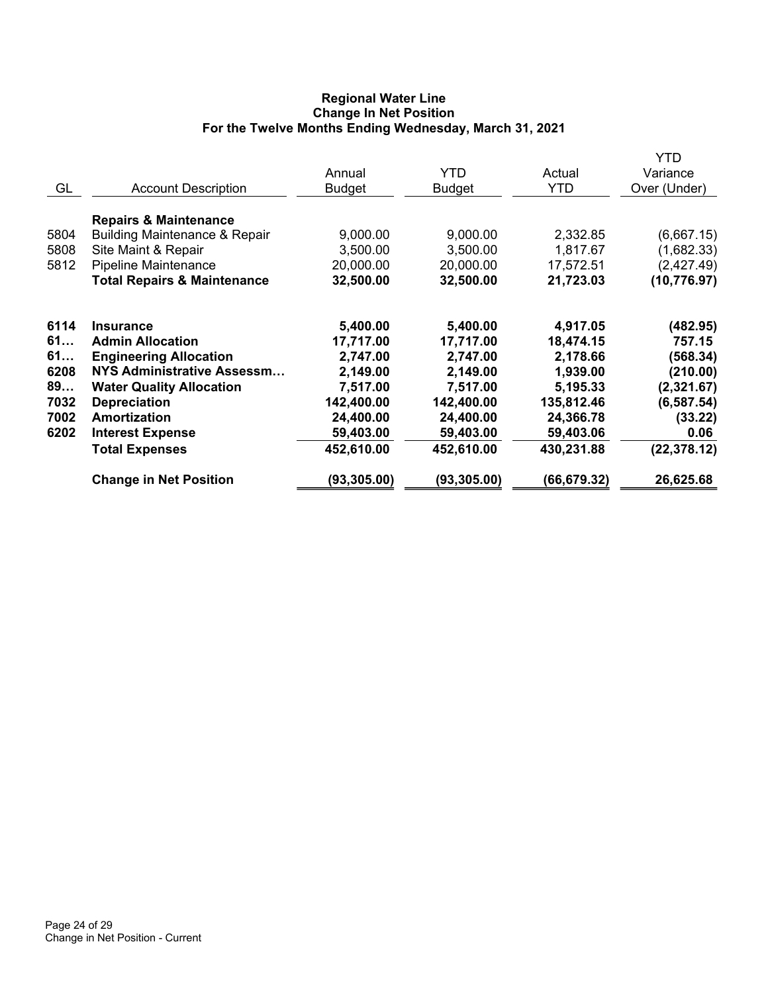### **Regional Water Line Change In Net Position For the Twelve Months Ending Wednesday, March 31, 2021**

|      |                                          | Annual        | <b>YTD</b>    | Actual       | YTD<br>Variance |
|------|------------------------------------------|---------------|---------------|--------------|-----------------|
| GL   | <b>Account Description</b>               | <b>Budget</b> | <b>Budget</b> | <b>YTD</b>   | Over (Under)    |
|      | <b>Repairs &amp; Maintenance</b>         |               |               |              |                 |
| 5804 | <b>Building Maintenance &amp; Repair</b> | 9,000.00      | 9,000.00      | 2,332.85     | (6,667.15)      |
| 5808 | Site Maint & Repair                      | 3,500.00      | 3,500.00      | 1,817.67     | (1,682.33)      |
| 5812 | Pipeline Maintenance                     | 20,000.00     | 20,000.00     | 17,572.51    | (2,427.49)      |
|      | <b>Total Repairs &amp; Maintenance</b>   | 32,500.00     | 32,500.00     | 21,723.03    | (10, 776.97)    |
| 6114 | <b>Insurance</b>                         | 5,400.00      | 5,400.00      | 4,917.05     | (482.95)        |
| 61   | <b>Admin Allocation</b>                  | 17,717.00     | 17,717.00     | 18,474.15    | 757.15          |
| 61   | <b>Engineering Allocation</b>            | 2,747.00      | 2,747.00      | 2,178.66     | (568.34)        |
| 6208 | <b>NYS Administrative Assessm</b>        | 2,149.00      | 2,149.00      | 1,939.00     | (210.00)        |
| 89   | <b>Water Quality Allocation</b>          | 7,517.00      | 7,517.00      | 5,195.33     | (2,321.67)      |
| 7032 | <b>Depreciation</b>                      | 142,400.00    | 142,400.00    | 135,812.46   | (6, 587.54)     |
| 7002 | Amortization                             | 24,400.00     | 24,400.00     | 24,366.78    | (33.22)         |
| 6202 | <b>Interest Expense</b>                  | 59,403.00     | 59,403.00     | 59,403.06    | 0.06            |
|      | <b>Total Expenses</b>                    | 452,610.00    | 452,610.00    | 430,231.88   | (22, 378.12)    |
|      | <b>Change in Net Position</b>            | (93,305.00)   | (93,305.00)   | (66, 679.32) | 26,625.68       |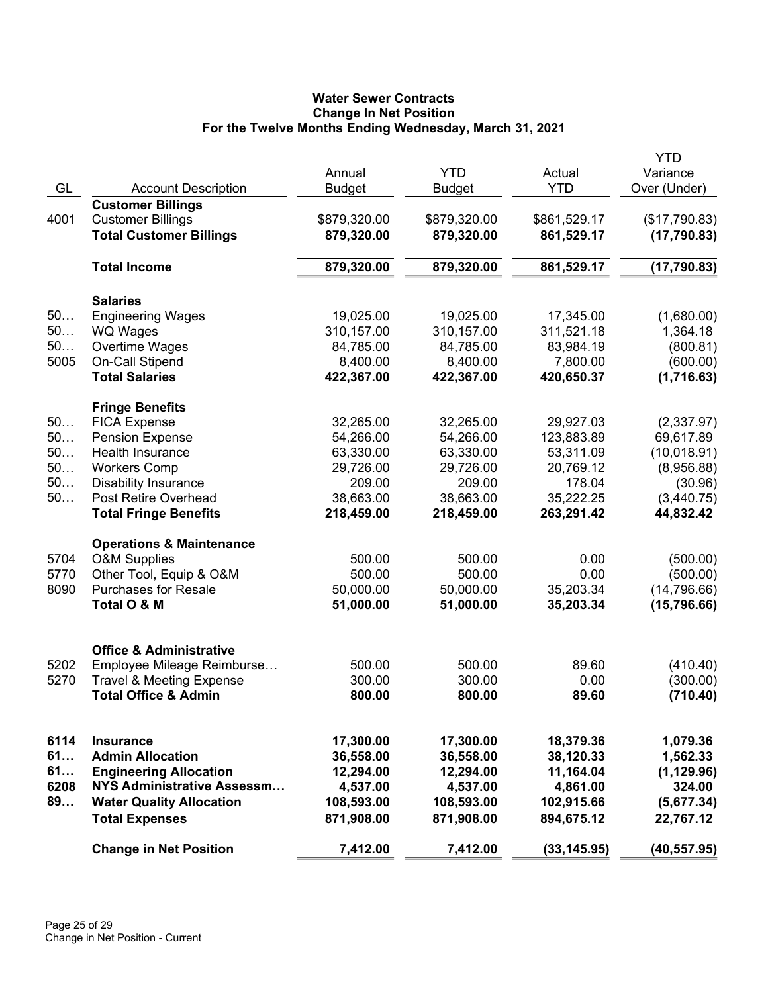# **Water Sewer Contracts Change In Net Position For the Twelve Months Ending Wednesday, March 31, 2021**

|      |                                     |               |               |              | <b>YTD</b>    |
|------|-------------------------------------|---------------|---------------|--------------|---------------|
|      |                                     | Annual        | <b>YTD</b>    | Actual       | Variance      |
| GL   | <b>Account Description</b>          | <b>Budget</b> | <b>Budget</b> | <b>YTD</b>   | Over (Under)  |
|      | <b>Customer Billings</b>            |               |               |              |               |
| 4001 | <b>Customer Billings</b>            | \$879,320.00  | \$879,320.00  | \$861,529.17 | (\$17,790.83) |
|      | <b>Total Customer Billings</b>      | 879,320.00    | 879,320.00    | 861,529.17   | (17,790.83)   |
|      |                                     |               |               |              |               |
|      | <b>Total Income</b>                 | 879,320.00    | 879,320.00    | 861,529.17   | (17, 790.83)  |
|      |                                     |               |               |              |               |
|      | <b>Salaries</b>                     |               |               |              |               |
| 50   | <b>Engineering Wages</b>            | 19,025.00     | 19,025.00     | 17,345.00    | (1,680.00)    |
| 50   | <b>WQ Wages</b>                     | 310,157.00    | 310,157.00    | 311,521.18   | 1,364.18      |
| 50   | Overtime Wages                      | 84,785.00     | 84,785.00     | 83,984.19    | (800.81)      |
| 5005 | On-Call Stipend                     | 8,400.00      | 8,400.00      | 7,800.00     | (600.00)      |
|      | <b>Total Salaries</b>               | 422,367.00    | 422,367.00    | 420,650.37   | (1,716.63)    |
|      |                                     |               |               |              |               |
|      | <b>Fringe Benefits</b>              |               |               |              |               |
| 50   | <b>FICA Expense</b>                 | 32,265.00     | 32,265.00     | 29,927.03    | (2,337.97)    |
| 50   | <b>Pension Expense</b>              | 54,266.00     | 54,266.00     | 123,883.89   | 69,617.89     |
| 50   | <b>Health Insurance</b>             | 63,330.00     | 63,330.00     | 53,311.09    | (10,018.91)   |
| 50   | <b>Workers Comp</b>                 | 29,726.00     | 29,726.00     | 20,769.12    | (8,956.88)    |
| 50   | <b>Disability Insurance</b>         | 209.00        | 209.00        | 178.04       | (30.96)       |
| 50   | Post Retire Overhead                | 38,663.00     | 38,663.00     | 35,222.25    | (3,440.75)    |
|      | <b>Total Fringe Benefits</b>        | 218,459.00    | 218,459.00    | 263,291.42   | 44,832.42     |
|      |                                     |               |               |              |               |
|      | <b>Operations &amp; Maintenance</b> |               |               |              |               |
| 5704 | <b>O&amp;M Supplies</b>             | 500.00        | 500.00        | 0.00         | (500.00)      |
| 5770 | Other Tool, Equip & O&M             | 500.00        | 500.00        | 0.00         | (500.00)      |
| 8090 | <b>Purchases for Resale</b>         | 50,000.00     | 50,000.00     | 35,203.34    | (14, 796.66)  |
|      | Total O & M                         | 51,000.00     | 51,000.00     | 35,203.34    | (15,796.66)   |
|      |                                     |               |               |              |               |
|      | <b>Office &amp; Administrative</b>  |               |               |              |               |
| 5202 | Employee Mileage Reimburse          | 500.00        | 500.00        | 89.60        | (410.40)      |
| 5270 | <b>Travel &amp; Meeting Expense</b> | 300.00        | 300.00        | 0.00         | (300.00)      |
|      | <b>Total Office &amp; Admin</b>     | 800.00        | 800.00        | 89.60        | (710.40)      |
|      |                                     |               |               |              |               |
| 6114 | <b>Insurance</b>                    | 17,300.00     | 17,300.00     | 18,379.36    | 1,079.36      |
| 61   | <b>Admin Allocation</b>             | 36,558.00     | 36,558.00     | 38,120.33    | 1,562.33      |
| 61   | <b>Engineering Allocation</b>       | 12,294.00     | 12,294.00     | 11,164.04    | (1, 129.96)   |
| 6208 | NYS Administrative Assessm          | 4,537.00      | 4,537.00      | 4,861.00     | 324.00        |
| 89   | <b>Water Quality Allocation</b>     | 108,593.00    | 108,593.00    | 102,915.66   | (5,677.34)    |
|      | <b>Total Expenses</b>               | 871,908.00    | 871,908.00    | 894,675.12   | 22,767.12     |
|      |                                     |               |               |              |               |
|      | <b>Change in Net Position</b>       | 7,412.00      | 7,412.00      | (33, 145.95) | (40, 557.95)  |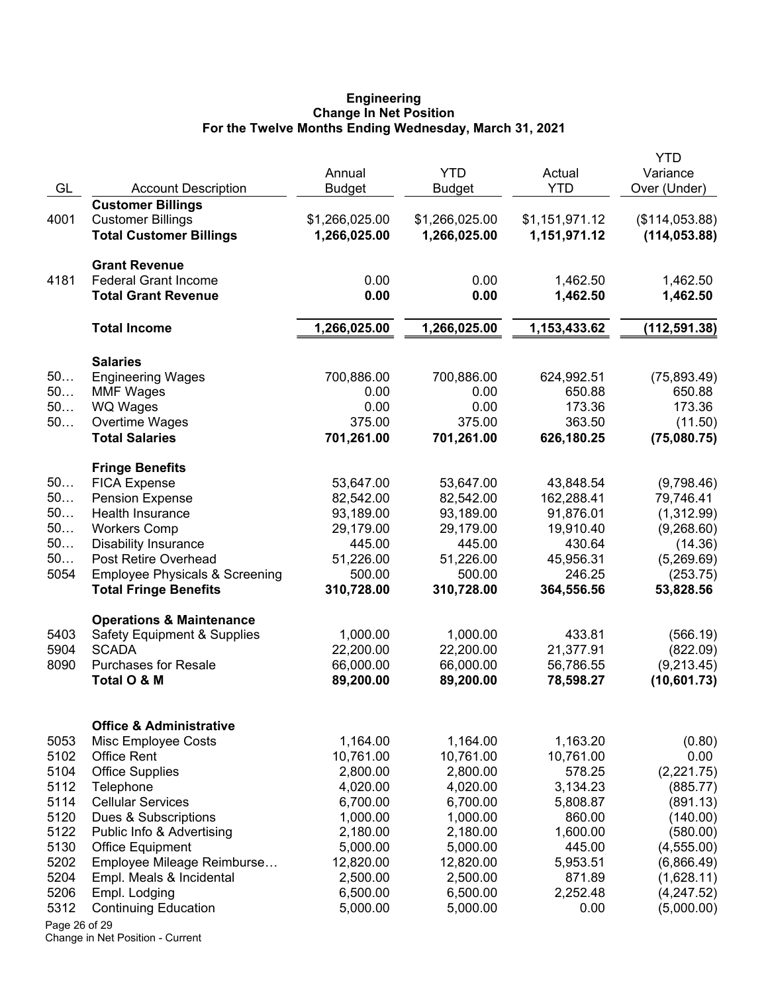#### **Engineering Change In Net Position For the Twelve Months Ending Wednesday, March 31, 2021**

|               |                                           |                |                |                | YTD            |
|---------------|-------------------------------------------|----------------|----------------|----------------|----------------|
|               |                                           | Annual         | <b>YTD</b>     | Actual         | Variance       |
| GL            | <b>Account Description</b>                | <b>Budget</b>  | <b>Budget</b>  | <b>YTD</b>     | Over (Under)   |
| 4001          | <b>Customer Billings</b>                  |                |                |                |                |
|               | <b>Customer Billings</b>                  | \$1,266,025.00 | \$1,266,025.00 | \$1,151,971.12 | (\$114,053.88) |
|               | <b>Total Customer Billings</b>            | 1,266,025.00   | 1,266,025.00   | 1,151,971.12   | (114, 053.88)  |
|               | <b>Grant Revenue</b>                      |                |                |                |                |
| 4181          | <b>Federal Grant Income</b>               | 0.00           | 0.00           | 1,462.50       | 1,462.50       |
|               | <b>Total Grant Revenue</b>                | 0.00           | 0.00           | 1,462.50       | 1,462.50       |
|               | <b>Total Income</b>                       | 1,266,025.00   | 1,266,025.00   | 1,153,433.62   | (112, 591.38)  |
|               | <b>Salaries</b>                           |                |                |                |                |
| 50            | <b>Engineering Wages</b>                  | 700,886.00     | 700,886.00     | 624,992.51     | (75, 893.49)   |
| 50            | <b>MMF Wages</b>                          | 0.00           | 0.00           | 650.88         | 650.88         |
| 50            | WQ Wages                                  | 0.00           | 0.00           | 173.36         | 173.36         |
| 50            | Overtime Wages                            | 375.00         | 375.00         | 363.50         | (11.50)        |
|               | <b>Total Salaries</b>                     | 701,261.00     | 701,261.00     | 626,180.25     | (75,080.75)    |
|               | <b>Fringe Benefits</b>                    |                |                |                |                |
| 50            | <b>FICA Expense</b>                       | 53,647.00      | 53,647.00      | 43,848.54      | (9,798.46)     |
| 50            | <b>Pension Expense</b>                    | 82,542.00      | 82,542.00      | 162,288.41     | 79,746.41      |
| 50            | Health Insurance                          | 93,189.00      | 93,189.00      | 91,876.01      | (1,312.99)     |
| 50            | <b>Workers Comp</b>                       | 29,179.00      | 29,179.00      | 19,910.40      | (9,268.60)     |
| 50            | <b>Disability Insurance</b>               | 445.00         | 445.00         | 430.64         | (14.36)        |
| 50            | Post Retire Overhead                      | 51,226.00      | 51,226.00      | 45,956.31      | (5,269.69)     |
| 5054          | <b>Employee Physicals &amp; Screening</b> | 500.00         | 500.00         | 246.25         | (253.75)       |
|               | <b>Total Fringe Benefits</b>              | 310,728.00     | 310,728.00     | 364,556.56     | 53,828.56      |
|               | <b>Operations &amp; Maintenance</b>       |                |                |                |                |
| 5403          | <b>Safety Equipment &amp; Supplies</b>    | 1,000.00       | 1,000.00       | 433.81         | (566.19)       |
| 5904          | <b>SCADA</b>                              | 22,200.00      | 22,200.00      | 21,377.91      | (822.09)       |
| 8090          | <b>Purchases for Resale</b>               | 66,000.00      | 66,000.00      | 56,786.55      | (9,213.45)     |
|               | Total O & M                               | 89,200.00      | 89,200.00      | 78,598.27      | (10,601.73)    |
|               | <b>Office &amp; Administrative</b>        |                |                |                |                |
| 5053          | Misc Employee Costs                       | 1,164.00       | 1,164.00       | 1,163.20       | (0.80)         |
| 5102          | <b>Office Rent</b>                        | 10,761.00      | 10,761.00      | 10,761.00      | 0.00           |
| 5104          | <b>Office Supplies</b>                    | 2,800.00       | 2,800.00       | 578.25         | (2,221.75)     |
| 5112          | Telephone                                 | 4,020.00       | 4,020.00       | 3,134.23       | (885.77)       |
| 5114          | <b>Cellular Services</b>                  | 6,700.00       | 6,700.00       | 5,808.87       | (891.13)       |
| 5120          | Dues & Subscriptions                      | 1,000.00       | 1,000.00       | 860.00         | (140.00)       |
| 5122          | Public Info & Advertising                 | 2,180.00       | 2,180.00       | 1,600.00       | (580.00)       |
| 5130          | <b>Office Equipment</b>                   | 5,000.00       | 5,000.00       | 445.00         | (4, 555.00)    |
| 5202          | Employee Mileage Reimburse                | 12,820.00      | 12,820.00      | 5,953.51       | (6,866.49)     |
| 5204          | Empl. Meals & Incidental                  | 2,500.00       | 2,500.00       | 871.89         | (1,628.11)     |
| 5206          | Empl. Lodging                             | 6,500.00       | 6,500.00       | 2,252.48       | (4,247.52)     |
| 5312          | <b>Continuing Education</b>               | 5,000.00       | 5,000.00       | 0.00           | (5,000.00)     |
| Page 26 of 29 |                                           |                |                |                |                |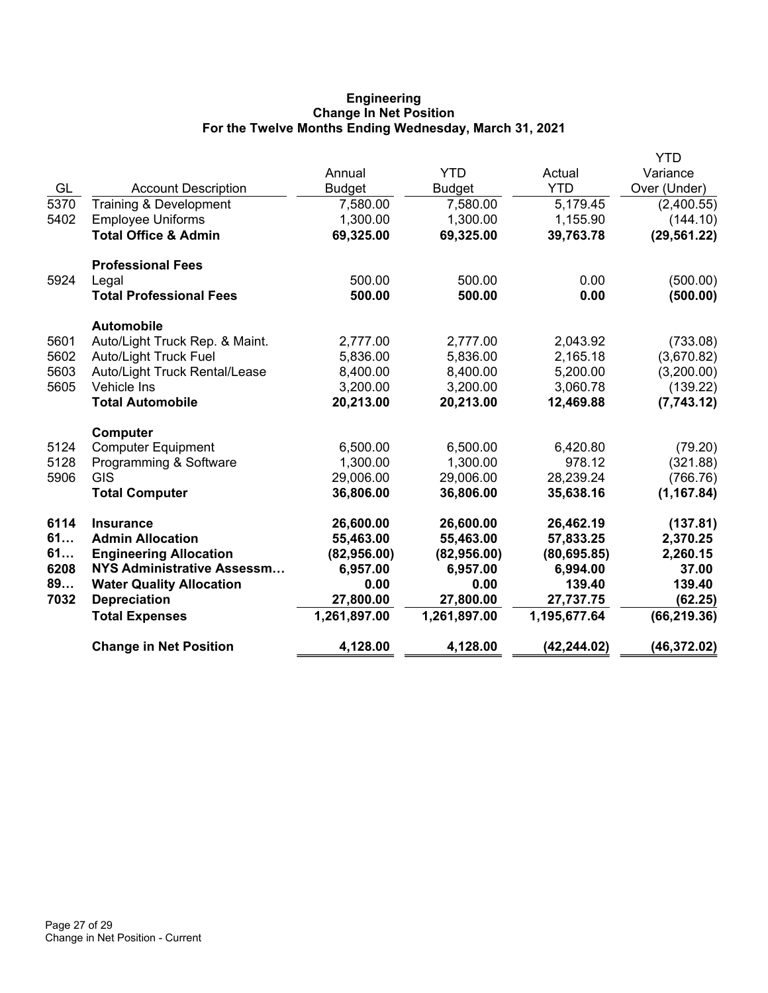### **Engineering Change In Net Position For the Twelve Months Ending Wednesday, March 31, 2021**

|      |                                   |                         | <b>YTD</b>    |                      | YTD                      |
|------|-----------------------------------|-------------------------|---------------|----------------------|--------------------------|
| GL   | <b>Account Description</b>        | Annual<br><b>Budget</b> | <b>Budget</b> | Actual<br><b>YTD</b> | Variance<br>Over (Under) |
| 5370 | Training & Development            | 7,580.00                | 7,580.00      | 5,179.45             | (2,400.55)               |
| 5402 | <b>Employee Uniforms</b>          | 1,300.00                | 1,300.00      | 1,155.90             | (144.10)                 |
|      | <b>Total Office &amp; Admin</b>   | 69,325.00               | 69,325.00     | 39,763.78            | (29, 561.22)             |
|      |                                   |                         |               |                      |                          |
|      | <b>Professional Fees</b>          |                         |               |                      |                          |
| 5924 | Legal                             | 500.00                  | 500.00        | 0.00                 | (500.00)                 |
|      | <b>Total Professional Fees</b>    | 500.00                  | 500.00        | 0.00                 | (500.00)                 |
|      | <b>Automobile</b>                 |                         |               |                      |                          |
| 5601 | Auto/Light Truck Rep. & Maint.    | 2,777.00                | 2,777.00      | 2,043.92             | (733.08)                 |
| 5602 | <b>Auto/Light Truck Fuel</b>      | 5,836.00                | 5,836.00      | 2,165.18             | (3,670.82)               |
| 5603 | Auto/Light Truck Rental/Lease     | 8,400.00                | 8,400.00      | 5,200.00             | (3,200.00)               |
| 5605 | Vehicle Ins                       | 3,200.00                | 3,200.00      | 3,060.78             | (139.22)                 |
|      | <b>Total Automobile</b>           | 20,213.00               | 20,213.00     | 12,469.88            | (7,743.12)               |
|      | <b>Computer</b>                   |                         |               |                      |                          |
| 5124 | <b>Computer Equipment</b>         | 6,500.00                | 6,500.00      | 6,420.80             | (79.20)                  |
| 5128 | Programming & Software            | 1,300.00                | 1,300.00      | 978.12               | (321.88)                 |
| 5906 | <b>GIS</b>                        | 29,006.00               | 29,006.00     | 28,239.24            | (766.76)                 |
|      | <b>Total Computer</b>             | 36,806.00               | 36,806.00     | 35,638.16            | (1, 167.84)              |
| 6114 | <b>Insurance</b>                  | 26,600.00               | 26,600.00     | 26,462.19            | (137.81)                 |
| 61   | <b>Admin Allocation</b>           | 55,463.00               | 55,463.00     | 57,833.25            | 2,370.25                 |
| 61   | <b>Engineering Allocation</b>     | (82,956.00)             | (82,956.00)   | (80, 695.85)         | 2,260.15                 |
| 6208 | <b>NYS Administrative Assessm</b> | 6,957.00                | 6,957.00      | 6,994.00             | 37.00                    |
| 89   | <b>Water Quality Allocation</b>   | 0.00                    | 0.00          | 139.40               | 139.40                   |
| 7032 | <b>Depreciation</b>               | 27,800.00               | 27,800.00     | 27,737.75            | (62.25)                  |
|      | <b>Total Expenses</b>             | 1,261,897.00            | 1,261,897.00  | 1,195,677.64         | (66, 219.36)             |
|      | <b>Change in Net Position</b>     | 4,128.00                | 4,128.00      | (42, 244.02)         | (46, 372.02)             |
|      |                                   |                         |               |                      |                          |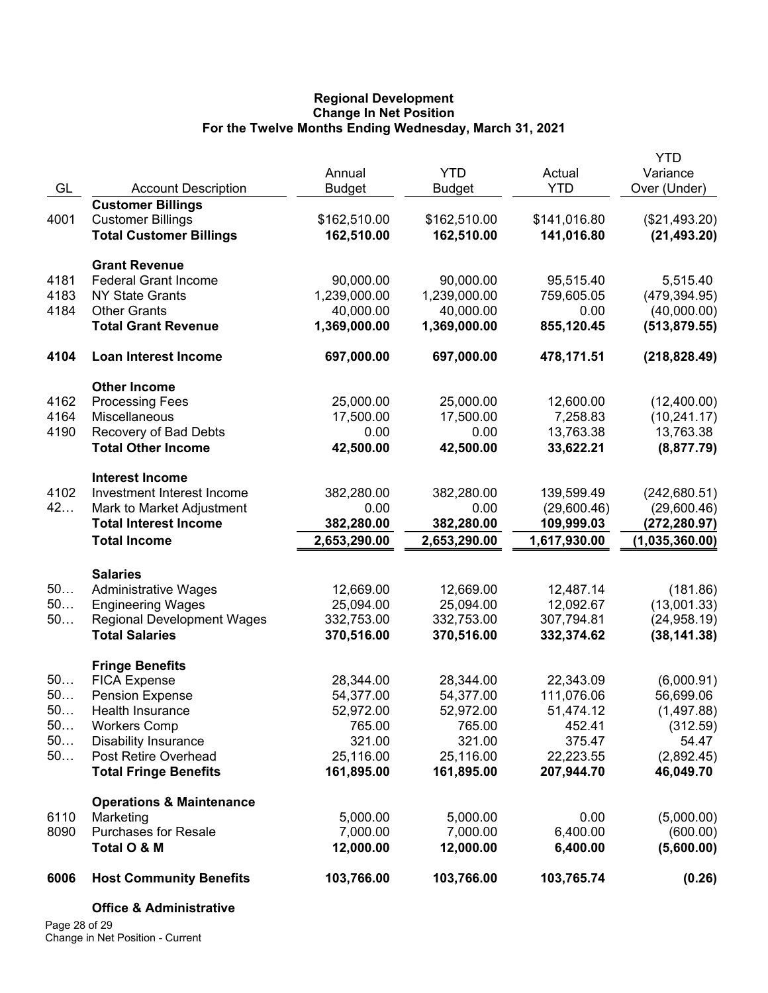### **Regional Development Change In Net Position For the Twelve Months Ending Wednesday, March 31, 2021**

|           |                                                  | Annual                 | <b>YTD</b>             | Actual              | <b>YTD</b><br>Variance |
|-----------|--------------------------------------------------|------------------------|------------------------|---------------------|------------------------|
| GL        | <b>Account Description</b>                       | <b>Budget</b>          | <b>Budget</b>          | <b>YTD</b>          | Over (Under)           |
|           | <b>Customer Billings</b>                         |                        |                        |                     |                        |
| 4001      | <b>Customer Billings</b>                         | \$162,510.00           | \$162,510.00           | \$141,016.80        | (\$21,493.20)          |
|           | <b>Total Customer Billings</b>                   | 162,510.00             | 162,510.00             | 141,016.80          | (21, 493.20)           |
|           | <b>Grant Revenue</b>                             |                        |                        |                     |                        |
| 4181      | <b>Federal Grant Income</b>                      | 90,000.00              | 90,000.00              | 95,515.40           | 5,515.40               |
| 4183      | <b>NY State Grants</b>                           | 1,239,000.00           | 1,239,000.00           | 759,605.05          | (479, 394.95)          |
| 4184      | <b>Other Grants</b>                              | 40,000.00              | 40,000.00              | 0.00                | (40,000.00)            |
|           | <b>Total Grant Revenue</b>                       | 1,369,000.00           | 1,369,000.00           | 855,120.45          | (513, 879.55)          |
| 4104      | Loan Interest Income                             | 697,000.00             | 697,000.00             | 478,171.51          | (218, 828.49)          |
|           | <b>Other Income</b>                              |                        |                        |                     |                        |
| 4162      | <b>Processing Fees</b>                           | 25,000.00              | 25,000.00              | 12,600.00           | (12,400.00)            |
| 4164      | Miscellaneous                                    | 17,500.00              | 17,500.00              | 7,258.83            | (10, 241.17)           |
| 4190      | Recovery of Bad Debts                            | 0.00                   | 0.00                   | 13,763.38           | 13,763.38              |
|           | <b>Total Other Income</b>                        | 42,500.00              | 42,500.00              | 33,622.21           | (8,877.79)             |
|           | <b>Interest Income</b>                           |                        |                        |                     |                        |
| 4102      | Investment Interest Income                       | 382,280.00             | 382,280.00             | 139,599.49          | (242, 680.51)          |
| 42        | Mark to Market Adjustment                        | 0.00                   | 0.00                   | (29,600.46)         | (29,600.46)            |
|           | <b>Total Interest Income</b>                     | 382,280.00             | 382,280.00             | 109,999.03          | (272, 280.97)          |
|           | <b>Total Income</b>                              | 2,653,290.00           | 2,653,290.00           | 1,617,930.00        | (1,035,360.00)         |
|           | <b>Salaries</b>                                  |                        |                        |                     |                        |
| 50        | <b>Administrative Wages</b>                      | 12,669.00              | 12,669.00              | 12,487.14           | (181.86)               |
| 50        | <b>Engineering Wages</b>                         | 25,094.00              | 25,094.00              | 12,092.67           | (13,001.33)            |
| $50$      | <b>Regional Development Wages</b>                | 332,753.00             | 332,753.00             | 307,794.81          | (24, 958.19)           |
|           | <b>Total Salaries</b>                            | 370,516.00             | 370,516.00             | 332,374.62          | (38, 141.38)           |
|           | <b>Fringe Benefits</b>                           |                        |                        |                     |                        |
| 50        | <b>FICA Expense</b>                              | 28,344.00              | 28,344.00              | 22,343.09           | (6,000.91)             |
| 50<br>50. | <b>Pension Expense</b>                           | 54,377.00<br>52,972.00 | 54,377.00<br>52,972.00 | 111,076.06          | 56,699.06              |
| 50        | Health Insurance<br><b>Workers Comp</b>          | 765.00                 | 765.00                 | 51,474.12<br>452.41 | (1,497.88)<br>(312.59) |
| 50        | <b>Disability Insurance</b>                      | 321.00                 | 321.00                 | 375.47              | 54.47                  |
| 50        | Post Retire Overhead                             | 25,116.00              | 25,116.00              | 22,223.55           | (2,892.45)             |
|           | <b>Total Fringe Benefits</b>                     | 161,895.00             | 161,895.00             | 207,944.70          | 46,049.70              |
|           |                                                  |                        |                        |                     |                        |
| 6110      | <b>Operations &amp; Maintenance</b><br>Marketing | 5,000.00               | 5,000.00               | 0.00                | (5,000.00)             |
| 8090      | <b>Purchases for Resale</b>                      | 7,000.00               | 7,000.00               | 6,400.00            | (600.00)               |
|           | Total O & M                                      | 12,000.00              | 12,000.00              | 6,400.00            | (5,600.00)             |
| 6006      | <b>Host Community Benefits</b>                   | 103,766.00             | 103,766.00             | 103,765.74          | (0.26)                 |
|           | <b>Office &amp; Administrative</b>               |                        |                        |                     |                        |

Page 28 of 29 Change in Net Position - Current